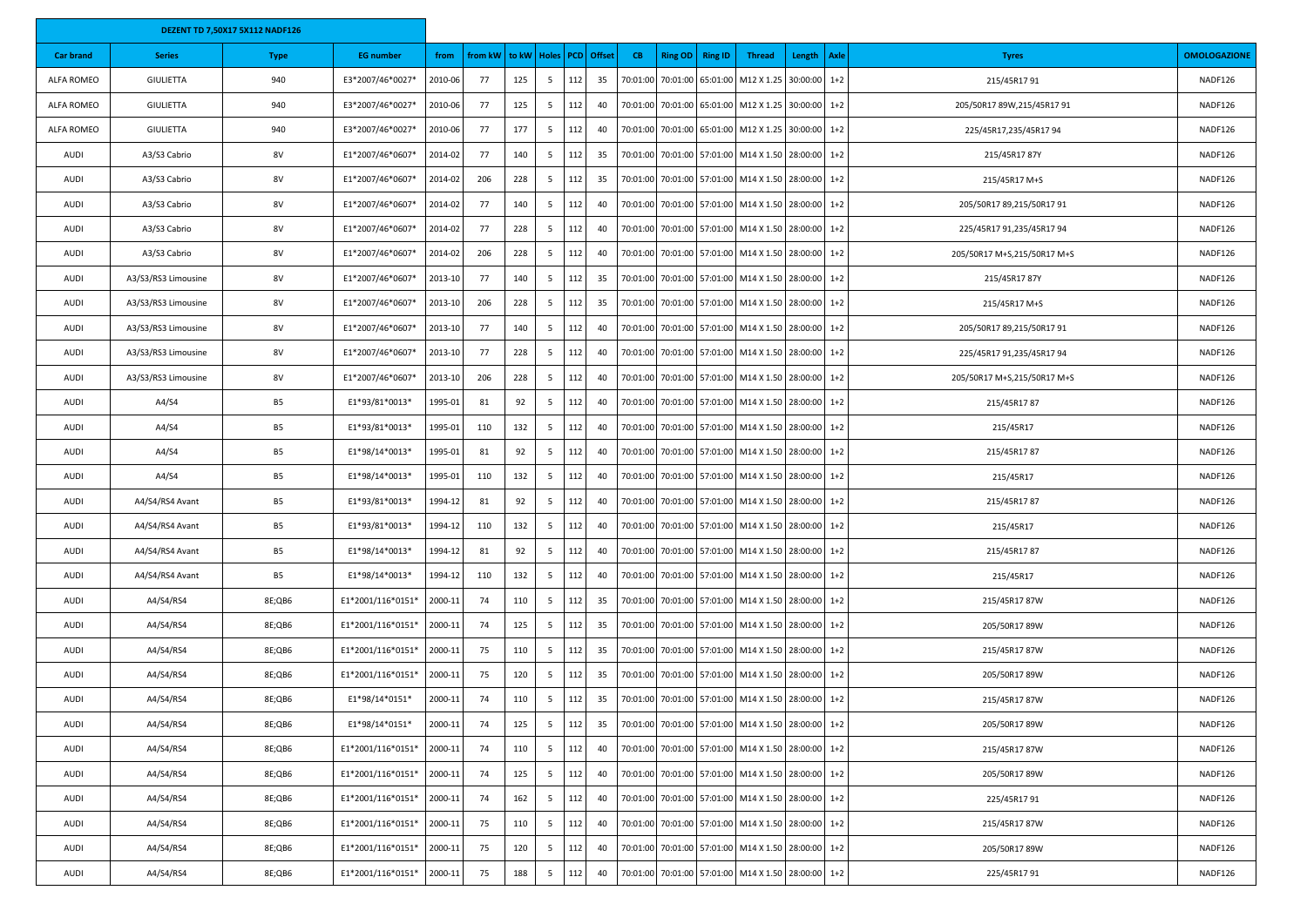|                   |                     | <b>DEZENT TD 7,50X17 5X112 NADF126</b> |                   |         |         |     |               |     |                   |           |                |                   |                                                    |          |         |                             |                     |
|-------------------|---------------------|----------------------------------------|-------------------|---------|---------|-----|---------------|-----|-------------------|-----------|----------------|-------------------|----------------------------------------------------|----------|---------|-----------------------------|---------------------|
| <b>Car brand</b>  | <b>Series</b>       | Type                                   | <b>EG</b> number  | from    | from kW |     | to kW   Holes |     | <b>PCD</b> Offset | <b>CB</b> | <b>Ring OD</b> | <b>Ring ID</b>    | <b>Thread</b>                                      | Length   | Axle    | <b>Tyres</b>                | <b>OMOLOGAZIONE</b> |
| <b>ALFA ROMEO</b> | GIULIETTA           | 940                                    | E3*2007/46*0027*  | 2010-06 | 77      | 125 | 5             | 112 | 35                | 70:01:00  |                | 70:01:00 65:01:00 | M12 X 1.25 30:00:00 1+2                            |          |         | 215/45R1791                 | NADF126             |
| <b>ALFA ROMEO</b> | GIULIETTA           | 940                                    | E3*2007/46*0027*  | 2010-06 | - 77    | 125 | 5             | 112 | 40                | 70:01:00  |                |                   | 70:01:00 65:01:00 M12 X 1.25 30:00:00              |          | $1+2$   | 205/50R17 89W,215/45R17 91  | NADF126             |
| ALFA ROMEO        | GIULIETTA           | 940                                    | E3*2007/46*0027*  | 2010-06 | 77      | 177 | 5             | 112 | 40                | 70:01:00  |                |                   | 70:01:00 65:01:00 M12 X 1.25 30:00:00 1+2          |          |         | 225/45R17,235/45R1794       | NADF126             |
| AUDI              | A3/S3 Cabrio        | 8V                                     | E1*2007/46*0607*  | 2014-02 | 77      | 140 | 5             | 112 | 35                | 70:01:00  |                |                   | 70:01:00 57:01:00 M14 X 1.50 28:00:00              |          | $1 + 2$ | 215/45R1787Y                | NADF126             |
| AUDI              | A3/S3 Cabrio        | 8V                                     | E1*2007/46*0607*  | 2014-02 | 206     | 228 | 5             | 112 | 35                | 70:01:00  |                |                   | 70:01:00 57:01:00 M14 X 1.50                       | 28:00:00 | $1+2$   | 215/45R17 M+S               | NADF126             |
| AUDI              | A3/S3 Cabrio        | 8V                                     | E1*2007/46*0607*  | 2014-02 | - 77    | 140 | - 5           | 112 | 40                | 70:01:00  |                |                   | 70:01:00 57:01:00 M14 X 1.50                       | 28:00:00 | $1+2$   | 205/50R17 89,215/50R17 91   | NADF126             |
| AUDI              | A3/S3 Cabrio        | 8V                                     | E1*2007/46*0607*  | 2014-02 | 77      | 228 | 5             | 112 | 40                | 70:01:00  |                |                   | 70:01:00 57:01:00 M14 X 1.50 28:00:00              |          | $1+2$   | 225/45R17 91,235/45R17 94   | NADF126             |
| AUDI              | A3/S3 Cabrio        | 8V                                     | E1*2007/46*0607*  | 2014-02 | 206     | 228 | 5             | 112 | 40                | 70:01:00  |                |                   | 70:01:00 57:01:00 M14 X 1.50                       | 28:00:00 | $1+2$   | 205/50R17 M+S,215/50R17 M+S | NADF126             |
| AUDI              | A3/S3/RS3 Limousine | 8V                                     | E1*2007/46*0607*  | 2013-10 | - 77    | 140 | 5             | 112 | 35                | 70:01:00  |                |                   | 70:01:00 57:01:00 M14 X 1.50                       | 28:00:00 | $1+2$   | 215/45R1787Y                | NADF126             |
| AUDI              | A3/S3/RS3 Limousine | 8V                                     | E1*2007/46*0607*  | 2013-10 | 206     | 228 | 5             | 112 | 35                | 70:01:00  |                |                   | 70:01:00 57:01:00 M14 X 1.50 28:00:00              |          | $1+2$   | 215/45R17 M+S               | NADF126             |
| AUDI              | A3/S3/RS3 Limousine | 8V                                     | E1*2007/46*0607*  | 2013-10 | - 77    | 140 | 5             | 112 | 40                | 70:01:00  |                |                   | 70:01:00 57:01:00 M14 X 1.50                       | 28:00:00 | $1+2$   | 205/50R17 89,215/50R17 91   | NADF126             |
| AUDI              | A3/S3/RS3 Limousine | 8V                                     | E1*2007/46*0607*  | 2013-10 | 77      | 228 | 5             | 112 | 40                | 70:01:00  |                |                   | 70:01:00 57:01:00 M14 X 1.50                       | 28:00:00 | $1+2$   | 225/45R17 91,235/45R17 94   | NADF126             |
| AUDI              | A3/S3/RS3 Limousine | 8V                                     | E1*2007/46*0607*  | 2013-10 | 206     | 228 | - 5           | 112 | 40                | 70:01:00  |                |                   | 70:01:00 57:01:00 M14 X 1.50 28:00:00              |          | $1+2$   | 205/50R17 M+S,215/50R17 M+S | NADF126             |
| AUDI              | A4/S4               | <b>B5</b>                              | E1*93/81*0013*    | 1995-01 | 81      | 92  | 5             | 112 | 40                | 70:01:00  |                |                   | 70:01:00 57:01:00 M14 X 1.50                       | 28:00:00 | $1+2$   | 215/45R1787                 | NADF126             |
| <b>AUDI</b>       | A4/S4               | B5                                     | E1*93/81*0013*    | 1995-01 | 110     | 132 | -5            | 112 | 40                | 70:01:00  |                |                   | 70:01:00 57:01:00 M14 X 1.50                       | 28:00:00 | $1+2$   | 215/45R17                   | NADF126             |
| AUDI              | A4/S4               | <b>B5</b>                              | E1*98/14*0013*    | 1995-01 | 81      | 92  | 5             | 112 | 40                | 70:01:00  |                |                   | 70:01:00 57:01:00 M14 X 1.50 28:00:00 1+2          |          |         | 215/45R1787                 | NADF126             |
| AUDI              | A4/S4               | <b>B5</b>                              | E1*98/14*0013*    | 1995-01 | 110     | 132 | 5             | 112 | 40                | 70:01:00  |                |                   | 70:01:00 57:01:00 M14 X 1.50                       | 28:00:00 | $1+2$   | 215/45R17                   | NADF126             |
| <b>AUDI</b>       | A4/S4/RS4 Avant     | <b>B5</b>                              | E1*93/81*0013*    | 1994-12 | 81      | 92  | -5            | 112 | 40                | 70:01:00  |                |                   | 70:01:00 57:01:00 M14 X 1.50                       | 28:00:00 | $1+2$   | 215/45R1787                 | NADF126             |
| AUDI              | A4/S4/RS4 Avant     | <b>B5</b>                              | E1*93/81*0013*    | 1994-12 | 110     | 132 | 5             | 112 | 40                | 70:01:00  |                |                   | 70:01:00 57:01:00 M14 X 1.50 28:00:00 1+2          |          |         | 215/45R17                   | NADF126             |
| <b>AUDI</b>       | A4/S4/RS4 Avant     | <b>B5</b>                              | E1*98/14*0013*    | 1994-12 | 81      | 92  | 5             | 112 | 40                | 70:01:00  |                |                   | 70:01:00 57:01:00 M14 X 1.50                       | 28:00:00 | $1+2$   | 215/45R1787                 | NADF126             |
| AUDI              | A4/S4/RS4 Avant     | <b>B5</b>                              | E1*98/14*0013*    | 1994-12 | 110     | 132 | -5            | 112 | 40                | 70:01:00  |                |                   | 70:01:00 57:01:00 M14 X 1.50                       | 28:00:00 | $1+2$   | 215/45R17                   | NADF126             |
| AUDI              | A4/S4/RS4           | 8E;QB6                                 | E1*2001/116*0151* | 2000-11 | 74      | 110 | 5             | 112 | 35                | 70:01:00  |                |                   | 70:01:00 57:01:00 M14 X 1.50 28:00:00 1+2          |          |         | 215/45R1787W                | NADF126             |
| <b>AUDI</b>       | A4/S4/RS4           | 8E;QB6                                 | E1*2001/116*0151* | 2000-11 | 74      | 125 | 5             | 112 | 35                | 70:01:00  |                |                   | 70:01:00 57:01:00 M14 X 1.50                       | 28:00:00 | $1+2$   | 205/50R17 89W               | NADF126             |
| AUDI              | A4/S4/RS4           | 8E;QB6                                 | E1*2001/116*0151* | 2000-11 | 75      | 110 | -5            | 112 | 35                | 70:01:00  |                | 70:01:00 57:01:00 | M14 X 1.50                                         | 28:00:00 | $1+2$   | 215/45R1787W                | NADF126             |
| AUDI              | A4/S4/RS4           | 8E;QB6                                 | E1*2001/116*0151* | 2000-11 | 75      | 120 | 5             | 112 | 35                | 70:01:00  |                |                   | 70:01:00 57:01:00 M14 X 1.50 28:00:00 1+2          |          |         | 205/50R17 89W               | NADF126             |
| <b>AUDI</b>       | A4/S4/RS4           | 8E;QB6                                 | E1*98/14*0151*    | 2000-11 | 74      | 110 | 5             | 112 | 35                | 70:01:00  |                |                   | 70:01:00 57:01:00 M14 X 1.50                       | 28:00:00 | $1+2$   | 215/45R1787W                | NADF126             |
| <b>AUDI</b>       | A4/S4/RS4           | 8E;QB6                                 | E1*98/14*0151*    | 2000-11 | 74      | 125 | 5             | 112 | 35                |           |                |                   | 70:01:00 70:01:00 57:01:00 M14 X 1.50 28:00:00 1+2 |          |         | 205/50R17 89W               | NADF126             |
| AUDI              | A4/S4/RS4           | 8E;QB6                                 | E1*2001/116*0151* | 2000-11 | 74      | 110 | 5             | 112 | 40                | 70:01:00  |                |                   | 70:01:00 57:01:00 M14 X 1.50 28:00:00              |          | $1+2$   | 215/45R1787W                | NADF126             |
| AUDI              | A4/S4/RS4           | 8E;QB6                                 | E1*2001/116*0151* | 2000-11 | 74      | 125 | 5             | 112 | 40                | 70:01:00  |                |                   | 70:01:00 57:01:00 M14 X 1.50 28:00:00              |          | $1+2$   | 205/50R17 89W               | NADF126             |
| AUDI              | A4/S4/RS4           | 8E;QB6                                 | E1*2001/116*0151* | 2000-11 | 74      | 162 | 5             | 112 | 40                | 70:01:00  |                |                   | 70:01:00 57:01:00 M14 X 1.50                       | 28:00:00 | $1+2$   | 225/45R1791                 | NADF126             |
| AUDI              | A4/S4/RS4           | 8E;QB6                                 | E1*2001/116*0151* | 2000-11 | 75      | 110 | 5             | 112 | 40                | 70:01:00  |                |                   | 70:01:00 57:01:00 M14 X 1.50 28:00:00              |          | $1+2$   | 215/45R1787W                | NADF126             |
| <b>AUDI</b>       | A4/S4/RS4           | 8E;QB6                                 | E1*2001/116*0151* | 2000-11 | 75      | 120 | 5             | 112 | 40                | 70:01:00  |                |                   | 70:01:00 57:01:00 M14 X 1.50                       | 28:00:00 | $1+2$   | 205/50R17 89W               | NADF126             |
| AUDI              | A4/S4/RS4           | 8E;QB6                                 | E1*2001/116*0151* | 2000-11 | 75      | 188 | 5             | 112 | 40                | 70:01:00  |                |                   | 70:01:00 57:01:00 M14 X 1.50                       | 28:00:00 | $1 + 2$ | 225/45R1791                 | NADF126             |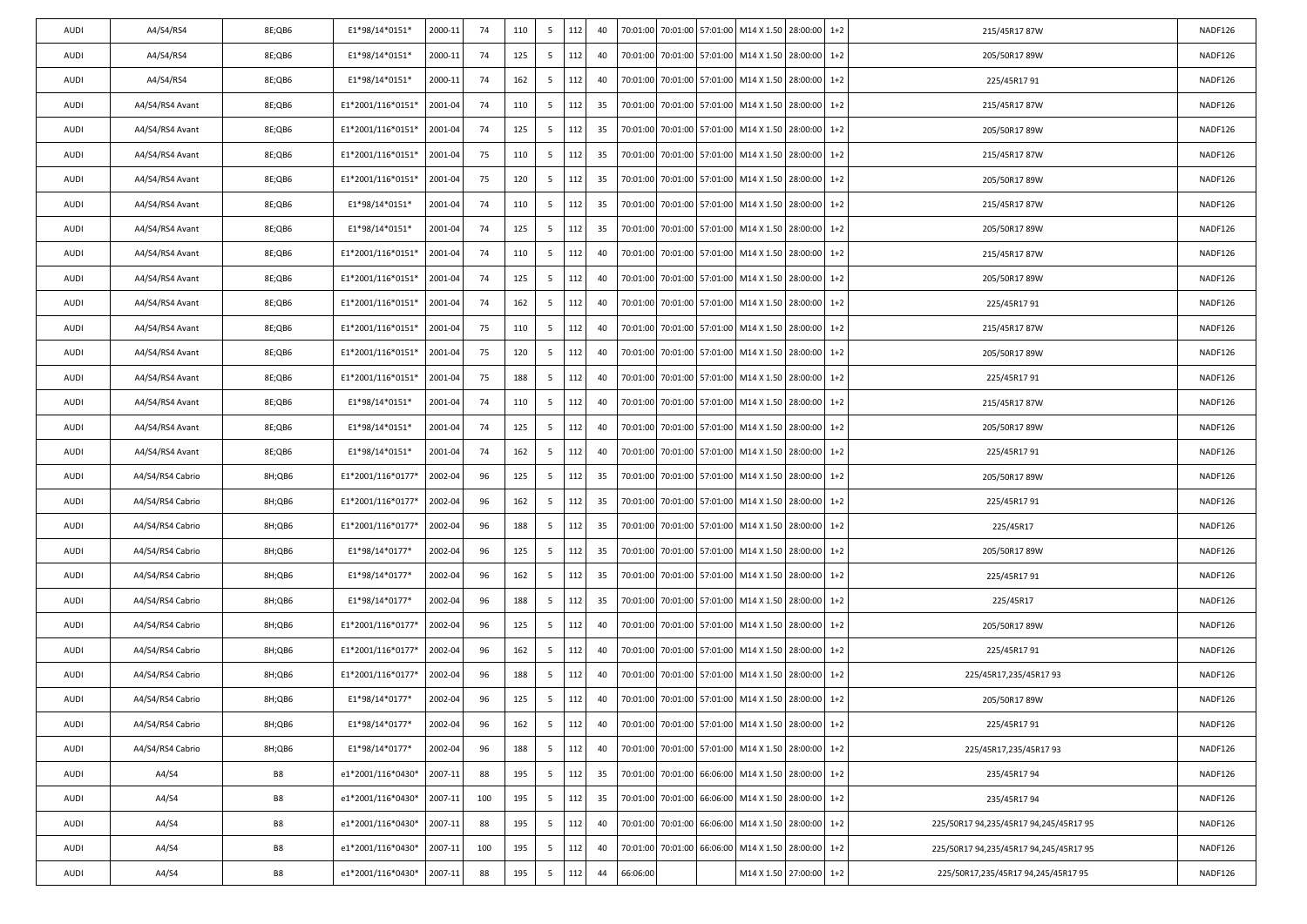| AUDI | A4/S4/RS4        | 8E;QB6    | E1*98/14*0151*    | 2000-11 | 74  | 110 | 5              | 112 | 40 |          |                   | 70:01:00 70:01:00 57:01:00 M14 X 1.50 28:00:00     |              | $1+2$   | 215/45R1787W                           | NADF126 |
|------|------------------|-----------|-------------------|---------|-----|-----|----------------|-----|----|----------|-------------------|----------------------------------------------------|--------------|---------|----------------------------------------|---------|
| AUDI | A4/S4/RS4        | 8E;QB6    | E1*98/14*0151*    | 2000-11 | 74  | 125 | 5              | 112 | 40 | 70:01:00 | 70:01:00 57:01:00 | M14 X 1.50                                         | 28:00:00     | $1+2$   | 205/50R17 89W                          | NADF126 |
| AUDI | A4/S4/RS4        | 8E;QB6    | E1*98/14*0151*    | 2000-11 | 74  | 162 | 5              | 112 | 40 | 70:01:00 |                   | 70:01:00 57:01:00 M14 X 1.50                       | 28:00:00     | $1+2$   | 225/45R1791                            | NADF126 |
| AUDI | A4/S4/RS4 Avant  | 8E;QB6    | E1*2001/116*0151* | 2001-04 | 74  | 110 | 5              | 112 | 35 | 70:01:00 | 70:01:00 57:01:00 | M14 X 1.50                                         | 28:00:00     | $1+2$   | 215/45R1787W                           | NADF126 |
| AUDI | A4/S4/RS4 Avant  | 8E;QB6    | E1*2001/116*0151* | 2001-04 | 74  | 125 | 5              | 112 | 35 | 70:01:00 | 70:01:00 57:01:00 | M14 X 1.50                                         | 28:00:00     | $1+2$   | 205/50R17 89W                          | NADF126 |
| AUDI | A4/S4/RS4 Avant  | 8E;QB6    | E1*2001/116*0151* | 2001-04 | 75  | 110 | 5              | 112 | 35 | 70:01:00 |                   | 70:01:00 57:01:00 M14 X 1.50                       | 28:00:00     | $1+2$   | 215/45R1787W                           | NADF126 |
| AUDI | A4/S4/RS4 Avant  | 8E;QB6    | E1*2001/116*0151* | 2001-04 | 75  | 120 | 5              | 112 | 35 | 70:01:00 | 70:01:00 57:01:00 | M14 X 1.50                                         | 28:00:00     | $1+2$   | 205/50R17 89W                          | NADF126 |
| AUDI | A4/S4/RS4 Avant  | 8E;QB6    | E1*98/14*0151*    | 2001-04 | 74  | 110 | 5              | 112 | 35 | 70:01:00 | 70:01:00 57:01:00 | M14 X 1.50                                         | 28:00:00     | $1+2$   | 215/45R1787W                           | NADF126 |
| AUDI | A4/S4/RS4 Avant  | 8E;QB6    | E1*98/14*0151*    | 2001-04 | 74  | 125 | 5              | 112 | 35 | 70:01:00 |                   | 70:01:00 57:01:00 M14 X 1.50                       | 28:00:00     | $1+2$   | 205/50R17 89W                          | NADF126 |
| AUDI | A4/S4/RS4 Avant  | 8E;QB6    | E1*2001/116*0151* | 2001-04 | 74  | 110 | 5              | 112 | 40 | 70:01:00 | 70:01:00 57:01:00 | M14 X 1.50                                         | 28:00:00     | $1+2$   | 215/45R1787W                           | NADF126 |
| AUDI | A4/S4/RS4 Avant  | 8E;QB6    | E1*2001/116*0151* | 2001-04 | 74  | 125 | 5              | 112 | 40 | 70:01:00 | 70:01:00 57:01:00 | M14 X 1.50                                         | 28:00:00     | $1+2$   | 205/50R17 89W                          | NADF126 |
| AUDI | A4/S4/RS4 Avant  | 8E;QB6    | E1*2001/116*0151* | 2001-04 | 74  | 162 | 5              | 112 | 40 | 70:01:00 |                   | 70:01:00 57:01:00 M14 X 1.50                       | 28:00:00     | $1+2$   | 225/45R1791                            | NADF126 |
| AUDI | A4/S4/RS4 Avant  | 8E;QB6    | E1*2001/116*0151* | 2001-04 | 75  | 110 | 5              | 112 | 40 | 70:01:00 | 70:01:00 57:01:00 | M14 X 1.50                                         | 28:00:00     | $1+2$   | 215/45R1787W                           | NADF126 |
| AUDI | A4/S4/RS4 Avant  | 8E;QB6    | E1*2001/116*0151* | 2001-04 | 75  | 120 | 5              | 112 | 40 | 70:01:00 | 70:01:00 57:01:00 | M14 X 1.50                                         | 28:00:00     | $1+2$   | 205/50R17 89W                          | NADF126 |
| AUDI | A4/S4/RS4 Avant  | 8E;QB6    | E1*2001/116*0151* | 2001-04 | 75  | 188 | 5              | 112 | 40 | 70:01:00 |                   | 70:01:00 57:01:00 M14 X 1.50                       | 28:00:00     | $1+2$   | 225/45R1791                            | NADF126 |
| AUDI | A4/S4/RS4 Avant  | 8E;QB6    | E1*98/14*0151*    | 2001-04 | 74  | 110 | 5              | 112 | 40 | 70:01:00 | 70:01:00 57:01:00 | M14 X 1.50                                         | 28:00:00     | $1+2$   | 215/45R1787W                           | NADF126 |
| AUDI | A4/S4/RS4 Avant  | 8E;QB6    | E1*98/14*0151*    | 2001-04 | 74  | 125 | 5              | 112 | 40 | 70:01:00 | 70:01:00 57:01:00 | M14 X 1.50                                         | 28:00:00     | $1+2$   | 205/50R17 89W                          | NADF126 |
| AUDI | A4/S4/RS4 Avant  | 8E;QB6    | E1*98/14*0151*    | 2001-04 | 74  | 162 | 5              | 112 | 40 | 70:01:00 | 70:01:00 57:01:00 | M14 X 1.50                                         | 28:00:00     | $1+2$   | 225/45R1791                            | NADF126 |
| AUDI | A4/S4/RS4 Cabrio | 8H;QB6    | E1*2001/116*0177* | 2002-04 | 96  | 125 | 5              | 112 | 35 | 70:01:00 | 70:01:00 57:01:00 | M14 X 1.50                                         | 28:00:00     | $1+2$   | 205/50R17 89W                          | NADF126 |
| AUDI | A4/S4/RS4 Cabrio | 8H;QB6    | E1*2001/116*0177* | 2002-04 | 96  | 162 | 5              | 112 | 35 | 70:01:00 |                   | 70:01:00 57:01:00 M14 X 1.50                       | 28:00:00     | $1+2$   | 225/45R1791                            | NADF126 |
| AUDI | A4/S4/RS4 Cabrio | 8H;QB6    | E1*2001/116*0177* | 2002-04 | 96  | 188 | 5              | 112 | 35 | 70:01:00 | 70:01:00 57:01:00 | M14 X 1.50                                         | 28:00:00     | $1+2$   | 225/45R17                              | NADF126 |
| AUDI | A4/S4/RS4 Cabrio | 8H;QB6    | E1*98/14*0177*    | 2002-04 | 96  | 125 | 5              | 112 | 35 | 70:01:00 | 70:01:00 57:01:00 | M14 X 1.50                                         | 28:00:00     | $1+2$   | 205/50R17 89W                          | NADF126 |
| AUDI | A4/S4/RS4 Cabrio | 8H;QB6    | E1*98/14*0177*    | 2002-04 | 96  | 162 | 5              | 112 | 35 | 70:01:00 | 70:01:00 57:01:00 | M14 X 1.50                                         | 28:00:00     | $1+2$   | 225/45R1791                            | NADF126 |
| AUDI | A4/S4/RS4 Cabrio | 8H;QB6    | E1*98/14*0177*    | 2002-04 | 96  | 188 | 5              | 112 | 35 | 70:01:00 | 70:01:00 57:01:00 | M14 X 1.50                                         | 28:00:00     | $1 + 2$ | 225/45R17                              | NADF126 |
| AUDI | A4/S4/RS4 Cabrio | 8H;QB6    | E1*2001/116*0177* | 2002-04 | 96  | 125 | 5              | 112 | 40 | 70:01:00 | 70:01:00 57:01:00 | M14 X 1.50                                         | 28:00:00     | $1+2$   | 205/50R17 89W                          | NADF126 |
| AUDI | A4/S4/RS4 Cabrio | 8H;QB6    | E1*2001/116*0177* | 2002-04 | 96  | 162 | 5              | 112 | 40 | 70:01:00 |                   | 70:01:00 57:01:00 M14 X 1.50                       | 28:00:00     | $1+2$   | 225/45R1791                            | NADF126 |
| AUDI | A4/S4/RS4 Cabrio | 8H;QB6    | E1*2001/116*0177* | 2002-04 | 96  | 188 | 5              | 112 | 40 | 70:01:00 | 70:01:00 57:01:00 | M14 X 1.50                                         | 28:00:00     | $1 + 2$ | 225/45R17,235/45R1793                  | NADF126 |
| AUDI | A4/S4/RS4 Cabrio | 8H;QB6    | E1*98/14*0177*    | 2002-04 | 96  | 125 | 5              | 112 | 40 | 70:01:00 |                   | 70:01:00 57:01:00 M14 X 1.50                       | 28:00:00     | $1+2$   | 205/50R1789W                           | NADF126 |
| AUDI | A4/S4/RS4 Cabrio | 8H;QB6    | E1*98/14*0177*    | 2002-04 | 96  | 162 | 5              | 112 | 40 |          |                   | 70:01:00 70:01:00 57:01:00 M14 X 1.50 28:00:00 1+2 |              |         | 225/45R1791                            | NADF126 |
| AUDI | A4/S4/RS4 Cabrio | 8H;QB6    | E1*98/14*0177*    | 2002-04 | 96  | 188 | 5 <sup>5</sup> | 112 | 40 | 70:01:00 |                   | 70:01:00 57:01:00 M14 X 1.50 28:00:00 1+2          |              |         | 225/45R17,235/45R1793                  | NADF126 |
| AUDI | A4/S4            | B8        | e1*2001/116*0430* | 2007-11 | 88  | 195 | 5 <sup>5</sup> | 112 | 35 | 70:01:00 | 70:01:00 66:06:00 | M14 X 1.50                                         | 28:00:00     | $1+2$   | 235/45R1794                            | NADF126 |
| AUDI | A4/S4            | B8        | e1*2001/116*0430* | 2007-11 | 100 | 195 | 5              | 112 | 35 | 70:01:00 |                   | 70:01:00 66:06:00 M14 X 1.50                       | 28:00:00 1+2 |         | 235/45R1794                            | NADF126 |
| AUDI | A4/S4            | B8        | e1*2001/116*0430* | 2007-11 | 88  | 195 | 5 <sup>5</sup> | 112 | 40 | 70:01:00 | 70:01:00 66:06:00 | M14 X 1.50 28:00:00                                |              | $1+2$   | 225/50R17 94,235/45R17 94,245/45R17 95 | NADF126 |
| AUDI | A4/S4            | B8        | e1*2001/116*0430* | 2007-11 | 100 | 195 | 5 <sup>5</sup> | 112 | 40 | 70:01:00 | 70:01:00 66:06:00 | M14 X 1.50                                         | 28:00:00     | $1+2$   | 225/50R17 94,235/45R17 94,245/45R17 95 | NADF126 |
| AUDI | A4/S4            | <b>B8</b> | e1*2001/116*0430* | 2007-11 | 88  | 195 | 5 <sup>5</sup> | 112 | 44 | 66:06:00 |                   | M14 X 1.50 27:00:00                                |              | $1+2$   | 225/50R17,235/45R17 94,245/45R17 95    | NADF126 |
|      |                  |           |                   |         |     |     |                |     |    |          |                   |                                                    |              |         |                                        |         |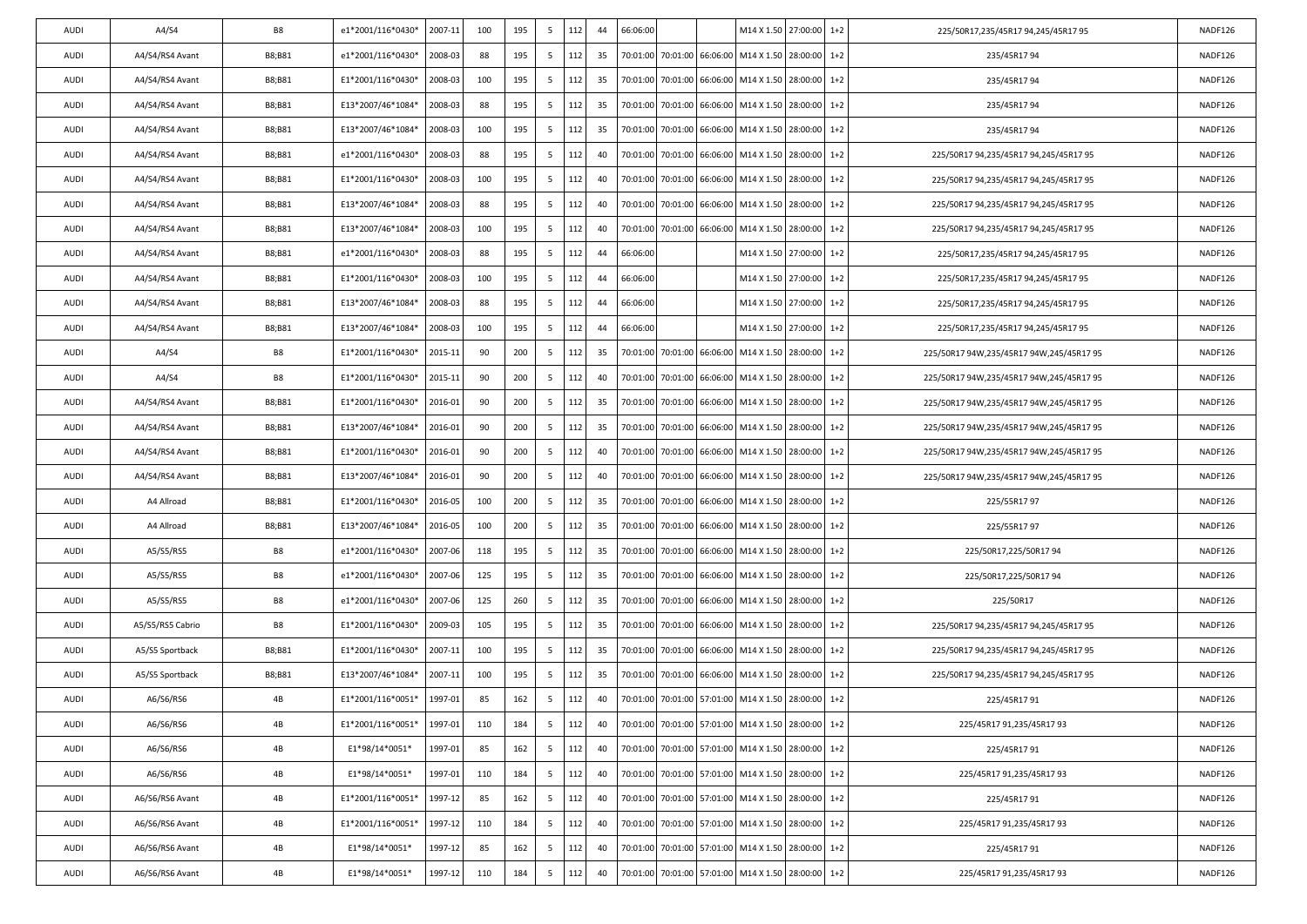| AUDI | A4/S4            | <b>B8</b> | e1*2001/116*0430* | 2007-11 | 100 | 195 | 5               | 112 | 44 | 66:06:00 |                   | M14 X 1.50 27:00:00                                |          | $1+2$   | 225/50R17,235/45R17 94,245/45R17 95      | NADF126 |
|------|------------------|-----------|-------------------|---------|-----|-----|-----------------|-----|----|----------|-------------------|----------------------------------------------------|----------|---------|------------------------------------------|---------|
| AUDI | A4/S4/RS4 Avant  | B8;B81    | e1*2001/116*0430* | 2008-03 | 88  | 195 | 5               | 112 | 35 | 70:01:00 |                   | 70:01:00 66:06:00 M14 X 1.50                       | 28:00:00 | $1 + 2$ | 235/45R1794                              | NADF126 |
| AUDI | A4/S4/RS4 Avant  | B8;B81    | E1*2001/116*0430* | 2008-03 | 100 | 195 | 5               | 112 | 35 | 70:01:00 | 70:01:00 66:06:00 | M14 X 1.50                                         | 28:00:00 | $1+2$   | 235/45R1794                              | NADF126 |
| AUDI | A4/S4/RS4 Avant  | B8;B81    | E13*2007/46*1084* | 2008-03 | 88  | 195 | 5               | 112 | 35 | 70:01:00 | 70:01:00 66:06:00 | M14 X 1.50                                         | 28:00:00 | $1+2$   | 235/45R1794                              | NADF126 |
| AUDI | A4/S4/RS4 Avant  | B8;B81    | E13*2007/46*1084* | 2008-03 | 100 | 195 | 5               | 112 | 35 | 70:01:00 |                   | 70:01:00 66:06:00 M14 X 1.50                       | 28:00:00 | $1 + 2$ | 235/45R1794                              | NADF126 |
| AUDI | A4/S4/RS4 Avant  | B8;B81    | e1*2001/116*0430* | 2008-03 | 88  | 195 | 5               | 112 | 40 | 70:01:00 |                   | 70:01:00 66:06:00 M14 X 1.50                       | 28:00:00 | $1+2$   | 225/50R17 94,235/45R17 94,245/45R17 95   | NADF126 |
| AUDI | A4/S4/RS4 Avant  | B8;B81    | E1*2001/116*0430* | 2008-03 | 100 | 195 | 5               | 112 | 40 | 70:01:00 | 70:01:00 66:06:00 | M14 X 1.50                                         | 28:00:00 | $1+2$   | 225/50R17 94,235/45R17 94,245/45R17 95   | NADF126 |
| AUDI | A4/S4/RS4 Avant  | B8;B81    | E13*2007/46*1084* | 2008-03 | 88  | 195 | 5               | 112 | 40 | 70:01:00 |                   | 70:01:00 66:06:00 M14 X 1.50                       | 28:00:00 | $1+2$   | 225/50R17 94,235/45R17 94,245/45R17 95   | NADF126 |
| AUDI | A4/S4/RS4 Avant  | B8;B81    | E13*2007/46*1084* | 2008-03 | 100 | 195 | 5               | 112 | 40 | 70:01:00 | 70:01:00 66:06:00 | M14 X 1.50                                         | 28:00:00 | $1+2$   | 225/50R17 94,235/45R17 94,245/45R17 95   | NADF126 |
| AUDI | A4/S4/RS4 Avant  | B8;B81    | e1*2001/116*0430* | 2008-03 | 88  | 195 | 5               | 112 | 44 | 66:06:00 |                   | M14 X 1.50                                         | 27:00:00 | $1+2$   | 225/50R17,235/45R17 94,245/45R17 95      | NADF126 |
| AUDI | A4/S4/RS4 Avant  | B8;B81    | E1*2001/116*0430* | 2008-03 | 100 | 195 | 5               | 112 | 44 | 66:06:00 |                   | M14 X 1.50                                         | 27:00:00 | $1+2$   | 225/50R17,235/45R17 94,245/45R17 95      | NADF126 |
| AUDI | A4/S4/RS4 Avant  | B8;B81    | E13*2007/46*1084* | 2008-03 | 88  | 195 | 5               | 112 | 44 | 66:06:00 |                   | M14 X 1.50                                         | 27:00:00 | $1 + 2$ | 225/50R17,235/45R17 94,245/45R17 95      | NADF126 |
| AUDI | A4/S4/RS4 Avant  | B8;B81    | E13*2007/46*1084* | 2008-03 | 100 | 195 | 5               | 112 | 44 | 66:06:00 |                   | M14 X 1.50                                         | 27:00:00 | $1+2$   | 225/50R17,235/45R17 94,245/45R17 95      | NADF126 |
| AUDI | A4/S4            | B8        | E1*2001/116*0430* | 2015-11 | 90  | 200 | 5               | 112 | 35 | 70:01:00 | 70:01:00 66:06:00 | M14 X 1.50                                         | 28:00:00 | $1+2$   | 225/50R17 94W,235/45R17 94W,245/45R17 95 | NADF126 |
| AUDI | A4/S4            | <b>B8</b> | E1*2001/116*0430* | 2015-11 | 90  | 200 | 5               | 112 | 40 | 70:01:00 | 70:01:00 66:06:00 | M14 X 1.50                                         | 28:00:00 | $1+2$   | 225/50R17 94W,235/45R17 94W,245/45R17 95 | NADF126 |
| AUDI | A4/S4/RS4 Avant  | B8;B81    | E1*2001/116*0430* | 2016-01 | 90  | 200 | 5               | 112 | 35 | 70:01:00 | 70:01:00 66:06:00 | M14 X 1.50                                         | 28:00:00 | $1+2$   | 225/50R17 94W,235/45R17 94W,245/45R17 95 | NADF126 |
| AUDI | A4/S4/RS4 Avant  | B8;B81    | E13*2007/46*1084* | 2016-01 | 90  | 200 | 5               | 112 | 35 | 70:01:00 | 70:01:00 66:06:00 | M14 X 1.50                                         | 28:00:00 | $1+2$   | 225/50R17 94W,235/45R17 94W,245/45R17 95 | NADF126 |
| AUDI | A4/S4/RS4 Avant  | B8;B81    | E1*2001/116*0430* | 2016-01 | 90  | 200 | 5               | 112 | 40 | 70:01:00 | 70:01:00 66:06:00 | M14 X 1.50                                         | 28:00:00 | $1 + 2$ | 225/50R17 94W,235/45R17 94W,245/45R17 95 | NADF126 |
| AUDI | A4/S4/RS4 Avant  | B8;B81    | E13*2007/46*1084* | 2016-01 | 90  | 200 | 5               | 112 | 40 | 70:01:00 | 70:01:00 66:06:00 | M14 X 1.50                                         | 28:00:00 | $1+2$   | 225/50R17 94W,235/45R17 94W,245/45R17 95 | NADF126 |
| AUDI | A4 Allroad       | B8;B81    | E1*2001/116*0430* | 2016-05 | 100 | 200 | 5               | 112 | 35 | 70:01:00 | 70:01:00 66:06:00 | M14 X 1.50                                         | 28:00:00 | $1+2$   | 225/55R17 97                             | NADF126 |
| AUDI | A4 Allroad       | B8;B81    | E13*2007/46*1084* | 2016-05 | 100 | 200 | 5               | 112 | 35 | 70:01:00 | 70:01:00 66:06:00 | M14 X 1.50                                         | 28:00:00 | $1 + 2$ | 225/55R1797                              | NADF126 |
| AUDI | A5/S5/RS5        | B8        | e1*2001/116*0430* | 2007-06 | 118 | 195 | 5               | 112 | 35 | 70:01:00 | 70:01:00 66:06:00 | M14 X 1.50                                         | 28:00:00 | $1+2$   | 225/50R17,225/50R17 94                   | NADF126 |
| AUDI | A5/S5/RS5        | <b>B8</b> | e1*2001/116*0430* | 2007-06 | 125 | 195 | 5               | 112 | 35 | 70:01:00 |                   | 70:01:00 66:06:00 M14 X 1.50                       | 28:00:00 | $1+2$   | 225/50R17,225/50R17 94                   | NADF126 |
| AUDI | A5/S5/RS5        | B8        | e1*2001/116*0430* | 2007-06 | 125 | 260 | 5               | 112 | 35 | 70:01:00 | 70:01:00 66:06:00 | M14 X 1.50                                         | 28:00:00 | $1 + 2$ | 225/50R17                                | NADF126 |
| AUDI | A5/S5/RS5 Cabrio | B8        | E1*2001/116*0430* | 2009-03 | 105 | 195 | 5               | 112 | 35 | 70:01:00 | 70:01:00 66:06:00 | M14 X 1.50                                         | 28:00:00 | $1+2$   | 225/50R17 94,235/45R17 94,245/45R17 95   | NADF126 |
| AUDI | A5/S5 Sportback  | B8;B81    | E1*2001/116*0430* | 2007-11 | 100 | 195 | 5               | 112 | 35 | 70:01:00 |                   | 70:01:00 66:06:00 M14 X 1.50                       | 28:00:00 | $1+2$   | 225/50R17 94,235/45R17 94,245/45R17 95   | NADF126 |
| AUDI | A5/S5 Sportback  | B8;B81    | E13*2007/46*1084* | 2007-11 | 100 | 195 | 5               | 112 | 35 | 70:01:00 | 70:01:00 66:06:00 | M14 X 1.50                                         | 28:00:00 | $1 + 2$ | 225/50R17 94,235/45R17 94,245/45R17 95   | NADF126 |
| AUDI | A6/S6/RS6        | 4B        | E1*2001/116*0051* | 1997-01 | 85  | 162 | 5               | 112 | 40 |          |                   | 70:01:00 70:01:00 57:01:00 M14 X 1.50              | 28:00:00 | $1+2$   | 225/45R1791                              | NADF126 |
| AUDI | A6/S6/RS6        | 4B        | E1*2001/116*0051* | 1997-01 | 110 | 184 | 5               | 112 | 40 |          |                   | 70:01:00 70:01:00 57:01:00 M14 X 1.50 28:00:00 1+2 |          |         | 225/45R17 91,235/45R17 93                | NADF126 |
| AUDI | A6/S6/RS6        | 4B        | E1*98/14*0051*    | 1997-01 | 85  | 162 | $5^{\circ}$     | 112 | 40 | 70:01:00 |                   | 70:01:00 57:01:00 M14 X 1.50 28:00:00              |          | $1+2$   | 225/45R1791                              | NADF126 |
| AUDI | A6/S6/RS6        | 4B        | E1*98/14*0051*    | 1997-01 | 110 | 184 | 5               | 112 | 40 | 70:01:00 | 70:01:00 57:01:00 | M14 X 1.50                                         | 28:00:00 | $1+2$   | 225/45R17 91,235/45R17 93                | NADF126 |
| AUDI | A6/S6/RS6 Avant  | 4B        | E1*2001/116*0051* | 1997-12 | 85  | 162 | 5               | 112 | 40 | 70:01:00 |                   | 70:01:00 57:01:00 M14 X 1.50                       | 28:00:00 | $1+2$   | 225/45R1791                              | NADF126 |
| AUDI | A6/S6/RS6 Avant  | 4B        | E1*2001/116*0051* | 1997-12 | 110 | 184 | 5               | 112 | 40 | 70:01:00 |                   | 70:01:00 57:01:00 M14 X 1.50 28:00:00              |          | $1+2$   | 225/45R17 91,235/45R17 93                | NADF126 |
| AUDI | A6/S6/RS6 Avant  | 4B        | E1*98/14*0051*    | 1997-12 | 85  | 162 | $5\phantom{.0}$ | 112 | 40 | 70:01:00 | 70:01:00 57:01:00 | M14 X 1.50                                         | 28:00:00 | $1+2$   | 225/45R1791                              | NADF126 |
| AUDI | A6/S6/RS6 Avant  | 4B        | E1*98/14*0051*    | 1997-12 | 110 | 184 | 5               | 112 | 40 | 70:01:00 |                   | 70:01:00 57:01:00 M14 X 1.50 28:00:00              |          | $1+2$   | 225/45R17 91,235/45R17 93                | NADF126 |
|      |                  |           |                   |         |     |     |                 |     |    |          |                   |                                                    |          |         |                                          |         |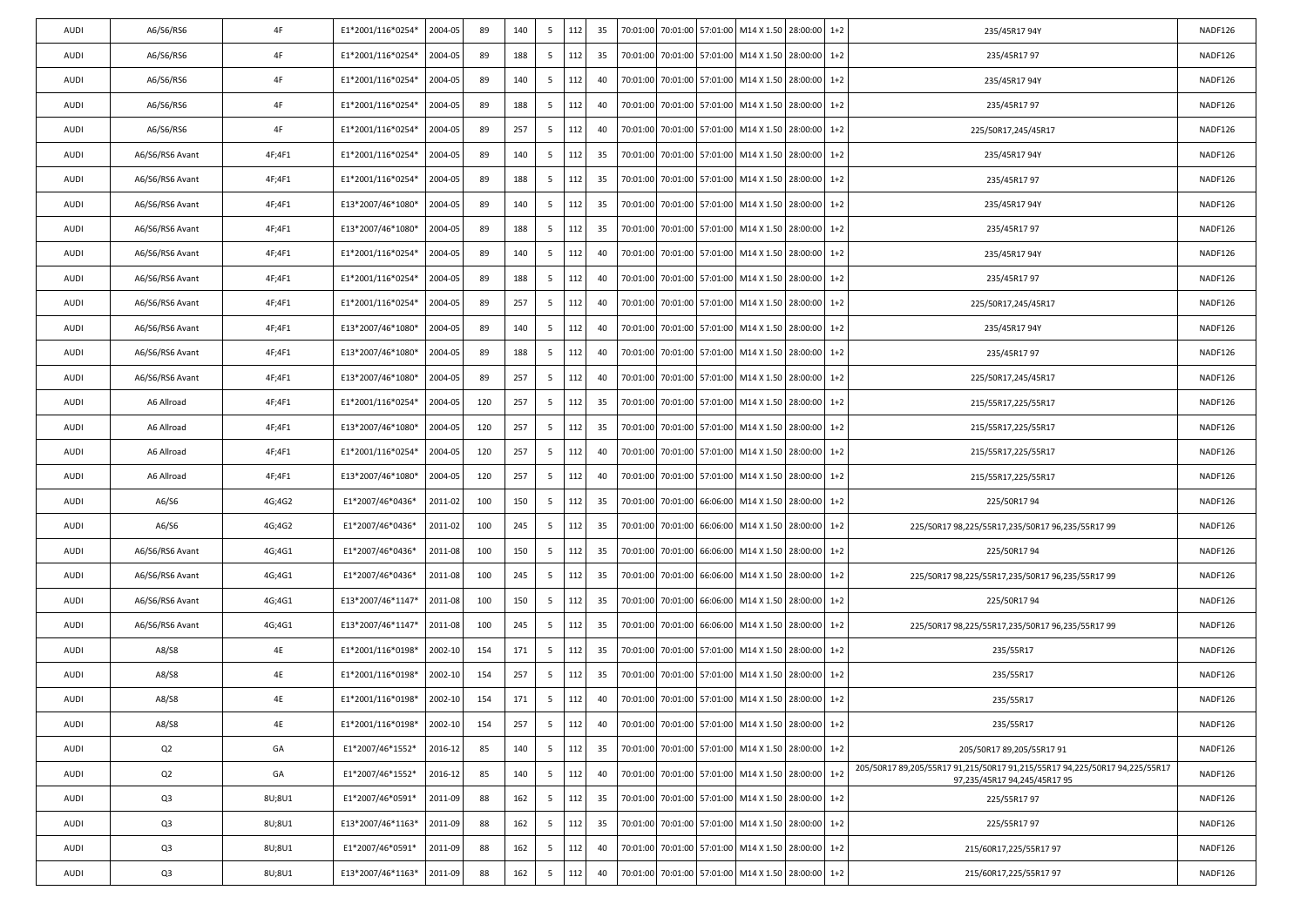| 4F<br>E1*2001/116*0254*<br>2004-05<br>89<br>188<br>5<br>112<br>28:00:00<br>$1+2$<br>235/45R1797<br><b>AUDI</b><br>A6/S6/RS6<br>35<br>70:01:00<br>70:01:00 57:01:00 M14 X 1.50<br>4F<br>2004-05<br>89<br>112<br>70:01:00<br>$1+2$<br><b>AUDI</b><br>A6/S6/RS6<br>E1*2001/116*0254*<br>140<br>5<br>40<br>70:01:00 57:01:00 M14 X 1.50<br>28:00:00<br>235/45R1794Y<br>AUDI<br>4F<br>89<br>A6/S6/RS6<br>E1*2001/116*0254*<br>2004-05<br>188<br>5<br>112<br>40<br>70:01:00<br>70:01:00 57:01:00 M14 X 1.50<br>28:00:00<br>$1+2$<br>235/45R1797<br>4F<br>E1*2001/116*0254*<br>2004-05<br>89<br>257<br>112<br>40<br>70:01:00<br>70:01:00 57:01:00 M14 X 1.50<br>28:00:00<br>$1+2$<br>225/50R17,245/45R17<br><b>AUDI</b><br>A6/S6/RS6<br>5<br>4F;4F1<br>2004-05<br>89<br>112<br>35<br>70:01:00<br>70:01:00 57:01:00 M14 X 1.50<br>28:00:00<br>$1 + 2$<br><b>AUDI</b><br>A6/S6/RS6 Avant<br>E1*2001/116*0254*<br>140<br>5<br>235/45R1794Y<br>4F;4F1<br>89<br>188<br>AUDI<br>A6/S6/RS6 Avant<br>E1*2001/116*0254*<br>2004-05<br>5<br>112<br>35<br>70:01:00<br>70:01:00 57:01:00 M14 X 1.50<br>28:00:00<br>$1+2$<br>235/45R1797<br>89<br>5<br><b>AUDI</b><br>A6/S6/RS6 Avant<br>4F;4F1<br>E13*2007/46*1080*<br>2004-05<br>140<br>112<br>35<br>70:01:00<br>70:01:00 57:01:00 M14 X 1.50<br>28:00:00<br>$1+2$<br>235/45R1794Y<br>112<br>4F;4F1<br>2004-05<br>89<br>188<br>35<br>70:01:00<br>70:01:00 57:01:00 M14 X 1.50<br>28:00:00<br>$1+2$<br><b>AUDI</b><br>A6/S6/RS6 Avant<br>E13*2007/46*1080*<br>5<br>235/45R1797<br>4F;4F1<br>89<br>235/45R1794Y<br><b>AUDI</b><br>A6/S6/RS6 Avant<br>E1*2001/116*0254*<br>2004-05<br>140<br>5<br>112<br>40<br>70:01:00<br>70:01:00 57:01:00<br>M14 X 1.50<br>28:00:00<br>$1+2$<br>89<br>188<br>5<br>112<br>40<br><b>AUDI</b><br>A6/S6/RS6 Avant<br>4F;4F1<br>E1*2001/116*0254*<br>2004-05<br>70:01:00<br>70:01:00 57:01:00 M14 X 1.50<br>28:00:00<br>$1+2$<br>235/45R1797<br>112<br>4F;4F1<br>2004-05<br>89<br>257<br>70:01:00<br>70:01:00 57:01:00 M14 X 1.50<br>28:00:00<br>$1 + 2$<br><b>AUDI</b><br>A6/S6/RS6 Avant<br>E1*2001/116*0254*<br>5<br>40<br>225/50R17,245/45R17<br>4F;4F1<br><b>AUDI</b><br>A6/S6/RS6 Avant<br>E13*2007/46*1080*<br>2004-05<br>89<br>140<br>5<br>112<br>40<br>70:01:00<br>70:01:00 57:01:00 M14 X 1.50<br>28:00:00<br>$1+2$<br>235/45R1794Y<br>2004-05<br>89<br>188<br>5<br>112<br>40<br><b>AUDI</b><br>A6/S6/RS6 Avant<br>4F;4F1<br>E13*2007/46*1080*<br>70:01:00<br>70:01:00 57:01:00 M14 X 1.50<br>28:00:00<br>$1+2$<br>235/45R1797<br>89<br>257<br>5<br>112<br>70:01:00<br>70:01:00 57:01:00 M14 X 1.50<br>$1 + 2$<br><b>AUDI</b><br>A6/S6/RS6 Avant<br>4F;4F1<br>E13*2007/46*1080*<br>2004-05<br>40<br>28:00:00<br>225/50R17,245/45R17<br>4F;4F1<br><b>AUDI</b><br>A6 Allroad<br>E1*2001/116*0254*<br>2004-05<br>120<br>257<br>5<br>112<br>35<br>70:01:00<br>70:01:00 57:01:00 M14 X 1.50<br>28:00:00<br>$1+2$<br>215/55R17,225/55R17<br>2004-05<br>257<br>112<br>35<br>28:00:00<br><b>AUDI</b><br>A6 Allroad<br>4F;4F1<br>E13*2007/46*1080*<br>120<br>5<br>70:01:00<br>70:01:00 57:01:00 M14 X 1.50<br>$1+2$<br>215/55R17,225/55R17<br>4F;4F1<br>2004-05<br>120<br>257<br>112<br>40<br>70:01:00<br>70:01:00 57:01:00 M14 X 1.50<br>28:00:00<br>$1+2$<br><b>AUDI</b><br>A6 Allroad<br>E1*2001/116*0254*<br>5<br>215/55R17,225/55R17<br>4F;4F1<br><b>AUDI</b><br>A6 Allroad<br>E13*2007/46*1080*<br>2004-05<br>120<br>257<br>5<br>112<br>40<br>70:01:00<br>70:01:00 57:01:00 M14 X 1.50<br>28:00:00<br>$1+2$<br>215/55R17,225/55R17<br>2011-02<br>112<br>35<br><b>AUDI</b><br>A6/S6<br>4G;4G2<br>E1*2007/46*0436*<br>100<br>150<br>5<br>70:01:00<br>70:01:00 66:06:00<br>M14 X 1.50<br>28:00:00<br>$1+2$<br>225/50R1794<br>4G;4G2<br>2011-02<br>100<br>245<br>112<br>70:01:00<br>70:01:00 66:06:00 M14 X 1.50 28:00:00<br>$1 + 2$<br><b>AUDI</b><br>A6/S6<br>E1*2007/46*0436*<br>5<br>35<br><b>AUDI</b><br>A6/S6/RS6 Avant<br>4G;4G1<br>E1*2007/46*0436*<br>2011-08<br>100<br>150<br>5<br>112<br>35<br>70:01:00<br>70:01:00 66:06:00<br>M14 X 1.50<br>28:00:00<br>$1+2$<br>225/50R1794<br>2011-08<br>100<br>245<br>5<br>112<br>35<br>28:00:00<br>AUDI<br>A6/S6/RS6 Avant<br>4G;4G1<br>E1*2007/46*0436*<br>70:01:00<br>70:01:00<br>66:06:00 M14 X 1.50<br>$1+2$<br>4G;4G1<br>2011-08<br>100<br>150<br>5<br>112<br>70:01:00<br>70:01:00 66:06:00 M14 X 1.50<br>28:00:00<br>$1+2$<br><b>AUDI</b><br>A6/S6/RS6 Avant<br>E13*2007/46*1147*<br>35<br>225/50R1794<br><b>AUDI</b><br>A6/S6/RS6 Avant<br>4G;4G1<br>E13*2007/46*1147*<br>2011-08<br>100<br>245<br>5<br>112<br>35<br>70:01:00<br>70:01:00 66:06:00<br>M14 X 1.50<br>28:00:00<br>$1+2$<br>4E<br>2002-10<br>154<br>171<br>112<br>35<br>57:01:00 M14 X 1.50<br>28:00:00<br><b>AUDI</b><br>A8/S8<br>E1*2001/116*0198*<br>5<br>70:01:00<br>70:01:00<br>$1+2$<br>235/55R17<br>4E<br>2002-10<br>257<br>112<br>70:01:00<br>70:01:00 57:01:00 M14 X 1.50<br>28:00:00<br>$1+2$<br>235/55R17<br>AUDI<br>A8/S8<br>E1*2001/116*0198*<br>154<br>5<br>35<br><b>AUDI</b><br>A8/S8<br>4E<br>E1*2001/116*0198*<br>2002-10<br>154<br>171<br>5<br>112<br>40<br>70:01:00<br>70:01:00 57:01:00 M14 X 1.50<br>28:00:00<br>$1+2$<br>235/55R17<br>70:01:00 70:01:00 57:01:00 M14 X 1.50 28:00:00 1+2<br>AUDI<br>A8/S8<br>4E<br>E1*2001/116*0198*<br>2002-10<br>154<br>257<br>5<br>112<br>40<br>235/55R17<br>112<br>E1*2007/46*1552*<br>140<br>- 5<br>35<br>70:01:00<br>70:01:00 57:01:00 M14 X 1.50 28:00:00<br>$1+2$<br>AUDI<br>Q2<br>GA<br>2016-12<br>85<br>205/50R17 89,205/55R17 91<br>Q <sub>2</sub><br>GA<br>85<br>5<br>112<br>70:01:00<br>70:01:00 57:01:00 M14 X 1.50 28:00:00<br>$1+2$<br>E1*2007/46*1552*<br>2016-12<br>140<br>40<br><b>AUDI</b><br>97,235/45R17 94,245/45R17 95<br>Q3<br>8U;8U1<br>E1*2007/46*0591*<br>2011-09<br>88<br>162<br>5<br>112<br>35<br>70:01:00<br>70:01:00 57:01:00 M14 X 1.50 28:00:00<br>$1+2$<br>225/55R1797<br>AUDI<br>162<br>112<br>70:01:00<br>70:01:00 57:01:00 M14 X 1.50 28:00:00<br>$1+2$<br>AUDI<br>Q <sub>3</sub><br>8U;8U1<br>E13*2007/46*1163*<br>2011-09<br>88<br>5<br>35<br>225/55R1797<br>Q3<br>2011-09<br>88<br>5<br>112<br>70:01:00<br>28:00:00<br>8U;8U1<br>E1*2007/46*0591*<br>162<br>40<br>70:01:00 57:01:00<br>M14 X 1.50<br>$1 + 2$<br>215/60R17,225/55R17 97<br><b>AUDI</b><br>Q3<br>8U;8U1<br>E13*2007/46*1163*<br>2011-09<br>88<br>162<br>5<br>112<br>40<br>70:01:00 70:01:00 57:01:00 M14 X 1.50 28:00:00<br>$1+2$<br>AUDI<br>215/60R17,225/55R17 97 | <b>AUDI</b> | A6/S6/RS6 | 4F | E1*2001/116*0254* | 2004-05 | 89 | 140 | 5 | 112 | 35 |  | 70:01:00 70:01:00 57:01:00 M14 X 1.50 28:00:00 | $1+2$ | 235/45R1794Y                                                               | NADF126 |
|-------------------------------------------------------------------------------------------------------------------------------------------------------------------------------------------------------------------------------------------------------------------------------------------------------------------------------------------------------------------------------------------------------------------------------------------------------------------------------------------------------------------------------------------------------------------------------------------------------------------------------------------------------------------------------------------------------------------------------------------------------------------------------------------------------------------------------------------------------------------------------------------------------------------------------------------------------------------------------------------------------------------------------------------------------------------------------------------------------------------------------------------------------------------------------------------------------------------------------------------------------------------------------------------------------------------------------------------------------------------------------------------------------------------------------------------------------------------------------------------------------------------------------------------------------------------------------------------------------------------------------------------------------------------------------------------------------------------------------------------------------------------------------------------------------------------------------------------------------------------------------------------------------------------------------------------------------------------------------------------------------------------------------------------------------------------------------------------------------------------------------------------------------------------------------------------------------------------------------------------------------------------------------------------------------------------------------------------------------------------------------------------------------------------------------------------------------------------------------------------------------------------------------------------------------------------------------------------------------------------------------------------------------------------------------------------------------------------------------------------------------------------------------------------------------------------------------------------------------------------------------------------------------------------------------------------------------------------------------------------------------------------------------------------------------------------------------------------------------------------------------------------------------------------------------------------------------------------------------------------------------------------------------------------------------------------------------------------------------------------------------------------------------------------------------------------------------------------------------------------------------------------------------------------------------------------------------------------------------------------------------------------------------------------------------------------------------------------------------------------------------------------------------------------------------------------------------------------------------------------------------------------------------------------------------------------------------------------------------------------------------------------------------------------------------------------------------------------------------------------------------------------------------------------------------------------------------------------------------------------------------------------------------------------------------------------------------------------------------------------------------------------------------------------------------------------------------------------------------------------------------------------------------------------------------------------------------------------------------------------------------------------------------------------------------------------------------------------------------------------------------------------------------------------------------------------------------------------------------------------------------------------------------------------------------------------------------------------------------------------------------------------------------------------------------------------------------------------------------------------------------------------------------------------------------------------------------------------------------------------------------------------------------------------------------------------------------------------------------------------------------------------------------------------------------------------------------------------------------------------------------------------------------------------------------------------------------------------------------------------------------------------------------------------------------------------------------------------------------------------------------------------------------------------------------------------------------------------------------------------------------------------------------------------------------------------------------------------------------------------------------------------------------------------------------------------------------------------------------------------------------------------------------------------------------------------------------------------------------------------------------------------------------------------------------------------------------------------------------------------------------------------------------------------|-------------|-----------|----|-------------------|---------|----|-----|---|-----|----|--|------------------------------------------------|-------|----------------------------------------------------------------------------|---------|
|                                                                                                                                                                                                                                                                                                                                                                                                                                                                                                                                                                                                                                                                                                                                                                                                                                                                                                                                                                                                                                                                                                                                                                                                                                                                                                                                                                                                                                                                                                                                                                                                                                                                                                                                                                                                                                                                                                                                                                                                                                                                                                                                                                                                                                                                                                                                                                                                                                                                                                                                                                                                                                                                                                                                                                                                                                                                                                                                                                                                                                                                                                                                                                                                                                                                                                                                                                                                                                                                                                                                                                                                                                                                                                                                                                                                                                                                                                                                                                                                                                                                                                                                                                                                                                                                                                                                                                                                                                                                                                                                                                                                                                                                                                                                                                                                                                                                                                                                                                                                                                                                                                                                                                                                                                                                                                                                                                                                                                                                                                                                                                                                                                                                                                                                                                                                                                                                                                                                                                                                                                                                                                                                                                                                                                                                                                                                                                                                                   |             |           |    |                   |         |    |     |   |     |    |  |                                                |       |                                                                            | NADF126 |
|                                                                                                                                                                                                                                                                                                                                                                                                                                                                                                                                                                                                                                                                                                                                                                                                                                                                                                                                                                                                                                                                                                                                                                                                                                                                                                                                                                                                                                                                                                                                                                                                                                                                                                                                                                                                                                                                                                                                                                                                                                                                                                                                                                                                                                                                                                                                                                                                                                                                                                                                                                                                                                                                                                                                                                                                                                                                                                                                                                                                                                                                                                                                                                                                                                                                                                                                                                                                                                                                                                                                                                                                                                                                                                                                                                                                                                                                                                                                                                                                                                                                                                                                                                                                                                                                                                                                                                                                                                                                                                                                                                                                                                                                                                                                                                                                                                                                                                                                                                                                                                                                                                                                                                                                                                                                                                                                                                                                                                                                                                                                                                                                                                                                                                                                                                                                                                                                                                                                                                                                                                                                                                                                                                                                                                                                                                                                                                                                                   |             |           |    |                   |         |    |     |   |     |    |  |                                                |       |                                                                            | NADF126 |
|                                                                                                                                                                                                                                                                                                                                                                                                                                                                                                                                                                                                                                                                                                                                                                                                                                                                                                                                                                                                                                                                                                                                                                                                                                                                                                                                                                                                                                                                                                                                                                                                                                                                                                                                                                                                                                                                                                                                                                                                                                                                                                                                                                                                                                                                                                                                                                                                                                                                                                                                                                                                                                                                                                                                                                                                                                                                                                                                                                                                                                                                                                                                                                                                                                                                                                                                                                                                                                                                                                                                                                                                                                                                                                                                                                                                                                                                                                                                                                                                                                                                                                                                                                                                                                                                                                                                                                                                                                                                                                                                                                                                                                                                                                                                                                                                                                                                                                                                                                                                                                                                                                                                                                                                                                                                                                                                                                                                                                                                                                                                                                                                                                                                                                                                                                                                                                                                                                                                                                                                                                                                                                                                                                                                                                                                                                                                                                                                                   |             |           |    |                   |         |    |     |   |     |    |  |                                                |       |                                                                            | NADF126 |
|                                                                                                                                                                                                                                                                                                                                                                                                                                                                                                                                                                                                                                                                                                                                                                                                                                                                                                                                                                                                                                                                                                                                                                                                                                                                                                                                                                                                                                                                                                                                                                                                                                                                                                                                                                                                                                                                                                                                                                                                                                                                                                                                                                                                                                                                                                                                                                                                                                                                                                                                                                                                                                                                                                                                                                                                                                                                                                                                                                                                                                                                                                                                                                                                                                                                                                                                                                                                                                                                                                                                                                                                                                                                                                                                                                                                                                                                                                                                                                                                                                                                                                                                                                                                                                                                                                                                                                                                                                                                                                                                                                                                                                                                                                                                                                                                                                                                                                                                                                                                                                                                                                                                                                                                                                                                                                                                                                                                                                                                                                                                                                                                                                                                                                                                                                                                                                                                                                                                                                                                                                                                                                                                                                                                                                                                                                                                                                                                                   |             |           |    |                   |         |    |     |   |     |    |  |                                                |       |                                                                            | NADF126 |
|                                                                                                                                                                                                                                                                                                                                                                                                                                                                                                                                                                                                                                                                                                                                                                                                                                                                                                                                                                                                                                                                                                                                                                                                                                                                                                                                                                                                                                                                                                                                                                                                                                                                                                                                                                                                                                                                                                                                                                                                                                                                                                                                                                                                                                                                                                                                                                                                                                                                                                                                                                                                                                                                                                                                                                                                                                                                                                                                                                                                                                                                                                                                                                                                                                                                                                                                                                                                                                                                                                                                                                                                                                                                                                                                                                                                                                                                                                                                                                                                                                                                                                                                                                                                                                                                                                                                                                                                                                                                                                                                                                                                                                                                                                                                                                                                                                                                                                                                                                                                                                                                                                                                                                                                                                                                                                                                                                                                                                                                                                                                                                                                                                                                                                                                                                                                                                                                                                                                                                                                                                                                                                                                                                                                                                                                                                                                                                                                                   |             |           |    |                   |         |    |     |   |     |    |  |                                                |       |                                                                            | NADF126 |
|                                                                                                                                                                                                                                                                                                                                                                                                                                                                                                                                                                                                                                                                                                                                                                                                                                                                                                                                                                                                                                                                                                                                                                                                                                                                                                                                                                                                                                                                                                                                                                                                                                                                                                                                                                                                                                                                                                                                                                                                                                                                                                                                                                                                                                                                                                                                                                                                                                                                                                                                                                                                                                                                                                                                                                                                                                                                                                                                                                                                                                                                                                                                                                                                                                                                                                                                                                                                                                                                                                                                                                                                                                                                                                                                                                                                                                                                                                                                                                                                                                                                                                                                                                                                                                                                                                                                                                                                                                                                                                                                                                                                                                                                                                                                                                                                                                                                                                                                                                                                                                                                                                                                                                                                                                                                                                                                                                                                                                                                                                                                                                                                                                                                                                                                                                                                                                                                                                                                                                                                                                                                                                                                                                                                                                                                                                                                                                                                                   |             |           |    |                   |         |    |     |   |     |    |  |                                                |       |                                                                            | NADF126 |
|                                                                                                                                                                                                                                                                                                                                                                                                                                                                                                                                                                                                                                                                                                                                                                                                                                                                                                                                                                                                                                                                                                                                                                                                                                                                                                                                                                                                                                                                                                                                                                                                                                                                                                                                                                                                                                                                                                                                                                                                                                                                                                                                                                                                                                                                                                                                                                                                                                                                                                                                                                                                                                                                                                                                                                                                                                                                                                                                                                                                                                                                                                                                                                                                                                                                                                                                                                                                                                                                                                                                                                                                                                                                                                                                                                                                                                                                                                                                                                                                                                                                                                                                                                                                                                                                                                                                                                                                                                                                                                                                                                                                                                                                                                                                                                                                                                                                                                                                                                                                                                                                                                                                                                                                                                                                                                                                                                                                                                                                                                                                                                                                                                                                                                                                                                                                                                                                                                                                                                                                                                                                                                                                                                                                                                                                                                                                                                                                                   |             |           |    |                   |         |    |     |   |     |    |  |                                                |       |                                                                            | NADF126 |
|                                                                                                                                                                                                                                                                                                                                                                                                                                                                                                                                                                                                                                                                                                                                                                                                                                                                                                                                                                                                                                                                                                                                                                                                                                                                                                                                                                                                                                                                                                                                                                                                                                                                                                                                                                                                                                                                                                                                                                                                                                                                                                                                                                                                                                                                                                                                                                                                                                                                                                                                                                                                                                                                                                                                                                                                                                                                                                                                                                                                                                                                                                                                                                                                                                                                                                                                                                                                                                                                                                                                                                                                                                                                                                                                                                                                                                                                                                                                                                                                                                                                                                                                                                                                                                                                                                                                                                                                                                                                                                                                                                                                                                                                                                                                                                                                                                                                                                                                                                                                                                                                                                                                                                                                                                                                                                                                                                                                                                                                                                                                                                                                                                                                                                                                                                                                                                                                                                                                                                                                                                                                                                                                                                                                                                                                                                                                                                                                                   |             |           |    |                   |         |    |     |   |     |    |  |                                                |       |                                                                            | NADF126 |
|                                                                                                                                                                                                                                                                                                                                                                                                                                                                                                                                                                                                                                                                                                                                                                                                                                                                                                                                                                                                                                                                                                                                                                                                                                                                                                                                                                                                                                                                                                                                                                                                                                                                                                                                                                                                                                                                                                                                                                                                                                                                                                                                                                                                                                                                                                                                                                                                                                                                                                                                                                                                                                                                                                                                                                                                                                                                                                                                                                                                                                                                                                                                                                                                                                                                                                                                                                                                                                                                                                                                                                                                                                                                                                                                                                                                                                                                                                                                                                                                                                                                                                                                                                                                                                                                                                                                                                                                                                                                                                                                                                                                                                                                                                                                                                                                                                                                                                                                                                                                                                                                                                                                                                                                                                                                                                                                                                                                                                                                                                                                                                                                                                                                                                                                                                                                                                                                                                                                                                                                                                                                                                                                                                                                                                                                                                                                                                                                                   |             |           |    |                   |         |    |     |   |     |    |  |                                                |       |                                                                            | NADF126 |
|                                                                                                                                                                                                                                                                                                                                                                                                                                                                                                                                                                                                                                                                                                                                                                                                                                                                                                                                                                                                                                                                                                                                                                                                                                                                                                                                                                                                                                                                                                                                                                                                                                                                                                                                                                                                                                                                                                                                                                                                                                                                                                                                                                                                                                                                                                                                                                                                                                                                                                                                                                                                                                                                                                                                                                                                                                                                                                                                                                                                                                                                                                                                                                                                                                                                                                                                                                                                                                                                                                                                                                                                                                                                                                                                                                                                                                                                                                                                                                                                                                                                                                                                                                                                                                                                                                                                                                                                                                                                                                                                                                                                                                                                                                                                                                                                                                                                                                                                                                                                                                                                                                                                                                                                                                                                                                                                                                                                                                                                                                                                                                                                                                                                                                                                                                                                                                                                                                                                                                                                                                                                                                                                                                                                                                                                                                                                                                                                                   |             |           |    |                   |         |    |     |   |     |    |  |                                                |       |                                                                            | NADF126 |
|                                                                                                                                                                                                                                                                                                                                                                                                                                                                                                                                                                                                                                                                                                                                                                                                                                                                                                                                                                                                                                                                                                                                                                                                                                                                                                                                                                                                                                                                                                                                                                                                                                                                                                                                                                                                                                                                                                                                                                                                                                                                                                                                                                                                                                                                                                                                                                                                                                                                                                                                                                                                                                                                                                                                                                                                                                                                                                                                                                                                                                                                                                                                                                                                                                                                                                                                                                                                                                                                                                                                                                                                                                                                                                                                                                                                                                                                                                                                                                                                                                                                                                                                                                                                                                                                                                                                                                                                                                                                                                                                                                                                                                                                                                                                                                                                                                                                                                                                                                                                                                                                                                                                                                                                                                                                                                                                                                                                                                                                                                                                                                                                                                                                                                                                                                                                                                                                                                                                                                                                                                                                                                                                                                                                                                                                                                                                                                                                                   |             |           |    |                   |         |    |     |   |     |    |  |                                                |       |                                                                            | NADF126 |
|                                                                                                                                                                                                                                                                                                                                                                                                                                                                                                                                                                                                                                                                                                                                                                                                                                                                                                                                                                                                                                                                                                                                                                                                                                                                                                                                                                                                                                                                                                                                                                                                                                                                                                                                                                                                                                                                                                                                                                                                                                                                                                                                                                                                                                                                                                                                                                                                                                                                                                                                                                                                                                                                                                                                                                                                                                                                                                                                                                                                                                                                                                                                                                                                                                                                                                                                                                                                                                                                                                                                                                                                                                                                                                                                                                                                                                                                                                                                                                                                                                                                                                                                                                                                                                                                                                                                                                                                                                                                                                                                                                                                                                                                                                                                                                                                                                                                                                                                                                                                                                                                                                                                                                                                                                                                                                                                                                                                                                                                                                                                                                                                                                                                                                                                                                                                                                                                                                                                                                                                                                                                                                                                                                                                                                                                                                                                                                                                                   |             |           |    |                   |         |    |     |   |     |    |  |                                                |       |                                                                            | NADF126 |
|                                                                                                                                                                                                                                                                                                                                                                                                                                                                                                                                                                                                                                                                                                                                                                                                                                                                                                                                                                                                                                                                                                                                                                                                                                                                                                                                                                                                                                                                                                                                                                                                                                                                                                                                                                                                                                                                                                                                                                                                                                                                                                                                                                                                                                                                                                                                                                                                                                                                                                                                                                                                                                                                                                                                                                                                                                                                                                                                                                                                                                                                                                                                                                                                                                                                                                                                                                                                                                                                                                                                                                                                                                                                                                                                                                                                                                                                                                                                                                                                                                                                                                                                                                                                                                                                                                                                                                                                                                                                                                                                                                                                                                                                                                                                                                                                                                                                                                                                                                                                                                                                                                                                                                                                                                                                                                                                                                                                                                                                                                                                                                                                                                                                                                                                                                                                                                                                                                                                                                                                                                                                                                                                                                                                                                                                                                                                                                                                                   |             |           |    |                   |         |    |     |   |     |    |  |                                                |       |                                                                            | NADF126 |
|                                                                                                                                                                                                                                                                                                                                                                                                                                                                                                                                                                                                                                                                                                                                                                                                                                                                                                                                                                                                                                                                                                                                                                                                                                                                                                                                                                                                                                                                                                                                                                                                                                                                                                                                                                                                                                                                                                                                                                                                                                                                                                                                                                                                                                                                                                                                                                                                                                                                                                                                                                                                                                                                                                                                                                                                                                                                                                                                                                                                                                                                                                                                                                                                                                                                                                                                                                                                                                                                                                                                                                                                                                                                                                                                                                                                                                                                                                                                                                                                                                                                                                                                                                                                                                                                                                                                                                                                                                                                                                                                                                                                                                                                                                                                                                                                                                                                                                                                                                                                                                                                                                                                                                                                                                                                                                                                                                                                                                                                                                                                                                                                                                                                                                                                                                                                                                                                                                                                                                                                                                                                                                                                                                                                                                                                                                                                                                                                                   |             |           |    |                   |         |    |     |   |     |    |  |                                                |       |                                                                            | NADF126 |
|                                                                                                                                                                                                                                                                                                                                                                                                                                                                                                                                                                                                                                                                                                                                                                                                                                                                                                                                                                                                                                                                                                                                                                                                                                                                                                                                                                                                                                                                                                                                                                                                                                                                                                                                                                                                                                                                                                                                                                                                                                                                                                                                                                                                                                                                                                                                                                                                                                                                                                                                                                                                                                                                                                                                                                                                                                                                                                                                                                                                                                                                                                                                                                                                                                                                                                                                                                                                                                                                                                                                                                                                                                                                                                                                                                                                                                                                                                                                                                                                                                                                                                                                                                                                                                                                                                                                                                                                                                                                                                                                                                                                                                                                                                                                                                                                                                                                                                                                                                                                                                                                                                                                                                                                                                                                                                                                                                                                                                                                                                                                                                                                                                                                                                                                                                                                                                                                                                                                                                                                                                                                                                                                                                                                                                                                                                                                                                                                                   |             |           |    |                   |         |    |     |   |     |    |  |                                                |       |                                                                            | NADF126 |
|                                                                                                                                                                                                                                                                                                                                                                                                                                                                                                                                                                                                                                                                                                                                                                                                                                                                                                                                                                                                                                                                                                                                                                                                                                                                                                                                                                                                                                                                                                                                                                                                                                                                                                                                                                                                                                                                                                                                                                                                                                                                                                                                                                                                                                                                                                                                                                                                                                                                                                                                                                                                                                                                                                                                                                                                                                                                                                                                                                                                                                                                                                                                                                                                                                                                                                                                                                                                                                                                                                                                                                                                                                                                                                                                                                                                                                                                                                                                                                                                                                                                                                                                                                                                                                                                                                                                                                                                                                                                                                                                                                                                                                                                                                                                                                                                                                                                                                                                                                                                                                                                                                                                                                                                                                                                                                                                                                                                                                                                                                                                                                                                                                                                                                                                                                                                                                                                                                                                                                                                                                                                                                                                                                                                                                                                                                                                                                                                                   |             |           |    |                   |         |    |     |   |     |    |  |                                                |       |                                                                            | NADF126 |
|                                                                                                                                                                                                                                                                                                                                                                                                                                                                                                                                                                                                                                                                                                                                                                                                                                                                                                                                                                                                                                                                                                                                                                                                                                                                                                                                                                                                                                                                                                                                                                                                                                                                                                                                                                                                                                                                                                                                                                                                                                                                                                                                                                                                                                                                                                                                                                                                                                                                                                                                                                                                                                                                                                                                                                                                                                                                                                                                                                                                                                                                                                                                                                                                                                                                                                                                                                                                                                                                                                                                                                                                                                                                                                                                                                                                                                                                                                                                                                                                                                                                                                                                                                                                                                                                                                                                                                                                                                                                                                                                                                                                                                                                                                                                                                                                                                                                                                                                                                                                                                                                                                                                                                                                                                                                                                                                                                                                                                                                                                                                                                                                                                                                                                                                                                                                                                                                                                                                                                                                                                                                                                                                                                                                                                                                                                                                                                                                                   |             |           |    |                   |         |    |     |   |     |    |  |                                                |       |                                                                            | NADF126 |
|                                                                                                                                                                                                                                                                                                                                                                                                                                                                                                                                                                                                                                                                                                                                                                                                                                                                                                                                                                                                                                                                                                                                                                                                                                                                                                                                                                                                                                                                                                                                                                                                                                                                                                                                                                                                                                                                                                                                                                                                                                                                                                                                                                                                                                                                                                                                                                                                                                                                                                                                                                                                                                                                                                                                                                                                                                                                                                                                                                                                                                                                                                                                                                                                                                                                                                                                                                                                                                                                                                                                                                                                                                                                                                                                                                                                                                                                                                                                                                                                                                                                                                                                                                                                                                                                                                                                                                                                                                                                                                                                                                                                                                                                                                                                                                                                                                                                                                                                                                                                                                                                                                                                                                                                                                                                                                                                                                                                                                                                                                                                                                                                                                                                                                                                                                                                                                                                                                                                                                                                                                                                                                                                                                                                                                                                                                                                                                                                                   |             |           |    |                   |         |    |     |   |     |    |  |                                                |       |                                                                            | NADF126 |
|                                                                                                                                                                                                                                                                                                                                                                                                                                                                                                                                                                                                                                                                                                                                                                                                                                                                                                                                                                                                                                                                                                                                                                                                                                                                                                                                                                                                                                                                                                                                                                                                                                                                                                                                                                                                                                                                                                                                                                                                                                                                                                                                                                                                                                                                                                                                                                                                                                                                                                                                                                                                                                                                                                                                                                                                                                                                                                                                                                                                                                                                                                                                                                                                                                                                                                                                                                                                                                                                                                                                                                                                                                                                                                                                                                                                                                                                                                                                                                                                                                                                                                                                                                                                                                                                                                                                                                                                                                                                                                                                                                                                                                                                                                                                                                                                                                                                                                                                                                                                                                                                                                                                                                                                                                                                                                                                                                                                                                                                                                                                                                                                                                                                                                                                                                                                                                                                                                                                                                                                                                                                                                                                                                                                                                                                                                                                                                                                                   |             |           |    |                   |         |    |     |   |     |    |  |                                                |       |                                                                            | NADF126 |
|                                                                                                                                                                                                                                                                                                                                                                                                                                                                                                                                                                                                                                                                                                                                                                                                                                                                                                                                                                                                                                                                                                                                                                                                                                                                                                                                                                                                                                                                                                                                                                                                                                                                                                                                                                                                                                                                                                                                                                                                                                                                                                                                                                                                                                                                                                                                                                                                                                                                                                                                                                                                                                                                                                                                                                                                                                                                                                                                                                                                                                                                                                                                                                                                                                                                                                                                                                                                                                                                                                                                                                                                                                                                                                                                                                                                                                                                                                                                                                                                                                                                                                                                                                                                                                                                                                                                                                                                                                                                                                                                                                                                                                                                                                                                                                                                                                                                                                                                                                                                                                                                                                                                                                                                                                                                                                                                                                                                                                                                                                                                                                                                                                                                                                                                                                                                                                                                                                                                                                                                                                                                                                                                                                                                                                                                                                                                                                                                                   |             |           |    |                   |         |    |     |   |     |    |  |                                                |       | 225/50R17 98,225/55R17,235/50R17 96,235/55R17 99                           | NADF126 |
|                                                                                                                                                                                                                                                                                                                                                                                                                                                                                                                                                                                                                                                                                                                                                                                                                                                                                                                                                                                                                                                                                                                                                                                                                                                                                                                                                                                                                                                                                                                                                                                                                                                                                                                                                                                                                                                                                                                                                                                                                                                                                                                                                                                                                                                                                                                                                                                                                                                                                                                                                                                                                                                                                                                                                                                                                                                                                                                                                                                                                                                                                                                                                                                                                                                                                                                                                                                                                                                                                                                                                                                                                                                                                                                                                                                                                                                                                                                                                                                                                                                                                                                                                                                                                                                                                                                                                                                                                                                                                                                                                                                                                                                                                                                                                                                                                                                                                                                                                                                                                                                                                                                                                                                                                                                                                                                                                                                                                                                                                                                                                                                                                                                                                                                                                                                                                                                                                                                                                                                                                                                                                                                                                                                                                                                                                                                                                                                                                   |             |           |    |                   |         |    |     |   |     |    |  |                                                |       |                                                                            | NADF126 |
|                                                                                                                                                                                                                                                                                                                                                                                                                                                                                                                                                                                                                                                                                                                                                                                                                                                                                                                                                                                                                                                                                                                                                                                                                                                                                                                                                                                                                                                                                                                                                                                                                                                                                                                                                                                                                                                                                                                                                                                                                                                                                                                                                                                                                                                                                                                                                                                                                                                                                                                                                                                                                                                                                                                                                                                                                                                                                                                                                                                                                                                                                                                                                                                                                                                                                                                                                                                                                                                                                                                                                                                                                                                                                                                                                                                                                                                                                                                                                                                                                                                                                                                                                                                                                                                                                                                                                                                                                                                                                                                                                                                                                                                                                                                                                                                                                                                                                                                                                                                                                                                                                                                                                                                                                                                                                                                                                                                                                                                                                                                                                                                                                                                                                                                                                                                                                                                                                                                                                                                                                                                                                                                                                                                                                                                                                                                                                                                                                   |             |           |    |                   |         |    |     |   |     |    |  |                                                |       | 225/50R17 98,225/55R17,235/50R17 96,235/55R17 99                           | NADF126 |
|                                                                                                                                                                                                                                                                                                                                                                                                                                                                                                                                                                                                                                                                                                                                                                                                                                                                                                                                                                                                                                                                                                                                                                                                                                                                                                                                                                                                                                                                                                                                                                                                                                                                                                                                                                                                                                                                                                                                                                                                                                                                                                                                                                                                                                                                                                                                                                                                                                                                                                                                                                                                                                                                                                                                                                                                                                                                                                                                                                                                                                                                                                                                                                                                                                                                                                                                                                                                                                                                                                                                                                                                                                                                                                                                                                                                                                                                                                                                                                                                                                                                                                                                                                                                                                                                                                                                                                                                                                                                                                                                                                                                                                                                                                                                                                                                                                                                                                                                                                                                                                                                                                                                                                                                                                                                                                                                                                                                                                                                                                                                                                                                                                                                                                                                                                                                                                                                                                                                                                                                                                                                                                                                                                                                                                                                                                                                                                                                                   |             |           |    |                   |         |    |     |   |     |    |  |                                                |       |                                                                            | NADF126 |
|                                                                                                                                                                                                                                                                                                                                                                                                                                                                                                                                                                                                                                                                                                                                                                                                                                                                                                                                                                                                                                                                                                                                                                                                                                                                                                                                                                                                                                                                                                                                                                                                                                                                                                                                                                                                                                                                                                                                                                                                                                                                                                                                                                                                                                                                                                                                                                                                                                                                                                                                                                                                                                                                                                                                                                                                                                                                                                                                                                                                                                                                                                                                                                                                                                                                                                                                                                                                                                                                                                                                                                                                                                                                                                                                                                                                                                                                                                                                                                                                                                                                                                                                                                                                                                                                                                                                                                                                                                                                                                                                                                                                                                                                                                                                                                                                                                                                                                                                                                                                                                                                                                                                                                                                                                                                                                                                                                                                                                                                                                                                                                                                                                                                                                                                                                                                                                                                                                                                                                                                                                                                                                                                                                                                                                                                                                                                                                                                                   |             |           |    |                   |         |    |     |   |     |    |  |                                                |       | 225/50R17 98,225/55R17,235/50R17 96,235/55R17 99                           | NADF126 |
|                                                                                                                                                                                                                                                                                                                                                                                                                                                                                                                                                                                                                                                                                                                                                                                                                                                                                                                                                                                                                                                                                                                                                                                                                                                                                                                                                                                                                                                                                                                                                                                                                                                                                                                                                                                                                                                                                                                                                                                                                                                                                                                                                                                                                                                                                                                                                                                                                                                                                                                                                                                                                                                                                                                                                                                                                                                                                                                                                                                                                                                                                                                                                                                                                                                                                                                                                                                                                                                                                                                                                                                                                                                                                                                                                                                                                                                                                                                                                                                                                                                                                                                                                                                                                                                                                                                                                                                                                                                                                                                                                                                                                                                                                                                                                                                                                                                                                                                                                                                                                                                                                                                                                                                                                                                                                                                                                                                                                                                                                                                                                                                                                                                                                                                                                                                                                                                                                                                                                                                                                                                                                                                                                                                                                                                                                                                                                                                                                   |             |           |    |                   |         |    |     |   |     |    |  |                                                |       |                                                                            | NADF126 |
|                                                                                                                                                                                                                                                                                                                                                                                                                                                                                                                                                                                                                                                                                                                                                                                                                                                                                                                                                                                                                                                                                                                                                                                                                                                                                                                                                                                                                                                                                                                                                                                                                                                                                                                                                                                                                                                                                                                                                                                                                                                                                                                                                                                                                                                                                                                                                                                                                                                                                                                                                                                                                                                                                                                                                                                                                                                                                                                                                                                                                                                                                                                                                                                                                                                                                                                                                                                                                                                                                                                                                                                                                                                                                                                                                                                                                                                                                                                                                                                                                                                                                                                                                                                                                                                                                                                                                                                                                                                                                                                                                                                                                                                                                                                                                                                                                                                                                                                                                                                                                                                                                                                                                                                                                                                                                                                                                                                                                                                                                                                                                                                                                                                                                                                                                                                                                                                                                                                                                                                                                                                                                                                                                                                                                                                                                                                                                                                                                   |             |           |    |                   |         |    |     |   |     |    |  |                                                |       |                                                                            | NADF126 |
|                                                                                                                                                                                                                                                                                                                                                                                                                                                                                                                                                                                                                                                                                                                                                                                                                                                                                                                                                                                                                                                                                                                                                                                                                                                                                                                                                                                                                                                                                                                                                                                                                                                                                                                                                                                                                                                                                                                                                                                                                                                                                                                                                                                                                                                                                                                                                                                                                                                                                                                                                                                                                                                                                                                                                                                                                                                                                                                                                                                                                                                                                                                                                                                                                                                                                                                                                                                                                                                                                                                                                                                                                                                                                                                                                                                                                                                                                                                                                                                                                                                                                                                                                                                                                                                                                                                                                                                                                                                                                                                                                                                                                                                                                                                                                                                                                                                                                                                                                                                                                                                                                                                                                                                                                                                                                                                                                                                                                                                                                                                                                                                                                                                                                                                                                                                                                                                                                                                                                                                                                                                                                                                                                                                                                                                                                                                                                                                                                   |             |           |    |                   |         |    |     |   |     |    |  |                                                |       |                                                                            | NADF126 |
|                                                                                                                                                                                                                                                                                                                                                                                                                                                                                                                                                                                                                                                                                                                                                                                                                                                                                                                                                                                                                                                                                                                                                                                                                                                                                                                                                                                                                                                                                                                                                                                                                                                                                                                                                                                                                                                                                                                                                                                                                                                                                                                                                                                                                                                                                                                                                                                                                                                                                                                                                                                                                                                                                                                                                                                                                                                                                                                                                                                                                                                                                                                                                                                                                                                                                                                                                                                                                                                                                                                                                                                                                                                                                                                                                                                                                                                                                                                                                                                                                                                                                                                                                                                                                                                                                                                                                                                                                                                                                                                                                                                                                                                                                                                                                                                                                                                                                                                                                                                                                                                                                                                                                                                                                                                                                                                                                                                                                                                                                                                                                                                                                                                                                                                                                                                                                                                                                                                                                                                                                                                                                                                                                                                                                                                                                                                                                                                                                   |             |           |    |                   |         |    |     |   |     |    |  |                                                |       |                                                                            | NADF126 |
|                                                                                                                                                                                                                                                                                                                                                                                                                                                                                                                                                                                                                                                                                                                                                                                                                                                                                                                                                                                                                                                                                                                                                                                                                                                                                                                                                                                                                                                                                                                                                                                                                                                                                                                                                                                                                                                                                                                                                                                                                                                                                                                                                                                                                                                                                                                                                                                                                                                                                                                                                                                                                                                                                                                                                                                                                                                                                                                                                                                                                                                                                                                                                                                                                                                                                                                                                                                                                                                                                                                                                                                                                                                                                                                                                                                                                                                                                                                                                                                                                                                                                                                                                                                                                                                                                                                                                                                                                                                                                                                                                                                                                                                                                                                                                                                                                                                                                                                                                                                                                                                                                                                                                                                                                                                                                                                                                                                                                                                                                                                                                                                                                                                                                                                                                                                                                                                                                                                                                                                                                                                                                                                                                                                                                                                                                                                                                                                                                   |             |           |    |                   |         |    |     |   |     |    |  |                                                |       |                                                                            | NADF126 |
|                                                                                                                                                                                                                                                                                                                                                                                                                                                                                                                                                                                                                                                                                                                                                                                                                                                                                                                                                                                                                                                                                                                                                                                                                                                                                                                                                                                                                                                                                                                                                                                                                                                                                                                                                                                                                                                                                                                                                                                                                                                                                                                                                                                                                                                                                                                                                                                                                                                                                                                                                                                                                                                                                                                                                                                                                                                                                                                                                                                                                                                                                                                                                                                                                                                                                                                                                                                                                                                                                                                                                                                                                                                                                                                                                                                                                                                                                                                                                                                                                                                                                                                                                                                                                                                                                                                                                                                                                                                                                                                                                                                                                                                                                                                                                                                                                                                                                                                                                                                                                                                                                                                                                                                                                                                                                                                                                                                                                                                                                                                                                                                                                                                                                                                                                                                                                                                                                                                                                                                                                                                                                                                                                                                                                                                                                                                                                                                                                   |             |           |    |                   |         |    |     |   |     |    |  |                                                |       | 205/50R17 89,205/55R17 91,215/50R17 91,215/55R17 94,225/50R17 94,225/55R17 | NADF126 |
|                                                                                                                                                                                                                                                                                                                                                                                                                                                                                                                                                                                                                                                                                                                                                                                                                                                                                                                                                                                                                                                                                                                                                                                                                                                                                                                                                                                                                                                                                                                                                                                                                                                                                                                                                                                                                                                                                                                                                                                                                                                                                                                                                                                                                                                                                                                                                                                                                                                                                                                                                                                                                                                                                                                                                                                                                                                                                                                                                                                                                                                                                                                                                                                                                                                                                                                                                                                                                                                                                                                                                                                                                                                                                                                                                                                                                                                                                                                                                                                                                                                                                                                                                                                                                                                                                                                                                                                                                                                                                                                                                                                                                                                                                                                                                                                                                                                                                                                                                                                                                                                                                                                                                                                                                                                                                                                                                                                                                                                                                                                                                                                                                                                                                                                                                                                                                                                                                                                                                                                                                                                                                                                                                                                                                                                                                                                                                                                                                   |             |           |    |                   |         |    |     |   |     |    |  |                                                |       |                                                                            | NADF126 |
|                                                                                                                                                                                                                                                                                                                                                                                                                                                                                                                                                                                                                                                                                                                                                                                                                                                                                                                                                                                                                                                                                                                                                                                                                                                                                                                                                                                                                                                                                                                                                                                                                                                                                                                                                                                                                                                                                                                                                                                                                                                                                                                                                                                                                                                                                                                                                                                                                                                                                                                                                                                                                                                                                                                                                                                                                                                                                                                                                                                                                                                                                                                                                                                                                                                                                                                                                                                                                                                                                                                                                                                                                                                                                                                                                                                                                                                                                                                                                                                                                                                                                                                                                                                                                                                                                                                                                                                                                                                                                                                                                                                                                                                                                                                                                                                                                                                                                                                                                                                                                                                                                                                                                                                                                                                                                                                                                                                                                                                                                                                                                                                                                                                                                                                                                                                                                                                                                                                                                                                                                                                                                                                                                                                                                                                                                                                                                                                                                   |             |           |    |                   |         |    |     |   |     |    |  |                                                |       |                                                                            | NADF126 |
|                                                                                                                                                                                                                                                                                                                                                                                                                                                                                                                                                                                                                                                                                                                                                                                                                                                                                                                                                                                                                                                                                                                                                                                                                                                                                                                                                                                                                                                                                                                                                                                                                                                                                                                                                                                                                                                                                                                                                                                                                                                                                                                                                                                                                                                                                                                                                                                                                                                                                                                                                                                                                                                                                                                                                                                                                                                                                                                                                                                                                                                                                                                                                                                                                                                                                                                                                                                                                                                                                                                                                                                                                                                                                                                                                                                                                                                                                                                                                                                                                                                                                                                                                                                                                                                                                                                                                                                                                                                                                                                                                                                                                                                                                                                                                                                                                                                                                                                                                                                                                                                                                                                                                                                                                                                                                                                                                                                                                                                                                                                                                                                                                                                                                                                                                                                                                                                                                                                                                                                                                                                                                                                                                                                                                                                                                                                                                                                                                   |             |           |    |                   |         |    |     |   |     |    |  |                                                |       |                                                                            | NADF126 |
|                                                                                                                                                                                                                                                                                                                                                                                                                                                                                                                                                                                                                                                                                                                                                                                                                                                                                                                                                                                                                                                                                                                                                                                                                                                                                                                                                                                                                                                                                                                                                                                                                                                                                                                                                                                                                                                                                                                                                                                                                                                                                                                                                                                                                                                                                                                                                                                                                                                                                                                                                                                                                                                                                                                                                                                                                                                                                                                                                                                                                                                                                                                                                                                                                                                                                                                                                                                                                                                                                                                                                                                                                                                                                                                                                                                                                                                                                                                                                                                                                                                                                                                                                                                                                                                                                                                                                                                                                                                                                                                                                                                                                                                                                                                                                                                                                                                                                                                                                                                                                                                                                                                                                                                                                                                                                                                                                                                                                                                                                                                                                                                                                                                                                                                                                                                                                                                                                                                                                                                                                                                                                                                                                                                                                                                                                                                                                                                                                   |             |           |    |                   |         |    |     |   |     |    |  |                                                |       |                                                                            | NADF126 |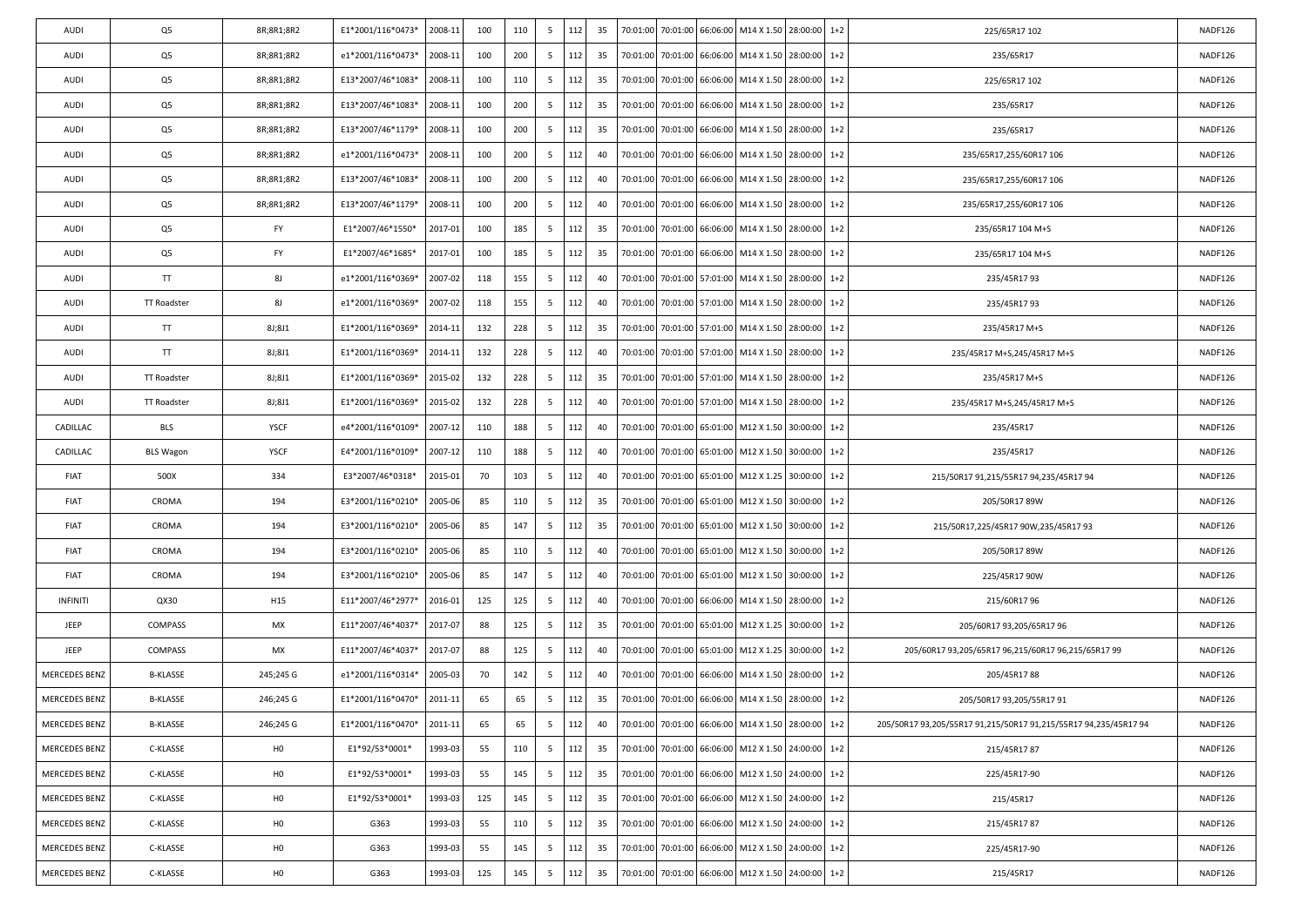| 112<br>Q5<br>35<br>235/65R17<br>NADF126<br>8R;8R1;8R2<br>e1*2001/116*0473*<br>2008-11<br>100<br>200<br>5<br>70:01:00<br>70:01:00<br>66:06:00 M14 X 1.50 28:00:00<br>$1+2$<br>AUDI<br>Q5<br>8R;8R1;8R2<br>2008-11<br>112<br>35<br>70:01:00 66:06:00 M14 X 1.50<br>28:00:00<br>$1+2$<br>NADF126<br>AUDI<br>E13*2007/46*1083*<br>100<br>110<br>5<br>70:01:00<br>225/65R17 102<br>Q5<br>112<br>AUDI<br>8R;8R1;8R2<br>E13*2007/46*1083*<br>2008-11<br>100<br>200<br>5<br>35<br>70:01:00<br>70:01:00 66:06:00 M14 X 1.50 28:00:00<br>$1+2$<br>NADF126<br>235/65R17<br>Q5<br>112<br>8R;8R1;8R2<br>2008-11<br>100<br>200<br>5<br>35<br>70:01:00<br>70:01:00<br>66:06:00 M14 X 1.50 28:00:00<br>$1+2$<br>235/65R17<br>NADF126<br>AUDI<br>E13*2007/46*1179*<br>Q5<br>112<br>70:01:00 66:06:00 M14 X 1.50 28:00:00<br>$1+2$<br>NADF126<br>AUDI<br>8R;8R1;8R2<br>e1*2001/116*0473*<br>2008-11<br>100<br>200<br>5<br>40<br>70:01:00<br>235/65R17,255/60R17 106<br>Q5<br>112<br>AUDI<br>8R;8R1;8R2<br>E13*2007/46*1083*<br>2008-11<br>100<br>200<br>5<br>40<br>70:01:00<br>70:01:00 66:06:00 M14 X 1.50 28:00:00<br>$1+2$<br>235/65R17,255/60R17 106<br>NADF126<br>Q5<br>8R;8R1;8R2<br>2008-11<br>100<br>200<br>112<br>M14 X 1.50 28:00:00<br>$1+2$<br>NADF126<br>AUDI<br>E13*2007/46*1179*<br>5<br>40<br>70:01:00<br>70:01:00 66:06:00<br>235/65R17,255/60R17 106<br>Q5<br>112<br>70:01:00 66:06:00 M14 X 1.50<br>28:00:00<br>$1+2$<br>NADF126<br>AUDI<br>FY<br>E1*2007/46*1550*<br>2017-01<br>100<br>185<br>5<br>35<br>70:01:00<br>235/65R17 104 M+S<br>Q5<br><b>FY</b><br>112<br>AUDI<br>E1*2007/46*1685*<br>2017-01<br>100<br>185<br>5<br>35<br>70:01:00<br>70:01:00 66:06:00 M14 X 1.50 28:00:00<br>$1+2$<br>235/65R17 104 M+S<br>NADF126<br>TT<br>8J<br>2007-02<br>118<br>155<br>112<br>70:01:00 70:01:00 57:01:00 M14 X 1.50 28:00:00<br>$1+2$<br>NADF126<br>AUDI<br>e1*2001/116*0369*<br>5<br>40<br>235/45R1793<br>8J<br>2007-02<br>155<br>112<br>40<br>70:01:00 57:01:00 M14 X 1.50<br>28:00:00<br>$1+2$<br>235/45R1793<br>NADF126<br>AUDI<br>TT Roadster<br>e1*2001/116*0369*<br>118<br>5<br>70:01:00<br>TT<br>112<br>AUDI<br>8J;8J1<br>E1*2001/116*0369*<br>2014-11<br>132<br>228<br>5<br>35<br>70:01:00<br>70:01:00 57:01:00 M14 X 1.50 28:00:00<br>$1+2$<br>NADF126<br>235/45R17 M+S<br>TT<br>E1*2001/116*0369*<br>2014-11<br>132<br>228<br>112<br>70:01:00 70:01:00 57:01:00 M14 X 1.50 28:00:00<br>$1+2$<br>NADF126<br>AUDI<br>8J;8J1<br>5<br>40<br>235/45R17 M+S,245/45R17 M+S<br>228<br>112<br>35<br>70:01:00 57:01:00 M14 X 1.50<br>28:00:00<br>$1+2$<br>235/45R17 M+S<br>NADF126<br>AUDI<br><b>TT Roadster</b><br>8J;8J1<br>E1*2001/116*0369*<br>2015-02<br>132<br>5<br>70:01:00<br>112<br>NADF126<br>AUDI<br><b>TT Roadster</b><br>8J;8J1<br>E1*2001/116*0369*<br>2015-02<br>132<br>228<br>40<br>70:01:00<br>70:01:00 57:01:00 M14 X 1.50 28:00:00<br>$1+2$<br>5<br>235/45R17 M+S,245/45R17 M+S<br>CADILLAC<br><b>BLS</b><br><b>YSCF</b><br>2007-12<br>110<br>188<br>112<br>70:01:00 65:01:00 M12 X 1.50 30:00:00<br>NADF126<br>e4*2001/116*0109*<br>5<br>40<br>70:01:00<br>$1+2$<br>235/45R17<br>112<br>YSCF<br>2007-12<br>188<br>70:01:00 65:01:00 M12 X 1.50 30:00:00<br>$1+2$<br>NADF126<br>CADILLAC<br><b>BLS Wagon</b><br>E4*2001/116*0109*<br>110<br>5<br>40<br>70:01:00<br>235/45R17<br>334<br>112<br><b>FIAT</b><br>500X<br>E3*2007/46*0318*<br>2015-01<br>70<br>103<br>5<br>40<br>70:01:00<br>70:01:00 65:01:00 M12 X 1.25 30:00:00<br>NADF126<br>$1+2$<br>215/50R17 91,215/55R17 94,235/45R17 94<br>194<br>2005-06<br>85<br>112<br>70:01:00 70:01:00 65:01:00 M12 X 1.50 30:00:00<br>$1+2$<br>NADF126<br>FIAT<br>CROMA<br>E3*2001/116*0210*<br>110<br>5<br>35<br>205/50R17 89W<br>85<br>112<br>35<br>FIAT<br>CROMA<br>194<br>E3*2001/116*0210*<br>2005-06<br>147<br>5<br>70:01:00<br>70:01:00 65:01:00 M12 X 1.50 30:00:00<br>$1+2$<br>215/50R17,225/45R17 90W,235/45R17 93<br>NADF126<br>194<br>112<br><b>FIAT</b><br>CROMA<br>E3*2001/116*0210*<br>2005-06<br>85<br>110<br>5<br>40<br>70:01:00<br>70:01:00<br>65:01:00 M12 X 1.50 30:00:00<br>NADF126<br>$1+2$<br>205/50R17 89W<br>2005-06<br>85<br>147<br>112<br>FIAT<br>CROMA<br>194<br>E3*2001/116*0210*<br>5<br>40<br>70:01:00 70:01:00 65:01:00 M12 X 1.50 30:00:00<br>$1+2$<br>225/45R17 90W<br>NADF126<br>112<br>125<br>$1+2$<br><b>INFINITI</b><br>QX30<br>H <sub>15</sub><br>E11*2007/46*2977*<br>2016-01<br>125<br>5<br>40<br>70:01:00<br>70:01:00<br>66:06:00 M14 X 1.50 28:00:00<br>215/60R1796<br>NADF126<br>JEEP<br>MX<br>88<br>112<br>70:01:00 65:01:00 M12 X 1.25 30:00:00<br>NADF126<br>COMPASS<br>E11*2007/46*4037*<br>2017-07<br>125<br>5<br>35<br>70:01:00<br>$1+2$<br>205/60R17 93,205/65R17 96<br>E11*2007/46*4037*<br>2017-07<br>88<br>125<br>112<br>JEEP<br><b>COMPASS</b><br>МX<br>5<br>40<br>70:01:00<br>70:01:00 65:01:00 M12 X 1.25 30:00:00<br>$1+2$<br>205/60R17 93,205/65R17 96,215/60R17 96,215/65R17 99<br>NADF126<br>112<br>142<br>$1+2$<br><b>MERCEDES BENZ</b><br><b>B-KLASSE</b><br>245;245 G<br>e1*2001/116*0314*<br>2005-03<br>70<br>5<br>40<br>70:01:00<br>70:01:00<br>66:06:00 M14 X 1.50<br>28:00:00<br>205/45R1788<br>NADF126<br><b>B-KLASSE</b><br>112<br>NADF126<br>MERCEDES BENZ<br>246;245 G<br>E1*2001/116*0470*<br>2011-11<br>65<br>65<br>5<br>35<br>70:01:00<br>70:01:00 66:06:00 M14 X 1.50 28:00:00<br>$1+2$<br>205/50R17 93,205/55R17 91<br>MERCEDES BENZ<br>E1*2001/116*0470*<br>2011-11<br>65<br>65<br>112<br>40<br>70:01:00 70:01:00 66:06:00 M14 X 1.50 28:00:00 1+2<br>NADF126<br><b>B-KLASSE</b><br>246;245 G<br>5<br>205/50R17 93,205/55R17 91,215/50R17 91,215/55R17 94,235/45R17 94<br>112<br>70:01:00 70:01:00 66:06:00 M12 X 1.50 24:00:00<br>$1+2$<br>MERCEDES BENZ<br>C-KLASSE<br>H <sub>0</sub><br>E1*92/53*0001*<br>1993-03<br>55<br>110<br>5<br>35<br>NADF126<br>215/45R1787<br>MERCEDES BENZ<br>C-KLASSE<br>H <sub>0</sub><br>1993-03<br>55<br>5<br>112<br>35<br>70:01:00<br>70:01:00<br>66:06:00<br>M12 X 1.50 24:00:00<br>$1+2$<br>NADF126<br>E1*92/53*0001*<br>145<br>225/45R17-90<br>MERCEDES BENZ<br>H <sub>0</sub><br>112<br>70:01:00<br>66:06:00 M12 X 1.50 24:00:00<br>$1+2$<br>C-KLASSE<br>E1*92/53*0001*<br>1993-03<br>125<br>145<br>5<br>35<br>70:01:00<br>215/45R17<br>NADF126<br>112<br>MERCEDES BENZ<br>C-KLASSE<br>H <sub>0</sub><br>G363<br>1993-03<br>55<br>110<br>5<br>35<br>70:01:00 70:01:00 66:06:00 M12 X 1.50 24:00:00<br>$1 + 2$<br>NADF126<br>215/45R1787<br>MERCEDES BENZ<br>H <sub>0</sub><br>70:01:00<br>66:06:00<br>M12 X 1.50 24:00:00<br>C-KLASSE<br>G363<br>1993-03<br>55<br>145<br>5<br>112<br>35<br>70:01:00<br>$1+2$<br>225/45R17-90<br>NADF126<br>112<br>MERCEDES BENZ<br>1993-03<br>125<br>145<br>35<br>70:01:00<br>70:01:00<br>66:06:00<br>M12 X 1.50 24:00:00<br>$1 + 2$<br>C-KLASSE<br>H <sub>0</sub><br>G363<br>5<br>NADF126<br>215/45R17 | AUDI | Q5 | 8R;8R1;8R2 | E1*2001/116*0473* | 2008-11 | 100 | 110 | 5 | 112 | 35 |  | 70:01:00 70:01:00 66:06:00 M14 X 1.50 28:00:00 | $1+2$ | 225/65R17 102 | NADF126 |
|-----------------------------------------------------------------------------------------------------------------------------------------------------------------------------------------------------------------------------------------------------------------------------------------------------------------------------------------------------------------------------------------------------------------------------------------------------------------------------------------------------------------------------------------------------------------------------------------------------------------------------------------------------------------------------------------------------------------------------------------------------------------------------------------------------------------------------------------------------------------------------------------------------------------------------------------------------------------------------------------------------------------------------------------------------------------------------------------------------------------------------------------------------------------------------------------------------------------------------------------------------------------------------------------------------------------------------------------------------------------------------------------------------------------------------------------------------------------------------------------------------------------------------------------------------------------------------------------------------------------------------------------------------------------------------------------------------------------------------------------------------------------------------------------------------------------------------------------------------------------------------------------------------------------------------------------------------------------------------------------------------------------------------------------------------------------------------------------------------------------------------------------------------------------------------------------------------------------------------------------------------------------------------------------------------------------------------------------------------------------------------------------------------------------------------------------------------------------------------------------------------------------------------------------------------------------------------------------------------------------------------------------------------------------------------------------------------------------------------------------------------------------------------------------------------------------------------------------------------------------------------------------------------------------------------------------------------------------------------------------------------------------------------------------------------------------------------------------------------------------------------------------------------------------------------------------------------------------------------------------------------------------------------------------------------------------------------------------------------------------------------------------------------------------------------------------------------------------------------------------------------------------------------------------------------------------------------------------------------------------------------------------------------------------------------------------------------------------------------------------------------------------------------------------------------------------------------------------------------------------------------------------------------------------------------------------------------------------------------------------------------------------------------------------------------------------------------------------------------------------------------------------------------------------------------------------------------------------------------------------------------------------------------------------------------------------------------------------------------------------------------------------------------------------------------------------------------------------------------------------------------------------------------------------------------------------------------------------------------------------------------------------------------------------------------------------------------------------------------------------------------------------------------------------------------------------------------------------------------------------------------------------------------------------------------------------------------------------------------------------------------------------------------------------------------------------------------------------------------------------------------------------------------------------------------------------------------------------------------------------------------------------------------------------------------------------------------------------------------------------------------------------------------------------------------------------------------------------------------------------------------------------------------------------------------------------------------------------------------------------------------------------------------------------------------------------------------------------------------------------------------------------------------------------------------------------------------------------------------------------------------------------------------------------------------------------------------------------------------------------------------------------------------------------------------------------------------------------------------------------------------------------------------------------------------------------------------------------------------------------------------------------------------------------------------------------------------------------------------------------------------------------------------------------------------------------------------------------------------------------------------------------------------------------------------------------------------------------------------------------------------------------------------------------------------------------------------------------------------------------------------------------------------------------------------------------------------|------|----|------------|-------------------|---------|-----|-----|---|-----|----|--|------------------------------------------------|-------|---------------|---------|
|                                                                                                                                                                                                                                                                                                                                                                                                                                                                                                                                                                                                                                                                                                                                                                                                                                                                                                                                                                                                                                                                                                                                                                                                                                                                                                                                                                                                                                                                                                                                                                                                                                                                                                                                                                                                                                                                                                                                                                                                                                                                                                                                                                                                                                                                                                                                                                                                                                                                                                                                                                                                                                                                                                                                                                                                                                                                                                                                                                                                                                                                                                                                                                                                                                                                                                                                                                                                                                                                                                                                                                                                                                                                                                                                                                                                                                                                                                                                                                                                                                                                                                                                                                                                                                                                                                                                                                                                                                                                                                                                                                                                                                                                                                                                                                                                                                                                                                                                                                                                                                                                                                                                                                                                                                                                                                                                                                                                                                                                                                                                                                                                                                                                                                                                                                                                                                                                                                                                                                                                                                                                                                                                                                                                                                                                                                                                                                                                                                                                                                                                                                                                                                                                                                                                                                                                                             |      |    |            |                   |         |     |     |   |     |    |  |                                                |       |               |         |
|                                                                                                                                                                                                                                                                                                                                                                                                                                                                                                                                                                                                                                                                                                                                                                                                                                                                                                                                                                                                                                                                                                                                                                                                                                                                                                                                                                                                                                                                                                                                                                                                                                                                                                                                                                                                                                                                                                                                                                                                                                                                                                                                                                                                                                                                                                                                                                                                                                                                                                                                                                                                                                                                                                                                                                                                                                                                                                                                                                                                                                                                                                                                                                                                                                                                                                                                                                                                                                                                                                                                                                                                                                                                                                                                                                                                                                                                                                                                                                                                                                                                                                                                                                                                                                                                                                                                                                                                                                                                                                                                                                                                                                                                                                                                                                                                                                                                                                                                                                                                                                                                                                                                                                                                                                                                                                                                                                                                                                                                                                                                                                                                                                                                                                                                                                                                                                                                                                                                                                                                                                                                                                                                                                                                                                                                                                                                                                                                                                                                                                                                                                                                                                                                                                                                                                                                                             |      |    |            |                   |         |     |     |   |     |    |  |                                                |       |               |         |
|                                                                                                                                                                                                                                                                                                                                                                                                                                                                                                                                                                                                                                                                                                                                                                                                                                                                                                                                                                                                                                                                                                                                                                                                                                                                                                                                                                                                                                                                                                                                                                                                                                                                                                                                                                                                                                                                                                                                                                                                                                                                                                                                                                                                                                                                                                                                                                                                                                                                                                                                                                                                                                                                                                                                                                                                                                                                                                                                                                                                                                                                                                                                                                                                                                                                                                                                                                                                                                                                                                                                                                                                                                                                                                                                                                                                                                                                                                                                                                                                                                                                                                                                                                                                                                                                                                                                                                                                                                                                                                                                                                                                                                                                                                                                                                                                                                                                                                                                                                                                                                                                                                                                                                                                                                                                                                                                                                                                                                                                                                                                                                                                                                                                                                                                                                                                                                                                                                                                                                                                                                                                                                                                                                                                                                                                                                                                                                                                                                                                                                                                                                                                                                                                                                                                                                                                                             |      |    |            |                   |         |     |     |   |     |    |  |                                                |       |               |         |
|                                                                                                                                                                                                                                                                                                                                                                                                                                                                                                                                                                                                                                                                                                                                                                                                                                                                                                                                                                                                                                                                                                                                                                                                                                                                                                                                                                                                                                                                                                                                                                                                                                                                                                                                                                                                                                                                                                                                                                                                                                                                                                                                                                                                                                                                                                                                                                                                                                                                                                                                                                                                                                                                                                                                                                                                                                                                                                                                                                                                                                                                                                                                                                                                                                                                                                                                                                                                                                                                                                                                                                                                                                                                                                                                                                                                                                                                                                                                                                                                                                                                                                                                                                                                                                                                                                                                                                                                                                                                                                                                                                                                                                                                                                                                                                                                                                                                                                                                                                                                                                                                                                                                                                                                                                                                                                                                                                                                                                                                                                                                                                                                                                                                                                                                                                                                                                                                                                                                                                                                                                                                                                                                                                                                                                                                                                                                                                                                                                                                                                                                                                                                                                                                                                                                                                                                                             |      |    |            |                   |         |     |     |   |     |    |  |                                                |       |               |         |
|                                                                                                                                                                                                                                                                                                                                                                                                                                                                                                                                                                                                                                                                                                                                                                                                                                                                                                                                                                                                                                                                                                                                                                                                                                                                                                                                                                                                                                                                                                                                                                                                                                                                                                                                                                                                                                                                                                                                                                                                                                                                                                                                                                                                                                                                                                                                                                                                                                                                                                                                                                                                                                                                                                                                                                                                                                                                                                                                                                                                                                                                                                                                                                                                                                                                                                                                                                                                                                                                                                                                                                                                                                                                                                                                                                                                                                                                                                                                                                                                                                                                                                                                                                                                                                                                                                                                                                                                                                                                                                                                                                                                                                                                                                                                                                                                                                                                                                                                                                                                                                                                                                                                                                                                                                                                                                                                                                                                                                                                                                                                                                                                                                                                                                                                                                                                                                                                                                                                                                                                                                                                                                                                                                                                                                                                                                                                                                                                                                                                                                                                                                                                                                                                                                                                                                                                                             |      |    |            |                   |         |     |     |   |     |    |  |                                                |       |               |         |
|                                                                                                                                                                                                                                                                                                                                                                                                                                                                                                                                                                                                                                                                                                                                                                                                                                                                                                                                                                                                                                                                                                                                                                                                                                                                                                                                                                                                                                                                                                                                                                                                                                                                                                                                                                                                                                                                                                                                                                                                                                                                                                                                                                                                                                                                                                                                                                                                                                                                                                                                                                                                                                                                                                                                                                                                                                                                                                                                                                                                                                                                                                                                                                                                                                                                                                                                                                                                                                                                                                                                                                                                                                                                                                                                                                                                                                                                                                                                                                                                                                                                                                                                                                                                                                                                                                                                                                                                                                                                                                                                                                                                                                                                                                                                                                                                                                                                                                                                                                                                                                                                                                                                                                                                                                                                                                                                                                                                                                                                                                                                                                                                                                                                                                                                                                                                                                                                                                                                                                                                                                                                                                                                                                                                                                                                                                                                                                                                                                                                                                                                                                                                                                                                                                                                                                                                                             |      |    |            |                   |         |     |     |   |     |    |  |                                                |       |               |         |
|                                                                                                                                                                                                                                                                                                                                                                                                                                                                                                                                                                                                                                                                                                                                                                                                                                                                                                                                                                                                                                                                                                                                                                                                                                                                                                                                                                                                                                                                                                                                                                                                                                                                                                                                                                                                                                                                                                                                                                                                                                                                                                                                                                                                                                                                                                                                                                                                                                                                                                                                                                                                                                                                                                                                                                                                                                                                                                                                                                                                                                                                                                                                                                                                                                                                                                                                                                                                                                                                                                                                                                                                                                                                                                                                                                                                                                                                                                                                                                                                                                                                                                                                                                                                                                                                                                                                                                                                                                                                                                                                                                                                                                                                                                                                                                                                                                                                                                                                                                                                                                                                                                                                                                                                                                                                                                                                                                                                                                                                                                                                                                                                                                                                                                                                                                                                                                                                                                                                                                                                                                                                                                                                                                                                                                                                                                                                                                                                                                                                                                                                                                                                                                                                                                                                                                                                                             |      |    |            |                   |         |     |     |   |     |    |  |                                                |       |               |         |
|                                                                                                                                                                                                                                                                                                                                                                                                                                                                                                                                                                                                                                                                                                                                                                                                                                                                                                                                                                                                                                                                                                                                                                                                                                                                                                                                                                                                                                                                                                                                                                                                                                                                                                                                                                                                                                                                                                                                                                                                                                                                                                                                                                                                                                                                                                                                                                                                                                                                                                                                                                                                                                                                                                                                                                                                                                                                                                                                                                                                                                                                                                                                                                                                                                                                                                                                                                                                                                                                                                                                                                                                                                                                                                                                                                                                                                                                                                                                                                                                                                                                                                                                                                                                                                                                                                                                                                                                                                                                                                                                                                                                                                                                                                                                                                                                                                                                                                                                                                                                                                                                                                                                                                                                                                                                                                                                                                                                                                                                                                                                                                                                                                                                                                                                                                                                                                                                                                                                                                                                                                                                                                                                                                                                                                                                                                                                                                                                                                                                                                                                                                                                                                                                                                                                                                                                                             |      |    |            |                   |         |     |     |   |     |    |  |                                                |       |               |         |
|                                                                                                                                                                                                                                                                                                                                                                                                                                                                                                                                                                                                                                                                                                                                                                                                                                                                                                                                                                                                                                                                                                                                                                                                                                                                                                                                                                                                                                                                                                                                                                                                                                                                                                                                                                                                                                                                                                                                                                                                                                                                                                                                                                                                                                                                                                                                                                                                                                                                                                                                                                                                                                                                                                                                                                                                                                                                                                                                                                                                                                                                                                                                                                                                                                                                                                                                                                                                                                                                                                                                                                                                                                                                                                                                                                                                                                                                                                                                                                                                                                                                                                                                                                                                                                                                                                                                                                                                                                                                                                                                                                                                                                                                                                                                                                                                                                                                                                                                                                                                                                                                                                                                                                                                                                                                                                                                                                                                                                                                                                                                                                                                                                                                                                                                                                                                                                                                                                                                                                                                                                                                                                                                                                                                                                                                                                                                                                                                                                                                                                                                                                                                                                                                                                                                                                                                                             |      |    |            |                   |         |     |     |   |     |    |  |                                                |       |               |         |
|                                                                                                                                                                                                                                                                                                                                                                                                                                                                                                                                                                                                                                                                                                                                                                                                                                                                                                                                                                                                                                                                                                                                                                                                                                                                                                                                                                                                                                                                                                                                                                                                                                                                                                                                                                                                                                                                                                                                                                                                                                                                                                                                                                                                                                                                                                                                                                                                                                                                                                                                                                                                                                                                                                                                                                                                                                                                                                                                                                                                                                                                                                                                                                                                                                                                                                                                                                                                                                                                                                                                                                                                                                                                                                                                                                                                                                                                                                                                                                                                                                                                                                                                                                                                                                                                                                                                                                                                                                                                                                                                                                                                                                                                                                                                                                                                                                                                                                                                                                                                                                                                                                                                                                                                                                                                                                                                                                                                                                                                                                                                                                                                                                                                                                                                                                                                                                                                                                                                                                                                                                                                                                                                                                                                                                                                                                                                                                                                                                                                                                                                                                                                                                                                                                                                                                                                                             |      |    |            |                   |         |     |     |   |     |    |  |                                                |       |               |         |
|                                                                                                                                                                                                                                                                                                                                                                                                                                                                                                                                                                                                                                                                                                                                                                                                                                                                                                                                                                                                                                                                                                                                                                                                                                                                                                                                                                                                                                                                                                                                                                                                                                                                                                                                                                                                                                                                                                                                                                                                                                                                                                                                                                                                                                                                                                                                                                                                                                                                                                                                                                                                                                                                                                                                                                                                                                                                                                                                                                                                                                                                                                                                                                                                                                                                                                                                                                                                                                                                                                                                                                                                                                                                                                                                                                                                                                                                                                                                                                                                                                                                                                                                                                                                                                                                                                                                                                                                                                                                                                                                                                                                                                                                                                                                                                                                                                                                                                                                                                                                                                                                                                                                                                                                                                                                                                                                                                                                                                                                                                                                                                                                                                                                                                                                                                                                                                                                                                                                                                                                                                                                                                                                                                                                                                                                                                                                                                                                                                                                                                                                                                                                                                                                                                                                                                                                                             |      |    |            |                   |         |     |     |   |     |    |  |                                                |       |               |         |
|                                                                                                                                                                                                                                                                                                                                                                                                                                                                                                                                                                                                                                                                                                                                                                                                                                                                                                                                                                                                                                                                                                                                                                                                                                                                                                                                                                                                                                                                                                                                                                                                                                                                                                                                                                                                                                                                                                                                                                                                                                                                                                                                                                                                                                                                                                                                                                                                                                                                                                                                                                                                                                                                                                                                                                                                                                                                                                                                                                                                                                                                                                                                                                                                                                                                                                                                                                                                                                                                                                                                                                                                                                                                                                                                                                                                                                                                                                                                                                                                                                                                                                                                                                                                                                                                                                                                                                                                                                                                                                                                                                                                                                                                                                                                                                                                                                                                                                                                                                                                                                                                                                                                                                                                                                                                                                                                                                                                                                                                                                                                                                                                                                                                                                                                                                                                                                                                                                                                                                                                                                                                                                                                                                                                                                                                                                                                                                                                                                                                                                                                                                                                                                                                                                                                                                                                                             |      |    |            |                   |         |     |     |   |     |    |  |                                                |       |               |         |
|                                                                                                                                                                                                                                                                                                                                                                                                                                                                                                                                                                                                                                                                                                                                                                                                                                                                                                                                                                                                                                                                                                                                                                                                                                                                                                                                                                                                                                                                                                                                                                                                                                                                                                                                                                                                                                                                                                                                                                                                                                                                                                                                                                                                                                                                                                                                                                                                                                                                                                                                                                                                                                                                                                                                                                                                                                                                                                                                                                                                                                                                                                                                                                                                                                                                                                                                                                                                                                                                                                                                                                                                                                                                                                                                                                                                                                                                                                                                                                                                                                                                                                                                                                                                                                                                                                                                                                                                                                                                                                                                                                                                                                                                                                                                                                                                                                                                                                                                                                                                                                                                                                                                                                                                                                                                                                                                                                                                                                                                                                                                                                                                                                                                                                                                                                                                                                                                                                                                                                                                                                                                                                                                                                                                                                                                                                                                                                                                                                                                                                                                                                                                                                                                                                                                                                                                                             |      |    |            |                   |         |     |     |   |     |    |  |                                                |       |               |         |
|                                                                                                                                                                                                                                                                                                                                                                                                                                                                                                                                                                                                                                                                                                                                                                                                                                                                                                                                                                                                                                                                                                                                                                                                                                                                                                                                                                                                                                                                                                                                                                                                                                                                                                                                                                                                                                                                                                                                                                                                                                                                                                                                                                                                                                                                                                                                                                                                                                                                                                                                                                                                                                                                                                                                                                                                                                                                                                                                                                                                                                                                                                                                                                                                                                                                                                                                                                                                                                                                                                                                                                                                                                                                                                                                                                                                                                                                                                                                                                                                                                                                                                                                                                                                                                                                                                                                                                                                                                                                                                                                                                                                                                                                                                                                                                                                                                                                                                                                                                                                                                                                                                                                                                                                                                                                                                                                                                                                                                                                                                                                                                                                                                                                                                                                                                                                                                                                                                                                                                                                                                                                                                                                                                                                                                                                                                                                                                                                                                                                                                                                                                                                                                                                                                                                                                                                                             |      |    |            |                   |         |     |     |   |     |    |  |                                                |       |               |         |
|                                                                                                                                                                                                                                                                                                                                                                                                                                                                                                                                                                                                                                                                                                                                                                                                                                                                                                                                                                                                                                                                                                                                                                                                                                                                                                                                                                                                                                                                                                                                                                                                                                                                                                                                                                                                                                                                                                                                                                                                                                                                                                                                                                                                                                                                                                                                                                                                                                                                                                                                                                                                                                                                                                                                                                                                                                                                                                                                                                                                                                                                                                                                                                                                                                                                                                                                                                                                                                                                                                                                                                                                                                                                                                                                                                                                                                                                                                                                                                                                                                                                                                                                                                                                                                                                                                                                                                                                                                                                                                                                                                                                                                                                                                                                                                                                                                                                                                                                                                                                                                                                                                                                                                                                                                                                                                                                                                                                                                                                                                                                                                                                                                                                                                                                                                                                                                                                                                                                                                                                                                                                                                                                                                                                                                                                                                                                                                                                                                                                                                                                                                                                                                                                                                                                                                                                                             |      |    |            |                   |         |     |     |   |     |    |  |                                                |       |               |         |
|                                                                                                                                                                                                                                                                                                                                                                                                                                                                                                                                                                                                                                                                                                                                                                                                                                                                                                                                                                                                                                                                                                                                                                                                                                                                                                                                                                                                                                                                                                                                                                                                                                                                                                                                                                                                                                                                                                                                                                                                                                                                                                                                                                                                                                                                                                                                                                                                                                                                                                                                                                                                                                                                                                                                                                                                                                                                                                                                                                                                                                                                                                                                                                                                                                                                                                                                                                                                                                                                                                                                                                                                                                                                                                                                                                                                                                                                                                                                                                                                                                                                                                                                                                                                                                                                                                                                                                                                                                                                                                                                                                                                                                                                                                                                                                                                                                                                                                                                                                                                                                                                                                                                                                                                                                                                                                                                                                                                                                                                                                                                                                                                                                                                                                                                                                                                                                                                                                                                                                                                                                                                                                                                                                                                                                                                                                                                                                                                                                                                                                                                                                                                                                                                                                                                                                                                                             |      |    |            |                   |         |     |     |   |     |    |  |                                                |       |               |         |
|                                                                                                                                                                                                                                                                                                                                                                                                                                                                                                                                                                                                                                                                                                                                                                                                                                                                                                                                                                                                                                                                                                                                                                                                                                                                                                                                                                                                                                                                                                                                                                                                                                                                                                                                                                                                                                                                                                                                                                                                                                                                                                                                                                                                                                                                                                                                                                                                                                                                                                                                                                                                                                                                                                                                                                                                                                                                                                                                                                                                                                                                                                                                                                                                                                                                                                                                                                                                                                                                                                                                                                                                                                                                                                                                                                                                                                                                                                                                                                                                                                                                                                                                                                                                                                                                                                                                                                                                                                                                                                                                                                                                                                                                                                                                                                                                                                                                                                                                                                                                                                                                                                                                                                                                                                                                                                                                                                                                                                                                                                                                                                                                                                                                                                                                                                                                                                                                                                                                                                                                                                                                                                                                                                                                                                                                                                                                                                                                                                                                                                                                                                                                                                                                                                                                                                                                                             |      |    |            |                   |         |     |     |   |     |    |  |                                                |       |               |         |
|                                                                                                                                                                                                                                                                                                                                                                                                                                                                                                                                                                                                                                                                                                                                                                                                                                                                                                                                                                                                                                                                                                                                                                                                                                                                                                                                                                                                                                                                                                                                                                                                                                                                                                                                                                                                                                                                                                                                                                                                                                                                                                                                                                                                                                                                                                                                                                                                                                                                                                                                                                                                                                                                                                                                                                                                                                                                                                                                                                                                                                                                                                                                                                                                                                                                                                                                                                                                                                                                                                                                                                                                                                                                                                                                                                                                                                                                                                                                                                                                                                                                                                                                                                                                                                                                                                                                                                                                                                                                                                                                                                                                                                                                                                                                                                                                                                                                                                                                                                                                                                                                                                                                                                                                                                                                                                                                                                                                                                                                                                                                                                                                                                                                                                                                                                                                                                                                                                                                                                                                                                                                                                                                                                                                                                                                                                                                                                                                                                                                                                                                                                                                                                                                                                                                                                                                                             |      |    |            |                   |         |     |     |   |     |    |  |                                                |       |               |         |
|                                                                                                                                                                                                                                                                                                                                                                                                                                                                                                                                                                                                                                                                                                                                                                                                                                                                                                                                                                                                                                                                                                                                                                                                                                                                                                                                                                                                                                                                                                                                                                                                                                                                                                                                                                                                                                                                                                                                                                                                                                                                                                                                                                                                                                                                                                                                                                                                                                                                                                                                                                                                                                                                                                                                                                                                                                                                                                                                                                                                                                                                                                                                                                                                                                                                                                                                                                                                                                                                                                                                                                                                                                                                                                                                                                                                                                                                                                                                                                                                                                                                                                                                                                                                                                                                                                                                                                                                                                                                                                                                                                                                                                                                                                                                                                                                                                                                                                                                                                                                                                                                                                                                                                                                                                                                                                                                                                                                                                                                                                                                                                                                                                                                                                                                                                                                                                                                                                                                                                                                                                                                                                                                                                                                                                                                                                                                                                                                                                                                                                                                                                                                                                                                                                                                                                                                                             |      |    |            |                   |         |     |     |   |     |    |  |                                                |       |               |         |
|                                                                                                                                                                                                                                                                                                                                                                                                                                                                                                                                                                                                                                                                                                                                                                                                                                                                                                                                                                                                                                                                                                                                                                                                                                                                                                                                                                                                                                                                                                                                                                                                                                                                                                                                                                                                                                                                                                                                                                                                                                                                                                                                                                                                                                                                                                                                                                                                                                                                                                                                                                                                                                                                                                                                                                                                                                                                                                                                                                                                                                                                                                                                                                                                                                                                                                                                                                                                                                                                                                                                                                                                                                                                                                                                                                                                                                                                                                                                                                                                                                                                                                                                                                                                                                                                                                                                                                                                                                                                                                                                                                                                                                                                                                                                                                                                                                                                                                                                                                                                                                                                                                                                                                                                                                                                                                                                                                                                                                                                                                                                                                                                                                                                                                                                                                                                                                                                                                                                                                                                                                                                                                                                                                                                                                                                                                                                                                                                                                                                                                                                                                                                                                                                                                                                                                                                                             |      |    |            |                   |         |     |     |   |     |    |  |                                                |       |               |         |
|                                                                                                                                                                                                                                                                                                                                                                                                                                                                                                                                                                                                                                                                                                                                                                                                                                                                                                                                                                                                                                                                                                                                                                                                                                                                                                                                                                                                                                                                                                                                                                                                                                                                                                                                                                                                                                                                                                                                                                                                                                                                                                                                                                                                                                                                                                                                                                                                                                                                                                                                                                                                                                                                                                                                                                                                                                                                                                                                                                                                                                                                                                                                                                                                                                                                                                                                                                                                                                                                                                                                                                                                                                                                                                                                                                                                                                                                                                                                                                                                                                                                                                                                                                                                                                                                                                                                                                                                                                                                                                                                                                                                                                                                                                                                                                                                                                                                                                                                                                                                                                                                                                                                                                                                                                                                                                                                                                                                                                                                                                                                                                                                                                                                                                                                                                                                                                                                                                                                                                                                                                                                                                                                                                                                                                                                                                                                                                                                                                                                                                                                                                                                                                                                                                                                                                                                                             |      |    |            |                   |         |     |     |   |     |    |  |                                                |       |               |         |
|                                                                                                                                                                                                                                                                                                                                                                                                                                                                                                                                                                                                                                                                                                                                                                                                                                                                                                                                                                                                                                                                                                                                                                                                                                                                                                                                                                                                                                                                                                                                                                                                                                                                                                                                                                                                                                                                                                                                                                                                                                                                                                                                                                                                                                                                                                                                                                                                                                                                                                                                                                                                                                                                                                                                                                                                                                                                                                                                                                                                                                                                                                                                                                                                                                                                                                                                                                                                                                                                                                                                                                                                                                                                                                                                                                                                                                                                                                                                                                                                                                                                                                                                                                                                                                                                                                                                                                                                                                                                                                                                                                                                                                                                                                                                                                                                                                                                                                                                                                                                                                                                                                                                                                                                                                                                                                                                                                                                                                                                                                                                                                                                                                                                                                                                                                                                                                                                                                                                                                                                                                                                                                                                                                                                                                                                                                                                                                                                                                                                                                                                                                                                                                                                                                                                                                                                                             |      |    |            |                   |         |     |     |   |     |    |  |                                                |       |               |         |
|                                                                                                                                                                                                                                                                                                                                                                                                                                                                                                                                                                                                                                                                                                                                                                                                                                                                                                                                                                                                                                                                                                                                                                                                                                                                                                                                                                                                                                                                                                                                                                                                                                                                                                                                                                                                                                                                                                                                                                                                                                                                                                                                                                                                                                                                                                                                                                                                                                                                                                                                                                                                                                                                                                                                                                                                                                                                                                                                                                                                                                                                                                                                                                                                                                                                                                                                                                                                                                                                                                                                                                                                                                                                                                                                                                                                                                                                                                                                                                                                                                                                                                                                                                                                                                                                                                                                                                                                                                                                                                                                                                                                                                                                                                                                                                                                                                                                                                                                                                                                                                                                                                                                                                                                                                                                                                                                                                                                                                                                                                                                                                                                                                                                                                                                                                                                                                                                                                                                                                                                                                                                                                                                                                                                                                                                                                                                                                                                                                                                                                                                                                                                                                                                                                                                                                                                                             |      |    |            |                   |         |     |     |   |     |    |  |                                                |       |               |         |
|                                                                                                                                                                                                                                                                                                                                                                                                                                                                                                                                                                                                                                                                                                                                                                                                                                                                                                                                                                                                                                                                                                                                                                                                                                                                                                                                                                                                                                                                                                                                                                                                                                                                                                                                                                                                                                                                                                                                                                                                                                                                                                                                                                                                                                                                                                                                                                                                                                                                                                                                                                                                                                                                                                                                                                                                                                                                                                                                                                                                                                                                                                                                                                                                                                                                                                                                                                                                                                                                                                                                                                                                                                                                                                                                                                                                                                                                                                                                                                                                                                                                                                                                                                                                                                                                                                                                                                                                                                                                                                                                                                                                                                                                                                                                                                                                                                                                                                                                                                                                                                                                                                                                                                                                                                                                                                                                                                                                                                                                                                                                                                                                                                                                                                                                                                                                                                                                                                                                                                                                                                                                                                                                                                                                                                                                                                                                                                                                                                                                                                                                                                                                                                                                                                                                                                                                                             |      |    |            |                   |         |     |     |   |     |    |  |                                                |       |               |         |
|                                                                                                                                                                                                                                                                                                                                                                                                                                                                                                                                                                                                                                                                                                                                                                                                                                                                                                                                                                                                                                                                                                                                                                                                                                                                                                                                                                                                                                                                                                                                                                                                                                                                                                                                                                                                                                                                                                                                                                                                                                                                                                                                                                                                                                                                                                                                                                                                                                                                                                                                                                                                                                                                                                                                                                                                                                                                                                                                                                                                                                                                                                                                                                                                                                                                                                                                                                                                                                                                                                                                                                                                                                                                                                                                                                                                                                                                                                                                                                                                                                                                                                                                                                                                                                                                                                                                                                                                                                                                                                                                                                                                                                                                                                                                                                                                                                                                                                                                                                                                                                                                                                                                                                                                                                                                                                                                                                                                                                                                                                                                                                                                                                                                                                                                                                                                                                                                                                                                                                                                                                                                                                                                                                                                                                                                                                                                                                                                                                                                                                                                                                                                                                                                                                                                                                                                                             |      |    |            |                   |         |     |     |   |     |    |  |                                                |       |               |         |
|                                                                                                                                                                                                                                                                                                                                                                                                                                                                                                                                                                                                                                                                                                                                                                                                                                                                                                                                                                                                                                                                                                                                                                                                                                                                                                                                                                                                                                                                                                                                                                                                                                                                                                                                                                                                                                                                                                                                                                                                                                                                                                                                                                                                                                                                                                                                                                                                                                                                                                                                                                                                                                                                                                                                                                                                                                                                                                                                                                                                                                                                                                                                                                                                                                                                                                                                                                                                                                                                                                                                                                                                                                                                                                                                                                                                                                                                                                                                                                                                                                                                                                                                                                                                                                                                                                                                                                                                                                                                                                                                                                                                                                                                                                                                                                                                                                                                                                                                                                                                                                                                                                                                                                                                                                                                                                                                                                                                                                                                                                                                                                                                                                                                                                                                                                                                                                                                                                                                                                                                                                                                                                                                                                                                                                                                                                                                                                                                                                                                                                                                                                                                                                                                                                                                                                                                                             |      |    |            |                   |         |     |     |   |     |    |  |                                                |       |               |         |
|                                                                                                                                                                                                                                                                                                                                                                                                                                                                                                                                                                                                                                                                                                                                                                                                                                                                                                                                                                                                                                                                                                                                                                                                                                                                                                                                                                                                                                                                                                                                                                                                                                                                                                                                                                                                                                                                                                                                                                                                                                                                                                                                                                                                                                                                                                                                                                                                                                                                                                                                                                                                                                                                                                                                                                                                                                                                                                                                                                                                                                                                                                                                                                                                                                                                                                                                                                                                                                                                                                                                                                                                                                                                                                                                                                                                                                                                                                                                                                                                                                                                                                                                                                                                                                                                                                                                                                                                                                                                                                                                                                                                                                                                                                                                                                                                                                                                                                                                                                                                                                                                                                                                                                                                                                                                                                                                                                                                                                                                                                                                                                                                                                                                                                                                                                                                                                                                                                                                                                                                                                                                                                                                                                                                                                                                                                                                                                                                                                                                                                                                                                                                                                                                                                                                                                                                                             |      |    |            |                   |         |     |     |   |     |    |  |                                                |       |               |         |
|                                                                                                                                                                                                                                                                                                                                                                                                                                                                                                                                                                                                                                                                                                                                                                                                                                                                                                                                                                                                                                                                                                                                                                                                                                                                                                                                                                                                                                                                                                                                                                                                                                                                                                                                                                                                                                                                                                                                                                                                                                                                                                                                                                                                                                                                                                                                                                                                                                                                                                                                                                                                                                                                                                                                                                                                                                                                                                                                                                                                                                                                                                                                                                                                                                                                                                                                                                                                                                                                                                                                                                                                                                                                                                                                                                                                                                                                                                                                                                                                                                                                                                                                                                                                                                                                                                                                                                                                                                                                                                                                                                                                                                                                                                                                                                                                                                                                                                                                                                                                                                                                                                                                                                                                                                                                                                                                                                                                                                                                                                                                                                                                                                                                                                                                                                                                                                                                                                                                                                                                                                                                                                                                                                                                                                                                                                                                                                                                                                                                                                                                                                                                                                                                                                                                                                                                                             |      |    |            |                   |         |     |     |   |     |    |  |                                                |       |               |         |
|                                                                                                                                                                                                                                                                                                                                                                                                                                                                                                                                                                                                                                                                                                                                                                                                                                                                                                                                                                                                                                                                                                                                                                                                                                                                                                                                                                                                                                                                                                                                                                                                                                                                                                                                                                                                                                                                                                                                                                                                                                                                                                                                                                                                                                                                                                                                                                                                                                                                                                                                                                                                                                                                                                                                                                                                                                                                                                                                                                                                                                                                                                                                                                                                                                                                                                                                                                                                                                                                                                                                                                                                                                                                                                                                                                                                                                                                                                                                                                                                                                                                                                                                                                                                                                                                                                                                                                                                                                                                                                                                                                                                                                                                                                                                                                                                                                                                                                                                                                                                                                                                                                                                                                                                                                                                                                                                                                                                                                                                                                                                                                                                                                                                                                                                                                                                                                                                                                                                                                                                                                                                                                                                                                                                                                                                                                                                                                                                                                                                                                                                                                                                                                                                                                                                                                                                                             |      |    |            |                   |         |     |     |   |     |    |  |                                                |       |               |         |
|                                                                                                                                                                                                                                                                                                                                                                                                                                                                                                                                                                                                                                                                                                                                                                                                                                                                                                                                                                                                                                                                                                                                                                                                                                                                                                                                                                                                                                                                                                                                                                                                                                                                                                                                                                                                                                                                                                                                                                                                                                                                                                                                                                                                                                                                                                                                                                                                                                                                                                                                                                                                                                                                                                                                                                                                                                                                                                                                                                                                                                                                                                                                                                                                                                                                                                                                                                                                                                                                                                                                                                                                                                                                                                                                                                                                                                                                                                                                                                                                                                                                                                                                                                                                                                                                                                                                                                                                                                                                                                                                                                                                                                                                                                                                                                                                                                                                                                                                                                                                                                                                                                                                                                                                                                                                                                                                                                                                                                                                                                                                                                                                                                                                                                                                                                                                                                                                                                                                                                                                                                                                                                                                                                                                                                                                                                                                                                                                                                                                                                                                                                                                                                                                                                                                                                                                                             |      |    |            |                   |         |     |     |   |     |    |  |                                                |       |               |         |
|                                                                                                                                                                                                                                                                                                                                                                                                                                                                                                                                                                                                                                                                                                                                                                                                                                                                                                                                                                                                                                                                                                                                                                                                                                                                                                                                                                                                                                                                                                                                                                                                                                                                                                                                                                                                                                                                                                                                                                                                                                                                                                                                                                                                                                                                                                                                                                                                                                                                                                                                                                                                                                                                                                                                                                                                                                                                                                                                                                                                                                                                                                                                                                                                                                                                                                                                                                                                                                                                                                                                                                                                                                                                                                                                                                                                                                                                                                                                                                                                                                                                                                                                                                                                                                                                                                                                                                                                                                                                                                                                                                                                                                                                                                                                                                                                                                                                                                                                                                                                                                                                                                                                                                                                                                                                                                                                                                                                                                                                                                                                                                                                                                                                                                                                                                                                                                                                                                                                                                                                                                                                                                                                                                                                                                                                                                                                                                                                                                                                                                                                                                                                                                                                                                                                                                                                                             |      |    |            |                   |         |     |     |   |     |    |  |                                                |       |               |         |
|                                                                                                                                                                                                                                                                                                                                                                                                                                                                                                                                                                                                                                                                                                                                                                                                                                                                                                                                                                                                                                                                                                                                                                                                                                                                                                                                                                                                                                                                                                                                                                                                                                                                                                                                                                                                                                                                                                                                                                                                                                                                                                                                                                                                                                                                                                                                                                                                                                                                                                                                                                                                                                                                                                                                                                                                                                                                                                                                                                                                                                                                                                                                                                                                                                                                                                                                                                                                                                                                                                                                                                                                                                                                                                                                                                                                                                                                                                                                                                                                                                                                                                                                                                                                                                                                                                                                                                                                                                                                                                                                                                                                                                                                                                                                                                                                                                                                                                                                                                                                                                                                                                                                                                                                                                                                                                                                                                                                                                                                                                                                                                                                                                                                                                                                                                                                                                                                                                                                                                                                                                                                                                                                                                                                                                                                                                                                                                                                                                                                                                                                                                                                                                                                                                                                                                                                                             |      |    |            |                   |         |     |     |   |     |    |  |                                                |       |               |         |
|                                                                                                                                                                                                                                                                                                                                                                                                                                                                                                                                                                                                                                                                                                                                                                                                                                                                                                                                                                                                                                                                                                                                                                                                                                                                                                                                                                                                                                                                                                                                                                                                                                                                                                                                                                                                                                                                                                                                                                                                                                                                                                                                                                                                                                                                                                                                                                                                                                                                                                                                                                                                                                                                                                                                                                                                                                                                                                                                                                                                                                                                                                                                                                                                                                                                                                                                                                                                                                                                                                                                                                                                                                                                                                                                                                                                                                                                                                                                                                                                                                                                                                                                                                                                                                                                                                                                                                                                                                                                                                                                                                                                                                                                                                                                                                                                                                                                                                                                                                                                                                                                                                                                                                                                                                                                                                                                                                                                                                                                                                                                                                                                                                                                                                                                                                                                                                                                                                                                                                                                                                                                                                                                                                                                                                                                                                                                                                                                                                                                                                                                                                                                                                                                                                                                                                                                                             |      |    |            |                   |         |     |     |   |     |    |  |                                                |       |               |         |
|                                                                                                                                                                                                                                                                                                                                                                                                                                                                                                                                                                                                                                                                                                                                                                                                                                                                                                                                                                                                                                                                                                                                                                                                                                                                                                                                                                                                                                                                                                                                                                                                                                                                                                                                                                                                                                                                                                                                                                                                                                                                                                                                                                                                                                                                                                                                                                                                                                                                                                                                                                                                                                                                                                                                                                                                                                                                                                                                                                                                                                                                                                                                                                                                                                                                                                                                                                                                                                                                                                                                                                                                                                                                                                                                                                                                                                                                                                                                                                                                                                                                                                                                                                                                                                                                                                                                                                                                                                                                                                                                                                                                                                                                                                                                                                                                                                                                                                                                                                                                                                                                                                                                                                                                                                                                                                                                                                                                                                                                                                                                                                                                                                                                                                                                                                                                                                                                                                                                                                                                                                                                                                                                                                                                                                                                                                                                                                                                                                                                                                                                                                                                                                                                                                                                                                                                                             |      |    |            |                   |         |     |     |   |     |    |  |                                                |       |               |         |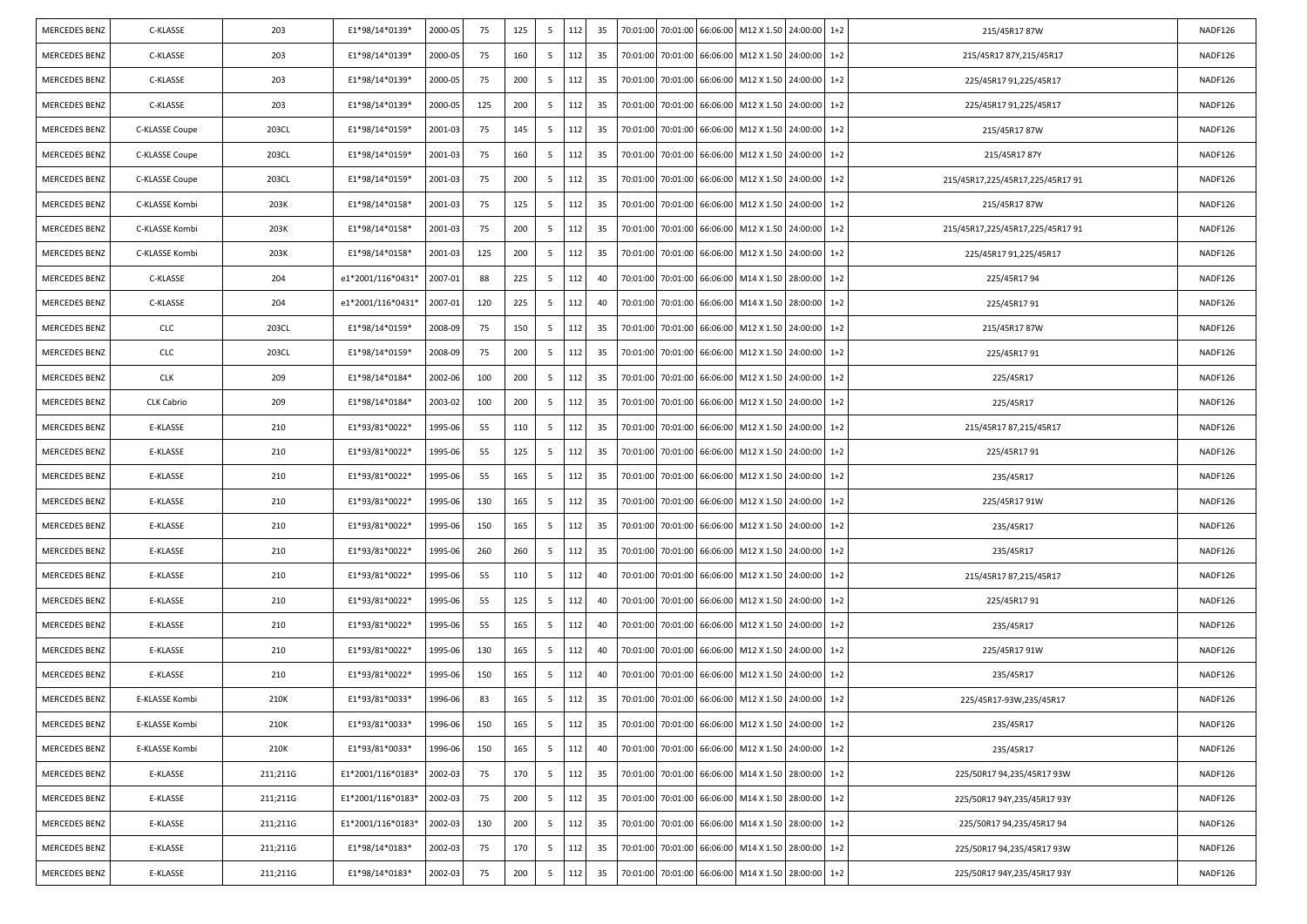| <b>MERCEDES BENZ</b> | C-KLASSE          | 203      | E1*98/14*0139*    | 2000-05 | 75  | 125 | 5               | 112 | 35  |          |                   |          | 70:01:00 70:01:00 66:06:00 M12 X 1.50 24:00:00     |          | $1+2$   | 215/45R1787W                    | NADF126 |
|----------------------|-------------------|----------|-------------------|---------|-----|-----|-----------------|-----|-----|----------|-------------------|----------|----------------------------------------------------|----------|---------|---------------------------------|---------|
| <b>MERCEDES BENZ</b> | C-KLASSE          | 203      | E1*98/14*0139*    | 2000-05 | 75  | 160 | 5               | 112 | 35  |          | 70:01:00 70:01:00 | 66:06:00 | M12 X 1.50                                         | 24:00:00 | $1+2$   | 215/45R17 87Y,215/45R17         | NADF126 |
| <b>MERCEDES BENZ</b> | C-KLASSE          | 203      | E1*98/14*0139*    | 2000-05 | 75  | 200 | 5               | 112 | 35  | 70:01:00 | 70:01:00          |          | 66:06:00 M12 X 1.50                                | 24:00:00 | $1+2$   | 225/45R17 91,225/45R17          | NADF126 |
| <b>MERCEDES BENZ</b> | C-KLASSE          | 203      | E1*98/14*0139*    | 2000-05 | 125 | 200 | 5               | 112 | -35 | 70:01:00 | 70:01:00          | 66:06:00 | M12 X 1.50                                         | 24:00:00 | $1+2$   | 225/45R17 91,225/45R17          | NADF126 |
| <b>MERCEDES BENZ</b> | C-KLASSE Coupe    | 203CL    | E1*98/14*0159*    | 2001-03 | 75  | 145 | 5               | 112 | 35  | 70:01:00 | 70:01:00          | 66:06:00 | M12 X 1.50                                         | 24:00:00 | $1+2$   | 215/45R1787W                    | NADF126 |
| <b>MERCEDES BENZ</b> | C-KLASSE Coupe    | 203CL    | E1*98/14*0159*    | 2001-03 | 75  | 160 | 5               | 112 | -35 | 70:01:00 | 70:01:00          |          | 66:06:00 M12 X 1.50                                | 24:00:00 | $1+2$   | 215/45R1787Y                    | NADF126 |
| <b>MERCEDES BENZ</b> | C-KLASSE Coupe    | 203CL    | E1*98/14*0159*    | 2001-03 | 75  | 200 | 5               | 112 | 35  | 70:01:00 | 70:01:00          | 66:06:00 | M12 X 1.50                                         | 24:00:00 | $1+2$   | 215/45R17,225/45R17,225/45R1791 | NADF126 |
| <b>MERCEDES BENZ</b> | C-KLASSE Kombi    | 203K     | E1*98/14*0158*    | 2001-03 | 75  | 125 | 5               | 112 | -35 |          | 70:01:00 70:01:00 | 66:06:00 | M12 X 1.50 24:00:00                                |          | $1+2$   | 215/45R1787W                    | NADF126 |
| <b>MERCEDES BENZ</b> | C-KLASSE Kombi    | 203K     | E1*98/14*0158*    | 2001-03 | 75  | 200 | 5               | 112 | 35  | 70:01:00 | 70:01:00          |          | 66:06:00 M12 X 1.50                                | 24:00:00 | $1+2$   | 215/45R17,225/45R17,225/45R1791 | NADF126 |
| <b>MERCEDES BENZ</b> | C-KLASSE Kombi    | 203K     | E1*98/14*0158*    | 2001-03 | 125 | 200 | 5               | 112 | -35 | 70:01:00 | 70:01:00          | 66:06:00 | M12 X 1.50                                         | 24:00:00 | $1+2$   | 225/45R17 91,225/45R17          | NADF126 |
| <b>MERCEDES BENZ</b> | C-KLASSE          | 204      | e1*2001/116*0431* | 2007-01 | 88  | 225 | 5               | 112 | 40  |          | 70:01:00 70:01:00 | 66:06:00 | M14 X 1.50 28:00:00                                |          | $1+2$   | 225/45R1794                     | NADF126 |
| <b>MERCEDES BENZ</b> | C-KLASSE          | 204      | e1*2001/116*0431* | 2007-01 | 120 | 225 | 5               | 112 | 40  | 70:01:00 | 70:01:00          |          | 66:06:00 M14 X 1.50                                | 28:00:00 | $1 + 2$ | 225/45R1791                     | NADF126 |
| MERCEDES BENZ        | <b>CLC</b>        | 203CL    | E1*98/14*0159*    | 2008-09 | 75  | 150 | 5               | 112 | -35 | 70:01:00 | 70:01:00          | 66:06:00 | M12 X 1.50                                         | 24:00:00 | $1+2$   | 215/45R1787W                    | NADF126 |
| <b>MERCEDES BENZ</b> | <b>CLC</b>        | 203CL    | E1*98/14*0159*    | 2008-09 | 75  | 200 | 5               | 112 | 35  |          | 70:01:00 70:01:00 | 66:06:00 | M12 X 1.50 24:00:00                                |          | $1+2$   | 225/45R1791                     | NADF126 |
| <b>MERCEDES BENZ</b> | <b>CLK</b>        | 209      | E1*98/14*0184*    | 2002-06 | 100 | 200 | 5               | 112 | -35 | 70:01:00 | 70:01:00          |          | 66:06:00 M12 X 1.50                                | 24:00:00 | $1+2$   | 225/45R17                       | NADF126 |
| <b>MERCEDES BENZ</b> | <b>CLK Cabrio</b> | 209      | E1*98/14*0184*    | 2003-02 | 100 | 200 | 5               | 112 | -35 | 70:01:00 | 70:01:00          | 66:06:00 | M12 X 1.50                                         | 24:00:00 | $1+2$   | 225/45R17                       | NADF126 |
| <b>MERCEDES BENZ</b> | E-KLASSE          | 210      | E1*93/81*0022*    | 1995-06 | 55  | 110 | 5               | 112 | 35  |          | 70:01:00 70:01:00 | 66:06:00 | M12 X 1.50 24:00:00                                |          | $1+2$   | 215/45R17 87,215/45R17          | NADF126 |
| <b>MERCEDES BENZ</b> | E-KLASSE          | 210      | E1*93/81*0022*    | 1995-06 | 55  | 125 | 5               | 112 | 35  | 70:01:00 | 70:01:00          |          | 66:06:00 M12 X 1.50                                | 24:00:00 | $1+2$   | 225/45R1791                     | NADF126 |
| <b>MERCEDES BENZ</b> | E-KLASSE          | 210      | E1*93/81*0022*    | 1995-06 | 55  | 165 | 5               | 112 | -35 | 70:01:00 | 70:01:00          | 66:06:00 | M12 X 1.50                                         | 24:00:00 | $1+2$   | 235/45R17                       | NADF126 |
| <b>MERCEDES BENZ</b> | E-KLASSE          | 210      | E1*93/81*0022*    | 1995-06 | 130 | 165 | 5               | 112 | 35  |          | 70:01:00 70:01:00 | 66:06:00 | M12 X 1.50 24:00:00                                |          | $1+2$   | 225/45R17 91W                   | NADF126 |
| <b>MERCEDES BENZ</b> | E-KLASSE          | 210      | E1*93/81*0022*    | 1995-06 | 150 | 165 | 5               | 112 | -35 | 70:01:00 | 70:01:00          | 66:06:00 | M12 X 1.50                                         | 24:00:00 | $1+2$   | 235/45R17                       | NADF126 |
| <b>MERCEDES BENZ</b> | E-KLASSE          | 210      | E1*93/81*0022*    | 1995-06 | 260 | 260 | 5               | 112 | 35  | 70:01:00 | 70:01:00          | 66:06:00 | M12 X 1.50                                         | 24:00:00 | $1+2$   | 235/45R17                       | NADF126 |
| <b>MERCEDES BENZ</b> | E-KLASSE          | 210      | E1*93/81*0022*    | 1995-06 | 55  | 110 | 5               | 112 | 40  | 70:01:00 | 70:01:00          | 66:06:00 | M12 X 1.50                                         | 24:00:00 | $1+2$   | 215/45R17 87,215/45R17          | NADF126 |
| <b>MERCEDES BENZ</b> | E-KLASSE          | 210      | E1*93/81*0022*    | 1995-06 | 55  | 125 | 5               | 112 | 40  | 70:01:00 | 70:01:00          | 66:06:00 | M12 X 1.50                                         | 24:00:00 | $1+2$   | 225/45R1791                     | NADF126 |
| <b>MERCEDES BENZ</b> | E-KLASSE          | 210      | E1*93/81*0022*    | 1995-06 | 55  | 165 | 5               | 112 | 40  | 70:01:00 | 70:01:00          | 66:06:00 | M12 X 1.50                                         | 24:00:00 | $1+2$   | 235/45R17                       | NADF126 |
| <b>MERCEDES BENZ</b> | E-KLASSE          | 210      | E1*93/81*0022*    | 1995-06 | 130 | 165 | 5               | 112 | 40  |          | 70:01:00 70:01:00 | 66:06:00 | M12 X 1.50                                         | 24:00:00 | $1+2$   | 225/45R17 91W                   | NADF126 |
| <b>MERCEDES BENZ</b> | E-KLASSE          | 210      | E1*93/81*0022*    | 1995-06 | 150 | 165 | 5               | 112 | 40  | 70:01:00 | 70:01:00          | 66:06:00 | M12 X 1.50                                         | 24:00:00 | $1+2$   | 235/45R17                       | NADF126 |
| <b>MERCEDES BENZ</b> | E-KLASSE Kombi    | 210K     | E1*93/81*0033*    | 1996-06 | 83  | 165 | 5               | 112 | 35  |          |                   |          | 70:01:00 70:01:00 66:06:00 M12 X 1.50 24:00:00     |          | $1+2$   | 225/45R17-93W,235/45R17         | NADF126 |
| MERCEDES BENZ        | E-KLASSE Kombi    | 210K     | E1*93/81*0033*    | 1996-06 | 150 | 165 | $5\overline{5}$ | 112 | 35  |          |                   |          | 70:01:00 70:01:00 66:06:00 M12 X 1.50 24:00:00 1+2 |          |         | 235/45R17                       | NADF126 |
| <b>MERCEDES BENZ</b> | E-KLASSE Kombi    | 210K     | E1*93/81*0033*    | 1996-06 | 150 | 165 | 5 <sup>5</sup>  | 112 | 40  |          | 70:01:00 70:01:00 | 66:06:00 | M12 X 1.50 24:00:00 1+2                            |          |         | 235/45R17                       | NADF126 |
| <b>MERCEDES BENZ</b> | E-KLASSE          | 211;211G | E1*2001/116*0183* | 2002-03 | 75  | 170 | 5 <sup>5</sup>  | 112 | 35  |          | 70:01:00 70:01:00 | 66:06:00 | M14 X 1.50 28:00:00                                |          | $1 + 2$ | 225/50R17 94,235/45R17 93W      | NADF126 |
| <b>MERCEDES BENZ</b> | E-KLASSE          | 211;211G | E1*2001/116*0183* | 2002-03 | 75  | 200 | 5 <sup>5</sup>  | 112 | 35  | 70:01:00 | 70:01:00          | 66:06:00 | M14 X 1.50                                         | 28:00:00 | $1+2$   | 225/50R17 94Y,235/45R17 93Y     | NADF126 |
| <b>MERCEDES BENZ</b> | E-KLASSE          | 211;211G | E1*2001/116*0183* | 2002-03 | 130 | 200 | 5 <sup>5</sup>  | 112 | 35  |          | 70:01:00 70:01:00 | 66:06:00 | M14 X 1.50                                         | 28:00:00 | $1+2$   | 225/50R17 94,235/45R17 94       | NADF126 |
| <b>MERCEDES BENZ</b> | E-KLASSE          | 211;211G | E1*98/14*0183*    | 2002-03 | 75  | 170 | 5               | 112 | 35  | 70:01:00 | 70:01:00          | 66:06:00 | M14 X 1.50 28:00:00                                |          | $1 + 2$ | 225/50R17 94,235/45R17 93W      | NADF126 |
| MERCEDES BENZ        | E-KLASSE          | 211;211G | E1*98/14*0183*    | 2002-03 | 75  | 200 | 5 <sup>5</sup>  | 112 | 35  | 70:01:00 | 70:01:00          | 66:06:00 | M14 X 1.50                                         | 28:00:00 | $1+2$   | 225/50R17 94Y,235/45R17 93Y     | NADF126 |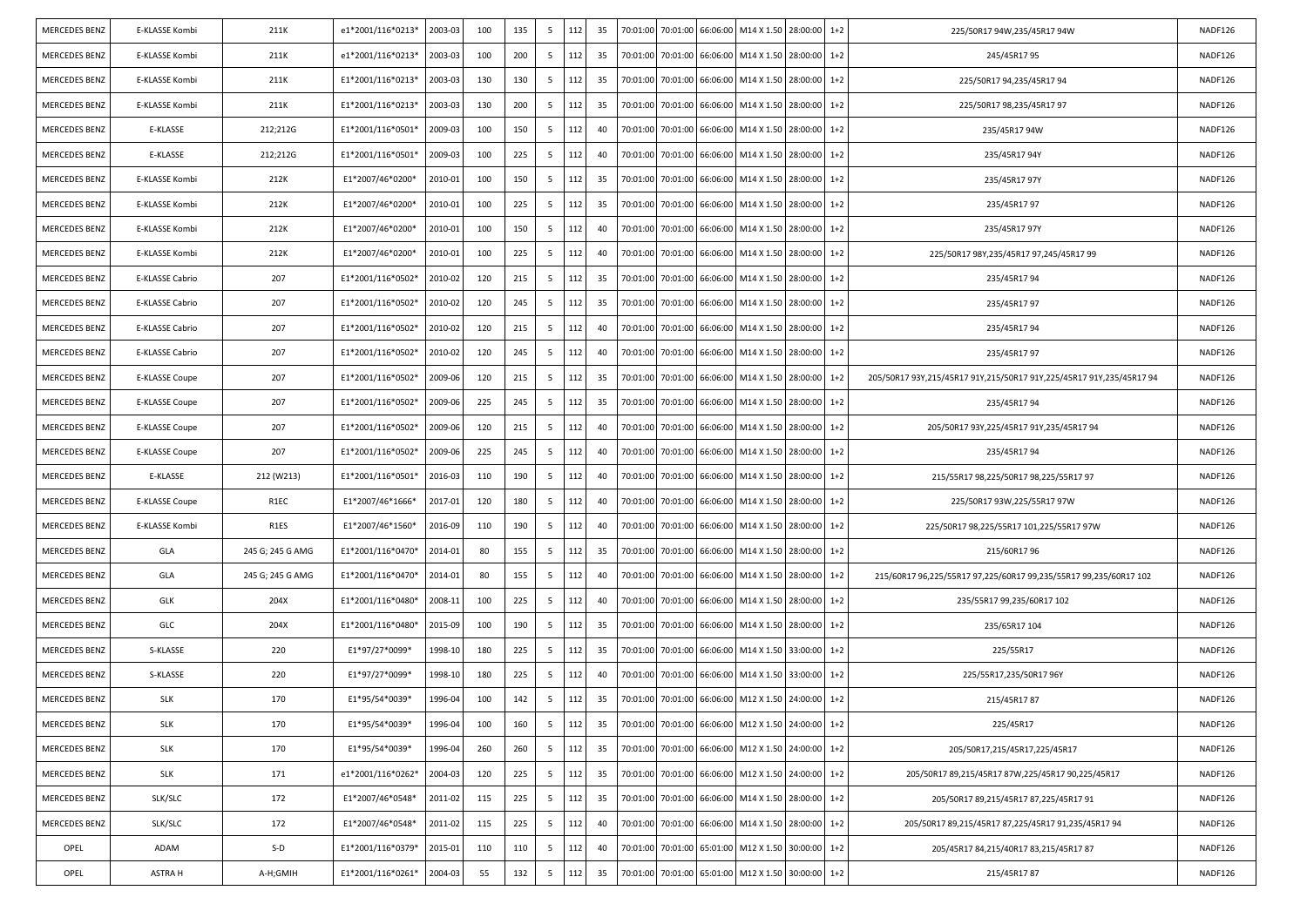| <b>MERCEDES BENZ</b> | E-KLASSE Kombi  | 211K             | e1*2001/116*0213* | 2003-03 | 100 | 135 | - 5             | 112 | 35 |          | 70:01:00 70:01:00 66:06:00 |                   | M14 X 1.50 28:00:00                                |          | $1+2$ | 225/50R17 94W,235/45R17 94W                                          | NADF126 |
|----------------------|-----------------|------------------|-------------------|---------|-----|-----|-----------------|-----|----|----------|----------------------------|-------------------|----------------------------------------------------|----------|-------|----------------------------------------------------------------------|---------|
| <b>MERCEDES BENZ</b> | E-KLASSE Kombi  | 211K             | e1*2001/116*0213* | 2003-03 | 100 | 200 | 5               | 112 | 35 | 70:01:00 | 70:01:00                   | 66:06:00          | M14 X 1.50                                         | 28:00:00 | $1+2$ | 245/45R1795                                                          | NADF126 |
| <b>MERCEDES BENZ</b> | E-KLASSE Kombi  | 211K             | E1*2001/116*0213* | 2003-03 | 130 | 130 | 5               | 112 | 35 | 70:01:00 | 70:01:00                   | 66:06:00          | M14 X 1.50                                         | 28:00:00 | $1+2$ | 225/50R17 94,235/45R17 94                                            | NADF126 |
| <b>MERCEDES BENZ</b> | E-KLASSE Kombi  | 211K             | E1*2001/116*0213* | 2003-03 | 130 | 200 | 5               | 112 | 35 | 70:01:00 | 70:01:00                   | 66:06:00          | M14 X 1.50                                         | 28:00:00 | $1+2$ | 225/50R17 98,235/45R17 97                                            | NADF126 |
| <b>MERCEDES BENZ</b> | E-KLASSE        | 212;212G         | E1*2001/116*0501* | 2009-03 | 100 | 150 | 5               | 112 | 40 | 70:01:00 | 70:01:00                   | 66:06:00          | M14 X 1.50                                         | 28:00:00 | $1+2$ | 235/45R17 94W                                                        | NADF126 |
| <b>MERCEDES BENZ</b> | E-KLASSE        | 212;212G         | E1*2001/116*0501* | 2009-03 | 100 | 225 | 5               | 112 | 40 | 70:01:00 | 70:01:00                   | 66:06:00          | M14 X 1.50                                         | 28:00:00 | $1+2$ | 235/45R1794Y                                                         | NADF126 |
| <b>MERCEDES BENZ</b> | E-KLASSE Kombi  | 212K             | E1*2007/46*0200*  | 2010-01 | 100 | 150 | 5               | 112 | 35 | 70:01:00 | 70:01:00                   | 66:06:00          | M14 X 1.50                                         | 28:00:00 | $1+2$ | 235/45R17 97Y                                                        | NADF126 |
| <b>MERCEDES BENZ</b> | E-KLASSE Kombi  | 212K             | E1*2007/46*0200*  | 2010-01 | 100 | 225 | 5               | 112 | 35 | 70:01:00 | 70:01:00                   | 66:06:00          | M14 X 1.50 28:00:00                                |          | $1+2$ | 235/45R1797                                                          | NADF126 |
| <b>MERCEDES BENZ</b> | E-KLASSE Kombi  | 212K             | E1*2007/46*0200*  | 2010-01 | 100 | 150 | 5               | 112 | 40 | 70:01:00 | 70:01:00                   | 66:06:00          | M14 X 1.50                                         | 28:00:00 | $1+2$ | 235/45R17 97Y                                                        | NADF126 |
| <b>MERCEDES BENZ</b> | E-KLASSE Kombi  | 212K             | E1*2007/46*0200*  | 2010-01 | 100 | 225 | 5               | 112 | 40 | 70:01:00 | 70:01:00                   | 66:06:00          | M14 X 1.50                                         | 28:00:00 | $1+2$ | 225/50R17 98Y,235/45R17 97,245/45R17 99                              | NADF126 |
| <b>MERCEDES BENZ</b> | E-KLASSE Cabrio | 207              | E1*2001/116*0502* | 2010-02 | 120 | 215 | 5               | 112 | 35 | 70:01:00 | 70:01:00                   | 66:06:00          | M14 X 1.50 28:00:00                                |          | $1+2$ | 235/45R1794                                                          | NADF126 |
| <b>MERCEDES BENZ</b> | E-KLASSE Cabrio | 207              | E1*2001/116*0502* | 2010-02 | 120 | 245 | 5               | 112 | 35 | 70:01:00 | 70:01:00                   | 66:06:00          | M14 X 1.50                                         | 28:00:00 | $1+2$ | 235/45R1797                                                          | NADF126 |
| <b>MERCEDES BENZ</b> | E-KLASSE Cabrio | 207              | E1*2001/116*0502* | 2010-02 | 120 | 215 | - 5             | 112 | 40 | 70:01:00 | 70:01:00                   | 66:06:00          | M14 X 1.50                                         | 28:00:00 | $1+2$ | 235/45R1794                                                          | NADF126 |
| <b>MERCEDES BENZ</b> | E-KLASSE Cabrio | 207              | E1*2001/116*0502* | 2010-02 | 120 | 245 | 5               | 112 | 40 | 70:01:00 | 70:01:00                   | 66:06:00          | M14 X 1.50 28:00:00                                |          | $1+2$ | 235/45R1797                                                          | NADF126 |
| <b>MERCEDES BENZ</b> | E-KLASSE Coupe  | 207              | E1*2001/116*0502* | 2009-06 | 120 | 215 | 5               | 112 | 35 | 70:01:00 | 70:01:00                   | 66:06:00          | M14 X 1.50                                         | 28:00:00 | $1+2$ | 205/50R17 93Y,215/45R17 91Y,215/50R17 91Y,225/45R17 91Y,235/45R17 94 | NADF126 |
| <b>MERCEDES BENZ</b> | E-KLASSE Coupe  | 207              | E1*2001/116*0502* | 2009-06 | 225 | 245 | 5               | 112 | 35 | 70:01:00 | 70:01:00                   | 66:06:00          | M14 X 1.50                                         | 28:00:00 | $1+2$ | 235/45R17 94                                                         | NADF126 |
| <b>MERCEDES BENZ</b> | E-KLASSE Coupe  | 207              | E1*2001/116*0502* | 2009-06 | 120 | 215 | 5               | 112 | 40 | 70:01:00 | 70:01:00                   | 66:06:00          | M14 X 1.50 28:00:00                                |          | $1+2$ | 205/50R17 93Y,225/45R17 91Y,235/45R17 94                             | NADF126 |
| <b>MERCEDES BENZ</b> | E-KLASSE Coupe  | 207              | E1*2001/116*0502* | 2009-06 | 225 | 245 | 5               | 112 | 40 | 70:01:00 | 70:01:00                   | 66:06:00          | M14 X 1.50                                         | 28:00:00 | $1+2$ | 235/45R1794                                                          | NADF126 |
| <b>MERCEDES BENZ</b> | E-KLASSE        | 212 (W213)       | E1*2001/116*0501* | 2016-03 | 110 | 190 | 5               | 112 | 40 | 70:01:00 | 70:01:00                   | 66:06:00          | M14 X 1.50                                         | 28:00:00 | $1+2$ | 215/55R17 98,225/50R17 98,225/55R17 97                               | NADF126 |
| <b>MERCEDES BENZ</b> | E-KLASSE Coupe  | R1EC             | E1*2007/46*1666*  | 2017-01 | 120 | 180 | 5               | 112 | 40 | 70:01:00 | 70:01:00                   | 66:06:00          | M14 X 1.50 28:00:00                                |          | $1+2$ | 225/50R17 93W,225/55R17 97W                                          | NADF126 |
| <b>MERCEDES BENZ</b> | E-KLASSE Kombi  | R1ES             | E1*2007/46*1560*  | 2016-09 | 110 | 190 | 5               | 112 | 40 | 70:01:00 | 70:01:00                   | 66:06:00          | M14 X 1.50                                         | 28:00:00 | $1+2$ | 225/50R17 98,225/55R17 101,225/55R17 97W                             | NADF126 |
| <b>MERCEDES BENZ</b> | GLA             | 245 G; 245 G AMG | E1*2001/116*0470* | 2014-01 | 80  | 155 | 5               | 112 | 35 | 70:01:00 | 70:01:00                   | 66:06:00          | M14 X 1.50                                         | 28:00:00 | $1+2$ | 215/60R1796                                                          | NADF126 |
| <b>MERCEDES BENZ</b> | GLA             | 245 G; 245 G AMG | E1*2001/116*0470* | 2014-01 | 80  | 155 | 5               | 112 | 40 | 70:01:00 | 70:01:00                   | 66:06:00          | M14 X 1.50                                         | 28:00:00 | $1+2$ | 215/60R17 96,225/55R17 97,225/60R17 99,235/55R17 99,235/60R17 102    | NADF126 |
| <b>MERCEDES BENZ</b> | <b>GLK</b>      | 204X             | E1*2001/116*0480* | 2008-11 | 100 | 225 | 5               | 112 | 40 | 70:01:00 | 70:01:00                   | 66:06:00          | M14 X 1.50                                         | 28:00:00 | $1+2$ | 235/55R17 99,235/60R17 102                                           | NADF126 |
| <b>MERCEDES BENZ</b> | GLC             | 204X             | E1*2001/116*0480* | 2015-09 | 100 | 190 | 5               | 112 | 35 | 70:01:00 | 70:01:00                   | 66:06:00          | M14 X 1.50                                         | 28:00:00 | $1+2$ | 235/65R17 104                                                        | NADF126 |
| <b>MERCEDES BENZ</b> | S-KLASSE        | 220              | E1*97/27*0099*    | 1998-10 | 180 | 225 | 5               | 112 | 35 | 70:01:00 | 70:01:00                   | 66:06:00          | M14 X 1.50 33:00:00                                |          | $1+2$ | 225/55R17                                                            | NADF126 |
| <b>MERCEDES BENZ</b> | S-KLASSE        | 220              | E1*97/27*0099*    | 1998-10 | 180 | 225 | 5               | 112 | 40 | 70:01:00 | 70:01:00                   | 66:06:00          | M14 X 1.50                                         | 33:00:00 | $1+2$ | 225/55R17,235/50R17 96Y                                              | NADF126 |
| <b>MERCEDES BENZ</b> | <b>SLK</b>      | 170              | E1*95/54*0039*    | 1996-04 | 100 | 142 | - 5             | 112 | 35 |          | 70:01:00 70:01:00 66:06:00 |                   | M12 X 1.50 24:00:00                                |          | $1+2$ | 215/45R1787                                                          | NADF126 |
| <b>MERCEDES BENZ</b> | <b>SLK</b>      | 170              | E1*95/54*0039*    | 1996-04 | 100 | 160 | $5\overline{)}$ | 112 | 35 |          |                            |                   | 70:01:00 70:01:00 66:06:00 M12 X 1.50 24:00:00 1+2 |          |       | 225/45R17                                                            | NADF126 |
| MERCEDES BENZ        | <b>SLK</b>      | 170              | E1*95/54*0039*    | 1996-04 | 260 | 260 | 5 <sub>5</sub>  | 112 | 35 |          | 70:01:00 70:01:00 66:06:00 |                   | M12 X 1.50 24:00:00 1+2                            |          |       | 205/50R17,215/45R17,225/45R17                                        | NADF126 |
| MERCEDES BENZ        | <b>SLK</b>      | 171              | e1*2001/116*0262* | 2004-03 | 120 | 225 | 5               | 112 | 35 | 70:01:00 | 70:01:00                   | 66:06:00          | M12 X 1.50 24:00:00                                |          | $1+2$ | 205/50R17 89,215/45R17 87W,225/45R17 90,225/45R17                    | NADF126 |
| <b>MERCEDES BENZ</b> | SLK/SLC         | 172              | E1*2007/46*0548*  | 2011-02 | 115 | 225 | 5               | 112 | 35 | 70:01:00 |                            | 70:01:00 66:06:00 | M14 X 1.50 28:00:00 1+2                            |          |       | 205/50R17 89,215/45R17 87,225/45R17 91                               | NADF126 |
| <b>MERCEDES BENZ</b> | SLK/SLC         | 172              | E1*2007/46*0548*  | 2011-02 | 115 | 225 | $5\overline{)}$ | 112 | 40 | 70:01:00 |                            | 70:01:00 66:06:00 | M14 X 1.50 28:00:00 1+2                            |          |       | 205/50R17 89,215/45R17 87,225/45R17 91,235/45R17 94                  | NADF126 |
| OPEL                 | ADAM            | $S-D$            | E1*2001/116*0379* | 2015-01 | 110 | 110 | 5               | 112 | 40 | 70:01:00 | 70:01:00                   | 65:01:00          | M12 X 1.50 30:00:00                                |          | $1+2$ | 205/45R17 84,215/40R17 83,215/45R17 87                               | NADF126 |
| OPEL                 | ASTRA H         | A-H;GMIH         | E1*2001/116*0261* | 2004-03 | 55  | 132 | 5               | 112 | 35 | 70:01:00 |                            | 70:01:00 65:01:00 | M12 X 1.50 30:00:00                                |          | $1+2$ | 215/45R1787                                                          | NADF126 |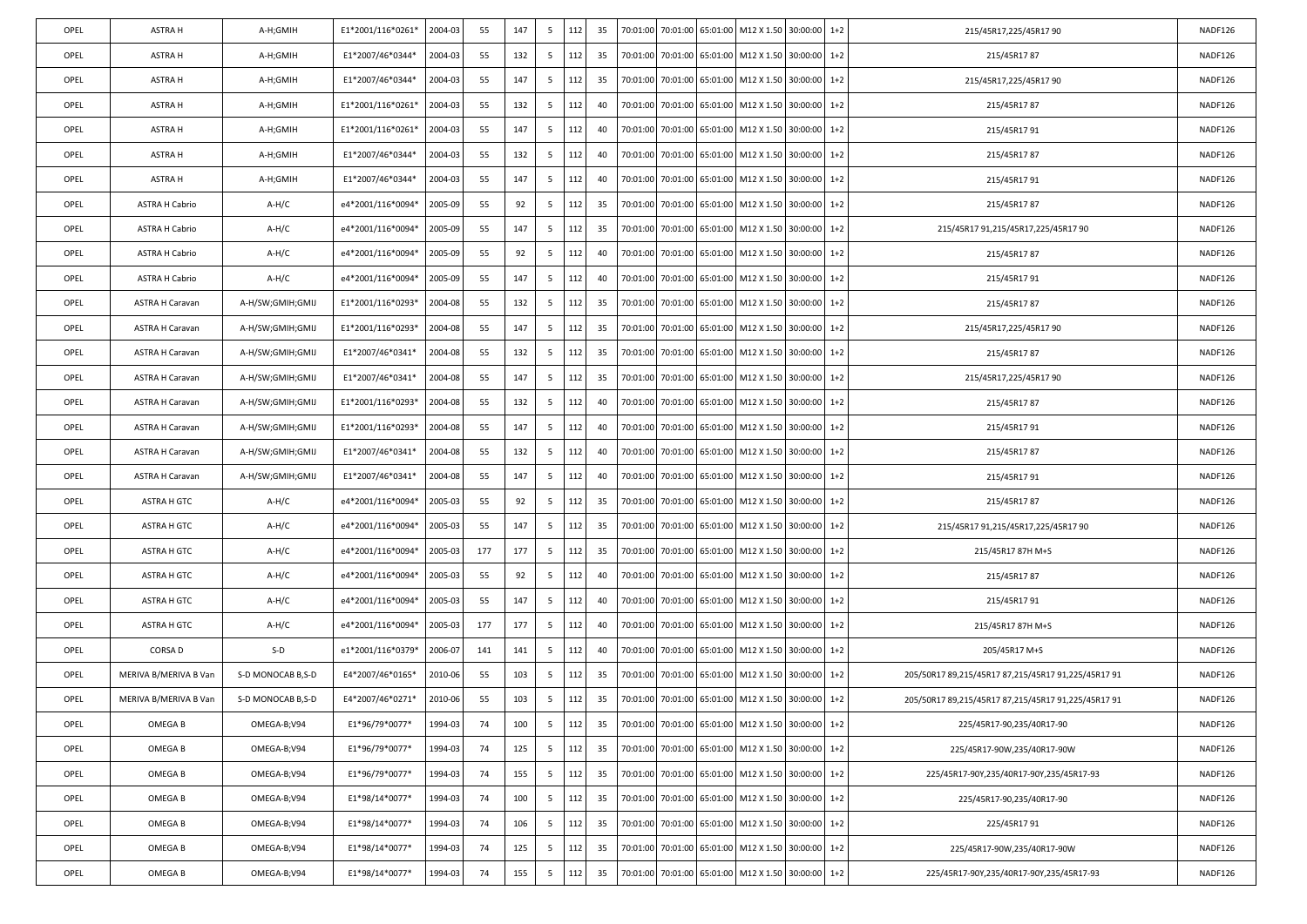| OPEL | ASTRA H                | A-H;GMIH          | E1*2001/116*0261* | 2004-03 | 55  | 147 | 5   | 112 | 35 |          |          |                   | 70:01:00 70:01:00 65:01:00 M12 X 1.50 30:00:00 1+2 |          |       | 215/45R17,225/45R17 90                              | NADF126 |
|------|------------------------|-------------------|-------------------|---------|-----|-----|-----|-----|----|----------|----------|-------------------|----------------------------------------------------|----------|-------|-----------------------------------------------------|---------|
| OPEL | ASTRA H                | A-H;GMIH          | E1*2007/46*0344*  | 2004-03 | 55  | 132 | - 5 | 112 | 35 | 70:01:00 |          |                   | 70:01:00 65:01:00 M12 X 1.50 30:00:00              |          | $1+2$ | 215/45R1787                                         | NADF126 |
| OPEL | ASTRA H                | A-H;GMIH          | E1*2007/46*0344*  | 2004-03 | 55  | 147 | 5   | 112 | 35 | 70:01:00 |          |                   | 70:01:00 65:01:00 M12 X 1.50 30:00:00              |          | $1+2$ | 215/45R17,225/45R17 90                              | NADF126 |
| OPEL | <b>ASTRA H</b>         | A-H;GMIH          | E1*2001/116*0261* | 2004-03 | 55  | 132 | 5   | 112 | 40 | 70:01:00 |          |                   | 70:01:00 65:01:00 M12 X 1.50 30:00:00              |          | $1+2$ | 215/45R1787                                         | NADF126 |
| OPEL | ASTRA H                | A-H;GMIH          | E1*2001/116*0261* | 2004-03 | 55  | 147 | 5   | 112 | 40 | 70:01:00 |          |                   | 70:01:00 65:01:00 M12 X 1.50 30:00:00              |          | $1+2$ | 215/45R1791                                         | NADF126 |
| OPEL | ASTRA H                | A-H;GMIH          | E1*2007/46*0344*  | 2004-03 | 55  | 132 | 5   | 112 | 40 | 70:01:00 |          |                   | 70:01:00 65:01:00 M12 X 1.50                       | 30:00:00 | $1+2$ | 215/45R1787                                         | NADF126 |
| OPEL | ASTRA H                | A-H;GMIH          | E1*2007/46*0344*  | 2004-03 | 55  | 147 | 5   | 112 | 40 | 70:01:00 |          |                   | 70:01:00 65:01:00 M12 X 1.50 30:00:00              |          | $1+2$ | 215/45R1791                                         | NADF126 |
| OPEL | ASTRA H Cabrio         | A-H/C             | e4*2001/116*0094* | 2005-09 | 55  | 92  | 5   | 112 | 35 | 70:01:00 |          |                   | 70:01:00 65:01:00 M12 X 1.50 30:00:00              |          | $1+2$ | 215/45R1787                                         | NADF126 |
| OPEL | <b>ASTRA H Cabrio</b>  | $A-H/C$           | e4*2001/116*0094* | 2005-09 | 55  | 147 | 5   | 112 | 35 | 70:01:00 |          |                   | 70:01:00 65:01:00 M12 X 1.50                       | 30:00:00 | $1+2$ | 215/45R17 91,215/45R17,225/45R17 90                 | NADF126 |
| OPEL | ASTRA H Cabrio         | A-H/C             | e4*2001/116*0094* | 2005-09 | 55  | 92  | 5   | 112 | 40 | 70:01:00 |          |                   | 70:01:00 65:01:00 M12 X 1.50 30:00:00              |          | $1+2$ | 215/45R1787                                         | NADF126 |
| OPEL | ASTRA H Cabrio         | A-H/C             | e4*2001/116*0094* | 2005-09 | 55  | 147 | 5   | 112 | 40 | 70:01:00 |          |                   | 70:01:00 65:01:00 M12 X 1.50                       | 30:00:00 | $1+2$ | 215/45R1791                                         | NADF126 |
| OPEL | <b>ASTRA H Caravan</b> | A-H/SW;GMIH;GMIJ  | E1*2001/116*0293* | 2004-08 | 55  | 132 | 5   | 112 | 35 | 70:01:00 |          |                   | 70:01:00 65:01:00 M12 X 1.50                       | 30:00:00 | $1+2$ | 215/45R1787                                         | NADF126 |
| OPEL | ASTRA H Caravan        | A-H/SW;GMIH;GMIJ  | E1*2001/116*0293* | 2004-08 | 55  | 147 | 5   | 112 | 35 | 70:01:00 |          |                   | 70:01:00 65:01:00 M12 X 1.50                       | 30:00:00 | $1+2$ | 215/45R17,225/45R17 90                              | NADF126 |
| OPEL | <b>ASTRA H Caravan</b> | A-H/SW;GMIH;GMIJ  | E1*2007/46*0341*  | 2004-08 | 55  | 132 | 5   | 112 | 35 | 70:01:00 |          |                   | 70:01:00 65:01:00 M12 X 1.50                       | 30:00:00 | $1+2$ | 215/45R1787                                         | NADF126 |
| OPEL | ASTRA H Caravan        | A-H/SW;GMIH;GMIJ  | E1*2007/46*0341*  | 2004-08 | -55 | 147 | 5   | 112 | 35 | 70:01:00 |          |                   | 70:01:00 65:01:00 M12 X 1.50                       | 30:00:00 | $1+2$ | 215/45R17,225/45R17 90                              | NADF126 |
| OPEL | ASTRA H Caravan        | A-H/SW;GMIH;GMIJ  | E1*2001/116*0293* | 2004-08 | 55  | 132 | 5   | 112 | 40 | 70:01:00 |          |                   | 70:01:00 65:01:00 M12 X 1.50                       | 30:00:00 | $1+2$ | 215/45R1787                                         | NADF126 |
| OPEL | <b>ASTRA H Caravan</b> | A-H/SW;GMIH;GMIJ  | E1*2001/116*0293* | 2004-08 | 55  | 147 | 5   | 112 | 40 | 70:01:00 |          |                   | 70:01:00 65:01:00 M12 X 1.50                       | 30:00:00 | $1+2$ | 215/45R1791                                         | NADF126 |
| OPEL | ASTRA H Caravan        | A-H/SW;GMIH;GMIJ  | E1*2007/46*0341*  | 2004-08 | 55  | 132 | 5   | 112 | 40 | 70:01:00 |          |                   | 70:01:00 65:01:00 M12 X 1.50 30:00:00              |          | $1+2$ | 215/45R1787                                         | NADF126 |
| OPEL | ASTRA H Caravan        | A-H/SW;GMIH;GMIJ  | E1*2007/46*0341*  | 2004-08 | 55  | 147 | 5   | 112 | 40 | 70:01:00 |          |                   | 70:01:00 65:01:00 M12 X 1.50                       | 30:00:00 | $1+2$ | 215/45R1791                                         | NADF126 |
| OPEL | ASTRA H GTC            | A-H/C             | e4*2001/116*0094* | 2005-03 | 55  | 92  | 5   | 112 | 35 | 70:01:00 |          |                   | 70:01:00 65:01:00 M12 X 1.50                       | 30:00:00 | $1+2$ | 215/45R1787                                         | NADF126 |
| OPEL | ASTRA H GTC            | A-H/C             | e4*2001/116*0094* | 2005-03 | 55  | 147 | 5   | 112 | 35 | 70:01:00 |          |                   | 70:01:00 65:01:00 M12 X 1.50 30:00:00              |          | $1+2$ | 215/45R17 91,215/45R17,225/45R17 90                 | NADF126 |
| OPEL | ASTRA H GTC            | A-H/C             | e4*2001/116*0094* | 2005-03 | 177 | 177 | 5   | 112 | 35 | 70:01:00 |          |                   | 70:01:00 65:01:00 M12 X 1.50                       | 30:00:00 | $1+2$ | 215/45R17 87H M+S                                   | NADF126 |
| OPEL | ASTRA H GTC            | A-H/C             | e4*2001/116*0094* | 2005-03 | 55  | 92  | 5   | 112 | 40 | 70:01:00 |          |                   | 70:01:00 65:01:00 M12 X 1.50                       | 30:00:00 | $1+2$ | 215/45R1787                                         | NADF126 |
| OPEL | ASTRA H GTC            | A-H/C             | e4*2001/116*0094* | 2005-03 | 55  | 147 | 5   | 112 | 40 | 70:01:00 |          |                   | 70:01:00 65:01:00 M12 X 1.50 30:00:00              |          | $1+2$ | 215/45R1791                                         | NADF126 |
| OPEL | ASTRA H GTC            | A-H/C             | e4*2001/116*0094* | 2005-03 | 177 | 177 | 5   | 112 | 40 | 70:01:00 |          |                   | 70:01:00 65:01:00 M12 X 1.50                       | 30:00:00 | $1+2$ | 215/45R17 87H M+S                                   | NADF126 |
| OPEL | CORSA D                | $S-D$             | e1*2001/116*0379* | 2006-07 | 141 | 141 | 5   | 112 | 40 | 70:01:00 |          |                   | 70:01:00 65:01:00 M12 X 1.50                       | 30:00:00 | $1+2$ | 205/45R17 M+S                                       | NADF126 |
| OPEL | MERIVA B/MERIVA B Van  | S-D MONOCAB B,S-D | E4*2007/46*0165*  | 2010-06 | 55  | 103 | 5   | 112 | 35 | 70:01:00 |          |                   | 70:01:00 65:01:00 M12 X 1.50 30:00:00              |          | $1+2$ | 205/50R17 89,215/45R17 87,215/45R17 91,225/45R17 91 | NADF126 |
| OPEL | MERIVA B/MERIVA B Van  | S-D MONOCAB B,S-D | E4*2007/46*0271*  | 2010-06 | 55  | 103 | 5   | 112 | 35 |          |          |                   | 70:01:00 70:01:00 65:01:00 M12 X 1.50 30:00:00     |          | $1+2$ | 205/50R17 89,215/45R17 87,215/45R17 91,225/45R17 91 | NADF126 |
| OPEL | OMEGA B                | OMEGA-B;V94       | E1*96/79*0077*    | 1994-03 | 74  | 100 | 5   | 112 | 35 |          |          |                   | 70:01:00 70:01:00 65:01:00 M12 X 1.50 30:00:00 1+2 |          |       | 225/45R17-90,235/40R17-90                           | NADF126 |
| OPEL | OMEGA B                | OMEGA-B;V94       | E1*96/79*0077*    | 1994-03 | 74  | 125 | 5   | 112 | 35 | 70:01:00 |          |                   | 70:01:00 65:01:00 M12 X 1.50 30:00:00              |          | $1+2$ | 225/45R17-90W,235/40R17-90W                         | NADF126 |
| OPEL | OMEGA B                | OMEGA-B;V94       | E1*96/79*0077*    | 1994-03 | 74  | 155 | 5   | 112 | 35 | 70:01:00 |          |                   | 70:01:00 65:01:00 M12 X 1.50 30:00:00              |          | $1+2$ | 225/45R17-90Y,235/40R17-90Y,235/45R17-93            | NADF126 |
| OPEL | OMEGA B                | OMEGA-B;V94       | E1*98/14*0077*    | 1994-03 | 74  | 100 | 5   | 112 | 35 | 70:01:00 |          |                   | 70:01:00 65:01:00 M12 X 1.50 30:00:00              |          | $1+2$ | 225/45R17-90,235/40R17-90                           | NADF126 |
| OPEL | OMEGA B                | OMEGA-B;V94       | E1*98/14*0077*    | 1994-03 | 74  | 106 | 5   | 112 | 35 | 70:01:00 |          | 70:01:00 65:01:00 | M12 X 1.50 30:00:00                                |          | $1+2$ | 225/45R1791                                         | NADF126 |
| OPEL | OMEGA B                | OMEGA-B;V94       | E1*98/14*0077*    | 1994-03 | 74  | 125 | 5   | 112 | 35 | 70:01:00 | 70:01:00 | 65:01:00          | M12 X 1.50                                         | 30:00:00 | $1+2$ | 225/45R17-90W,235/40R17-90W                         | NADF126 |
| OPEL | OMEGA B                | OMEGA-B;V94       | E1*98/14*0077*    | 1994-03 | 74  | 155 | 5   | 112 | 35 |          |          |                   | 70:01:00 70:01:00 65:01:00 M12 X 1.50 30:00:00     |          | $1+2$ | 225/45R17-90Y,235/40R17-90Y,235/45R17-93            | NADF126 |
|      |                        |                   |                   |         |     |     |     |     |    |          |          |                   |                                                    |          |       |                                                     |         |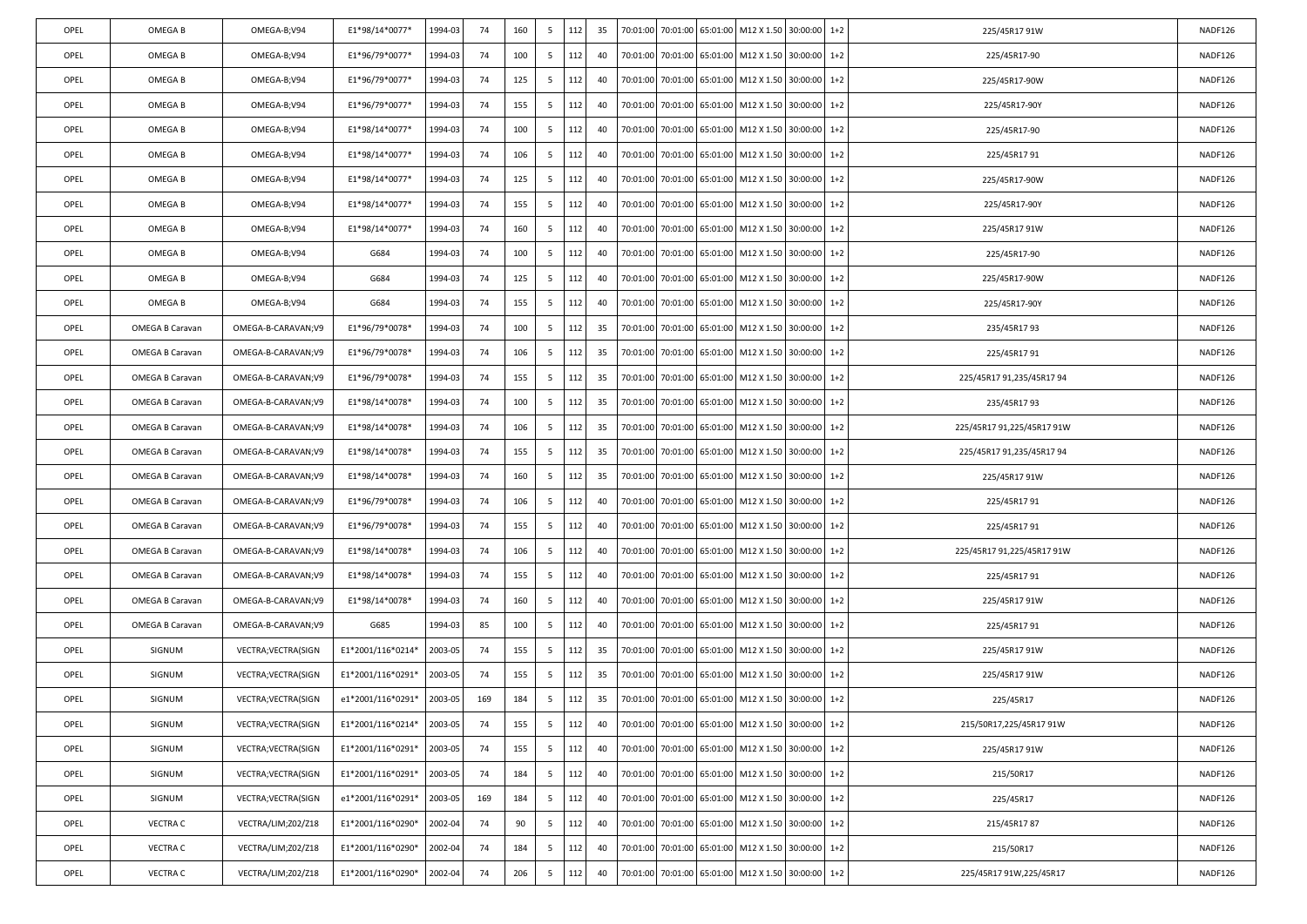| OPEL | OMEGA B         | OMEGA-B;V94         | E1*98/14*0077*    | 1994-03 | 74  | 160 | 5 | 112 | 35 | 70:01:00 |          |                   | 70:01:00 65:01:00 M12 X 1.50 30:00:00              |          | $1+2$ | 225/45R17 91W              | NADF126 |
|------|-----------------|---------------------|-------------------|---------|-----|-----|---|-----|----|----------|----------|-------------------|----------------------------------------------------|----------|-------|----------------------------|---------|
| OPEL | OMEGA B         | OMEGA-B;V94         | E1*96/79*0077*    | 1994-03 | 74  | 100 | 5 | 112 | 40 | 70:01:00 | 70:01:00 | 65:01:00          | M12 X 1.50 30:00:00                                |          | $1+2$ | 225/45R17-90               | NADF126 |
| OPEL | OMEGA B         | OMEGA-B;V94         | E1*96/79*0077*    | 1994-03 | -74 | 125 | 5 | 112 | 40 | 70:01:00 | 70:01:00 |                   | 65:01:00 M12 X 1.50                                | 30:00:00 | $1+2$ | 225/45R17-90W              | NADF126 |
| OPEL | OMEGA B         | OMEGA-B;V94         | E1*96/79*0077*    | 1994-03 | 74  | 155 | 5 | 112 | 40 | 70:01:00 | 70:01:00 |                   | 65:01:00 M12 X 1.50 30:00:00                       |          | $1+2$ | 225/45R17-90Y              | NADF126 |
| OPEL | OMEGA B         | OMEGA-B;V94         | E1*98/14*0077*    | 1994-03 | 74  | 100 | 5 | 112 | 40 | 70:01:00 | 70:01:00 | 65:01:00          | M12 X 1.50 30:00:00                                |          | $1+2$ | 225/45R17-90               | NADF126 |
| OPEL | OMEGA B         | OMEGA-B;V94         | E1*98/14*0077*    | 1994-03 | -74 | 106 | 5 | 112 | 40 | 70:01:00 | 70:01:00 | 65:01:00          | M12 X 1.50                                         | 30:00:00 | $1+2$ | 225/45R1791                | NADF126 |
| OPEL | OMEGA B         | OMEGA-B;V94         | E1*98/14*0077*    | 1994-03 | 74  | 125 | 5 | 112 | 40 | 70:01:00 | 70:01:00 | 65:01:00          | M12 X 1.50 30:00:00                                |          | $1+2$ | 225/45R17-90W              | NADF126 |
| OPEL | OMEGA B         | OMEGA-B;V94         | E1*98/14*0077*    | 1994-03 | 74  | 155 | 5 | 112 | 40 | 70:01:00 | 70:01:00 | 65:01:00          | M12 X 1.50 30:00:00                                |          | $1+2$ | 225/45R17-90Y              | NADF126 |
| OPEL | OMEGA B         | OMEGA-B;V94         | E1*98/14*0077*    | 1994-03 | 74  | 160 | 5 | 112 | 40 | 70:01:00 | 70:01:00 |                   | 65:01:00 M12 X 1.50                                | 30:00:00 | $1+2$ | 225/45R17 91W              | NADF126 |
| OPEL | OMEGA B         | OMEGA-B;V94         | G684              | 1994-03 | 74  | 100 | 5 | 112 | 40 | 70:01:00 | 70:01:00 |                   | 65:01:00 M12 X 1.50 30:00:00                       |          | $1+2$ | 225/45R17-90               | NADF126 |
| OPEL | OMEGA B         | OMEGA-B;V94         | G684              | 1994-03 | 74  | 125 | 5 | 112 | 40 | 70:01:00 | 70:01:00 | 65:01:00          | M12 X 1.50 30:00:00                                |          | $1+2$ | 225/45R17-90W              | NADF126 |
| OPEL | OMEGA B         | OMEGA-B;V94         | G684              | 1994-03 | -74 | 155 | 5 | 112 | 40 | 70:01:00 | 70:01:00 | 65:01:00          | M12 X 1.50                                         | 30:00:00 | $1+2$ | 225/45R17-90Y              | NADF126 |
| OPEL | OMEGA B Caravan | OMEGA-B-CARAVAN;V9  | E1*96/79*0078*    | 1994-03 | 74  | 100 | 5 | 112 | 35 | 70:01:00 | 70:01:00 | 65:01:00          | M12 X 1.50 30:00:00                                |          | $1+2$ | 235/45R1793                | NADF126 |
| OPEL | OMEGA B Caravan | OMEGA-B-CARAVAN;V9  | E1*96/79*0078*    | 1994-03 | 74  | 106 | 5 | 112 | 35 | 70:01:00 | 70:01:00 | 65:01:00          | M12 X 1.50 30:00:00                                |          | $1+2$ | 225/45R1791                | NADF126 |
| OPEL | OMEGA B Caravan | OMEGA-B-CARAVAN;V9  | E1*96/79*0078*    | 1994-03 | -74 | 155 | 5 | 112 | 35 | 70:01:00 | 70:01:00 | 65:01:00          | M12 X 1.50                                         | 30:00:00 | $1+2$ | 225/45R17 91,235/45R17 94  | NADF126 |
| OPEL | OMEGA B Caravan | OMEGA-B-CARAVAN;V9  | E1*98/14*0078*    | 1994-03 | 74  | 100 | 5 | 112 | 35 | 70:01:00 | 70:01:00 | 65:01:00          | M12 X 1.50 30:00:00                                |          | $1+2$ | 235/45R1793                | NADF126 |
| OPEL | OMEGA B Caravan | OMEGA-B-CARAVAN;V9  | E1*98/14*0078*    | 1994-03 | 74  | 106 | 5 | 112 | 35 | 70:01:00 | 70:01:00 | 65:01:00          | M12 X 1.50 30:00:00                                |          | $1+2$ | 225/45R17 91,225/45R17 91W | NADF126 |
| OPEL | OMEGA B Caravan | OMEGA-B-CARAVAN;V9  | E1*98/14*0078*    | 1994-03 | 74  | 155 | 5 | 112 | 35 | 70:01:00 | 70:01:00 | 65:01:00          | M12 X 1.50                                         | 30:00:00 | $1+2$ | 225/45R17 91,235/45R17 94  | NADF126 |
| OPEL | OMEGA B Caravan | OMEGA-B-CARAVAN;V9  | E1*98/14*0078*    | 1994-03 | 74  | 160 | 5 | 112 | 35 | 70:01:00 | 70:01:00 | 65:01:00          | M12 X 1.50 30:00:00                                |          | $1+2$ | 225/45R17 91W              | NADF126 |
| OPEL | OMEGA B Caravan | OMEGA-B-CARAVAN;V9  | E1*96/79*0078*    | 1994-03 | 74  | 106 | 5 | 112 | 40 | 70:01:00 | 70:01:00 | 65:01:00          | M12 X 1.50 30:00:00                                |          | $1+2$ | 225/45R1791                | NADF126 |
| OPEL | OMEGA B Caravan | OMEGA-B-CARAVAN;V9  | E1*96/79*0078*    | 1994-03 | 74  | 155 | 5 | 112 | 40 | 70:01:00 | 70:01:00 | 65:01:00          | M12 X 1.50                                         | 30:00:00 | $1+2$ | 225/45R1791                | NADF126 |
| OPEL | OMEGA B Caravan | OMEGA-B-CARAVAN;V9  | E1*98/14*0078*    | 1994-03 | 74  | 106 | 5 | 112 | 40 | 70:01:00 | 70:01:00 | 65:01:00          | M12 X 1.50 30:00:00                                |          | $1+2$ | 225/45R17 91,225/45R17 91W | NADF126 |
| OPEL | OMEGA B Caravan | OMEGA-B-CARAVAN;V9  | E1*98/14*0078*    | 1994-03 | 74  | 155 | 5 | 112 | 40 | 70:01:00 | 70:01:00 | 65:01:00          | M12 X 1.50 30:00:00                                |          | $1+2$ | 225/45R1791                | NADF126 |
| OPEL | OMEGA B Caravan | OMEGA-B-CARAVAN;V9  | E1*98/14*0078*    | 1994-03 | 74  | 160 | 5 | 112 | 40 | 70:01:00 | 70:01:00 |                   | 65:01:00 M12 X 1.50                                | 30:00:00 | $1+2$ | 225/45R17 91W              | NADF126 |
| OPEL | OMEGA B Caravan | OMEGA-B-CARAVAN;V9  | G685              | 1994-03 | 85  | 100 | 5 | 112 | 40 | 70:01:00 | 70:01:00 | 65:01:00          | M12 X 1.50                                         | 30:00:00 | $1+2$ | 225/45R1791                | NADF126 |
| OPEL | SIGNUM          | VECTRA; VECTRA(SIGN | E1*2001/116*0214* | 2003-05 | 74  | 155 | 5 | 112 | 35 | 70:01:00 | 70:01:00 | 65:01:00          | M12 X 1.50 30:00:00                                |          | $1+2$ | 225/45R17 91W              | NADF126 |
| OPEL | SIGNUM          | VECTRA; VECTRA(SIGN | E1*2001/116*0291* | 2003-05 | 74  | 155 | 5 | 112 | 35 | 70:01:00 | 70:01:00 | 65:01:00          | M12 X 1.50                                         | 30:00:00 | $1+2$ | 225/45R17 91W              | NADF126 |
| OPEL | SIGNUM          | VECTRA; VECTRA(SIGN | e1*2001/116*0291* | 2003-05 | 169 | 184 | 5 | 112 | 35 | 70:01:00 |          |                   | 70:01:00 65:01:00 M12 X 1.50 30:00:00              |          | $1+2$ | 225/45R17                  | NADF126 |
| OPEL | SIGNUM          | VECTRA; VECTRA(SIGN | E1*2001/116*0214* | 2003-05 | 74  | 155 | 5 | 112 | 40 |          |          |                   | 70:01:00 70:01:00 65:01:00 M12 X 1.50 30:00:00 1+2 |          |       | 215/50R17,225/45R17 91W    | NADF126 |
| OPEL | SIGNUM          | VECTRA; VECTRA(SIGN | E1*2001/116*0291* | 2003-05 | 74  | 155 | 5 | 112 | 40 |          |          |                   | 70:01:00 70:01:00 65:01:00 M12 X 1.50 30:00:00     |          | $1+2$ | 225/45R17 91W              | NADF126 |
| OPEL | SIGNUM          | VECTRA; VECTRA(SIGN | E1*2001/116*0291* | 2003-05 | 74  | 184 | 5 | 112 | 40 | 70:01:00 | 70:01:00 | 65:01:00          | M12 X 1.50 30:00:00                                |          | $1+2$ | 215/50R17                  | NADF126 |
| OPEL | SIGNUM          | VECTRA; VECTRA(SIGN | e1*2001/116*0291* | 2003-05 | 169 | 184 | 5 | 112 | 40 | 70:01:00 |          |                   | 70:01:00 65:01:00 M12 X 1.50 30:00:00              |          | $1+2$ | 225/45R17                  | NADF126 |
| OPEL | <b>VECTRA C</b> | VECTRA/LIM;Z02/Z18  | E1*2001/116*0290* | 2002-04 | 74  | 90  | 5 | 112 | 40 | 70:01:00 |          |                   | 70:01:00 65:01:00 M12 X 1.50 30:00:00              |          | $1+2$ | 215/45R1787                | NADF126 |
| OPEL | <b>VECTRA C</b> | VECTRA/LIM;Z02/Z18  | E1*2001/116*0290* | 2002-04 | 74  | 184 | 5 | 112 | 40 | 70:01:00 | 70:01:00 | 65:01:00          | M12 X 1.50                                         | 30:00:00 | $1+2$ | 215/50R17                  | NADF126 |
| OPEL | <b>VECTRA C</b> | VECTRA/LIM;Z02/Z18  | E1*2001/116*0290* | 2002-04 | 74  | 206 | 5 | 112 | 40 | 70:01:00 |          | 70:01:00 65:01:00 | M12 X 1.50                                         | 30:00:00 | $1+2$ | 225/45R17 91W,225/45R17    | NADF126 |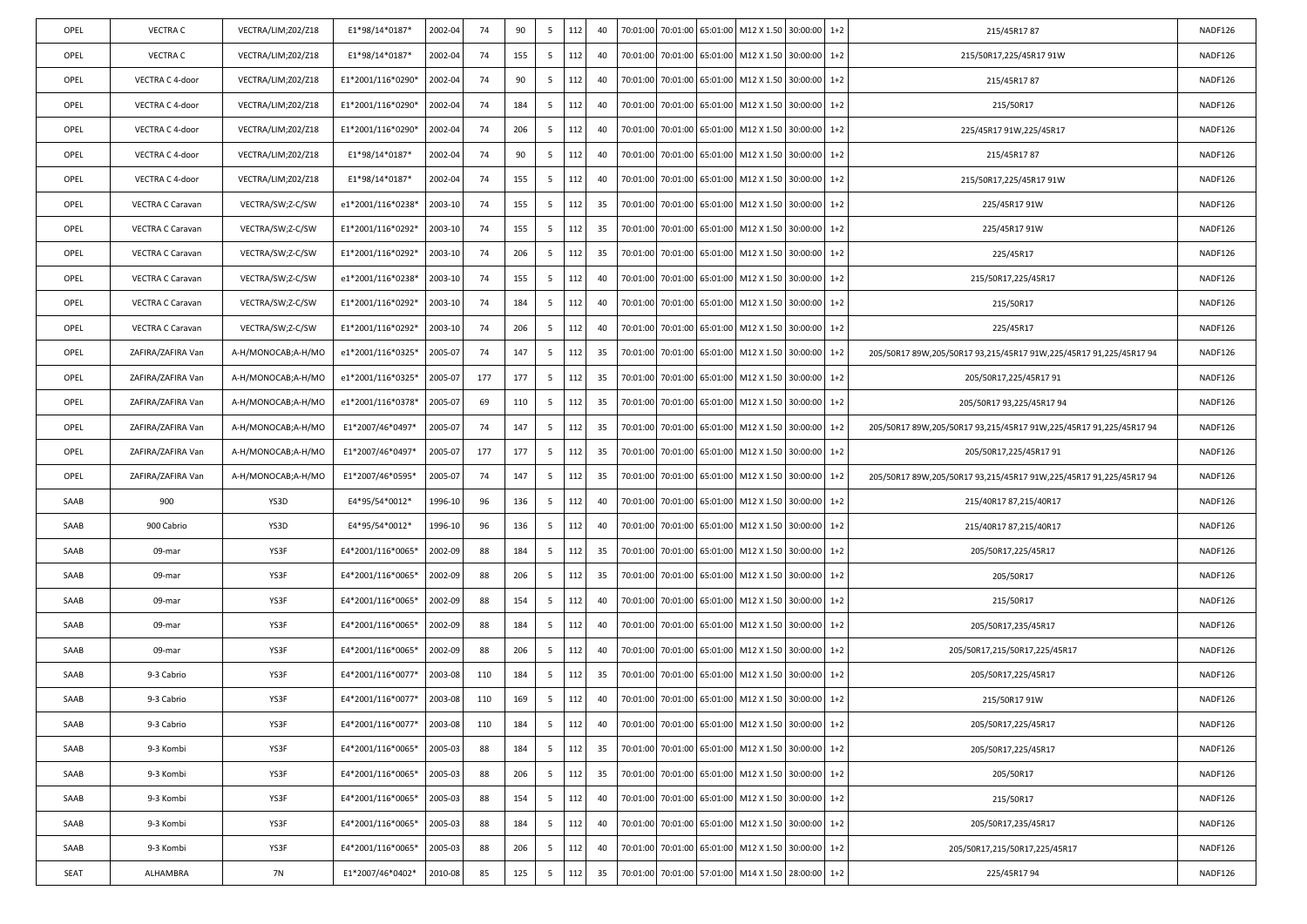| OPEL | <b>VECTRA C</b>   | VECTRA/LIM;Z02/Z18 | E1*98/14*0187*    | 2002-04 | 74  | 90  | 5  | 112 | 40 |          |          |                   | 70:01:00 70:01:00 65:01:00 M12 X 1.50 30:00:00 1+2 |                |         | 215/45R1787                                                        | NADF126 |
|------|-------------------|--------------------|-------------------|---------|-----|-----|----|-----|----|----------|----------|-------------------|----------------------------------------------------|----------------|---------|--------------------------------------------------------------------|---------|
| OPEL | VECTRA C          | VECTRA/LIM;Z02/Z18 | E1*98/14*0187*    | 2002-04 | 74  | 155 | 5  | 112 | 40 | 70:01:00 |          | 70:01:00 65:01:00 | M12 X 1.50                                         | 30:00:00       | $1 + 2$ | 215/50R17,225/45R17 91W                                            | NADF126 |
| OPEL | VECTRA C 4-door   | VECTRA/LIM;Z02/Z18 | E1*2001/116*0290* | 2002-04 | 74  | 90  | 5  | 112 | 40 | 70:01:00 | 70:01:00 | 65:01:00          | M12 X 1.50                                         | 30:00:00       | $1+2$   | 215/45R1787                                                        | NADF126 |
| OPEL | VECTRA C 4-door   | VECTRA/LIM;Z02/Z18 | E1*2001/116*0290* | 2002-04 | 74  | 184 | 5  | 112 | 40 | 70:01:00 | 70:01:00 | 65:01:00          | M12 X 1.50                                         | 30:00:00       | $1+2$   | 215/50R17                                                          | NADF126 |
| OPEL | VECTRA C 4-door   | VECTRA/LIM;Z02/Z18 | E1*2001/116*0290* | 2002-04 | 74  | 206 | 5  | 112 | 40 | 70:01:00 | 70:01:00 | 65:01:00          | M12 X 1.50                                         | 30:00:00 1+2   |         | 225/45R17 91W,225/45R17                                            | NADF126 |
| OPEL | VECTRA C 4-door   | VECTRA/LIM;Z02/Z18 | E1*98/14*0187*    | 2002-04 | 74  | 90  | 5  | 112 | 40 | 70:01:00 | 70:01:00 | 65:01:00          | M12 X 1.50                                         | 30:00:00       | $1+2$   | 215/45R1787                                                        | NADF126 |
| OPEL | VECTRA C 4-door   | VECTRA/LIM;Z02/Z18 | E1*98/14*0187*    | 2002-04 | 74  | 155 | 5  | 112 | 40 | 70:01:00 | 70:01:00 | 65:01:00          | M12 X 1.50                                         | 30:00:00       | $1+2$   | 215/50R17,225/45R17 91W                                            | NADF126 |
| OPEL | VECTRA C Caravan  | VECTRA/SW;Z-C/SW   | e1*2001/116*0238* | 2003-10 | 74  | 155 | 5  | 112 | 35 | 70:01:00 | 70:01:00 | 65:01:00          | M12 X 1.50                                         | $30:00:00$ 1+2 |         | 225/45R17 91W                                                      | NADF126 |
| OPEL | VECTRA C Caravan  | VECTRA/SW;Z-C/SW   | E1*2001/116*0292* | 2003-10 | 74  | 155 | 5  | 112 | 35 | 70:01:00 | 70:01:00 | 65:01:00          | M12 X 1.50                                         | 30:00:00       | $1+2$   | 225/45R17 91W                                                      | NADF126 |
| OPEL | VECTRA C Caravan  | VECTRA/SW;Z-C/SW   | E1*2001/116*0292* | 2003-10 | 74  | 206 | 5  | 112 | 35 | 70:01:00 | 70:01:00 | 65:01:00          | M12 X 1.50                                         | 30:00:00       | $1+2$   | 225/45R17                                                          | NADF126 |
| OPEL | VECTRA C Caravan  | VECTRA/SW;Z-C/SW   | e1*2001/116*0238* | 2003-10 | 74  | 155 | 5  | 112 | 40 | 70:01:00 | 70:01:00 | 65:01:00          | M12 X 1.50                                         | 30:00:00 1+2   |         | 215/50R17,225/45R17                                                | NADF126 |
| OPEL | VECTRA C Caravan  | VECTRA/SW;Z-C/SW   | E1*2001/116*0292* | 2003-10 | 74  | 184 | 5  | 112 | 40 | 70:01:00 | 70:01:00 | 65:01:00          | M12 X 1.50                                         | 30:00:00       | $1+2$   | 215/50R17                                                          | NADF126 |
| OPEL | VECTRA C Caravan  | VECTRA/SW;Z-C/SW   | E1*2001/116*0292* | 2003-10 | 74  | 206 | 5  | 112 | 40 | 70:01:00 |          | 70:01:00 65:01:00 | M12 X 1.50                                         | 30:00:00       | $1+2$   | 225/45R17                                                          | NADF126 |
| OPEL | ZAFIRA/ZAFIRA Van | A-H/MONOCAB;A-H/MO | e1*2001/116*0325* | 2005-07 | 74  | 147 | 5  | 112 | 35 | 70:01:00 | 70:01:00 | 65:01:00          | M12 X 1.50                                         | 30:00:00       | $1 + 2$ | 205/50R17 89W,205/50R17 93,215/45R17 91W,225/45R17 91,225/45R17 94 | NADF126 |
| OPEL | ZAFIRA/ZAFIRA Van | A-H/MONOCAB;A-H/MO | e1*2001/116*0325* | 2005-07 | 177 | 177 | 5  | 112 | 35 | 70:01:00 | 70:01:00 | 65:01:00          | M12 X 1.50                                         | 30:00:00       | $1 + 2$ | 205/50R17,225/45R17 91                                             | NADF126 |
| OPEL | ZAFIRA/ZAFIRA Van | A-H/MONOCAB;A-H/MO | e1*2001/116*0378* | 2005-07 | 69  | 110 | 5  | 112 | 35 | 70:01:00 |          | 70:01:00 65:01:00 | M12 X 1.50                                         | 30:00:00       | $1+2$   | 205/50R17 93,225/45R17 94                                          | NADF126 |
| OPEL | ZAFIRA/ZAFIRA Van | A-H/MONOCAB;A-H/MO | E1*2007/46*0497*  | 2005-07 | 74  | 147 | 5  | 112 | 35 | 70:01:00 | 70:01:00 | 65:01:00          | M12 X 1.50                                         | 30:00:00       | $1 + 2$ | 205/50R17 89W,205/50R17 93,215/45R17 91W,225/45R17 91,225/45R17 94 | NADF126 |
| OPEL | ZAFIRA/ZAFIRA Van | A-H/MONOCAB;A-H/MO | E1*2007/46*0497*  | 2005-07 | 177 | 177 | 5  | 112 | 35 | 70:01:00 | 70:01:00 | 65:01:00          | M12 X 1.50                                         | 30:00:00       | $1 + 2$ | 205/50R17,225/45R17 91                                             | NADF126 |
| OPEL | ZAFIRA/ZAFIRA Van | A-H/MONOCAB;A-H/MO | E1*2007/46*0595*  | 2005-07 | 74  | 147 | 5  | 112 | 35 | 70:01:00 |          | 70:01:00 65:01:00 | M12 X 1.50                                         | 30:00:00       | $1+2$   | 205/50R17 89W,205/50R17 93,215/45R17 91W,225/45R17 91,225/45R17 94 | NADF126 |
| SAAB | 900               | YS3D               | E4*95/54*0012*    | 1996-10 | 96  | 136 | 5  | 112 | 40 | 70:01:00 | 70:01:00 | 65:01:00          | M12 X 1.50                                         | 30:00:00 1+2   |         | 215/40R17 87,215/40R17                                             | NADF126 |
| SAAB | 900 Cabrio        | YS3D               | E4*95/54*0012*    | 1996-10 | 96  | 136 | 5  | 112 | 40 | 70:01:00 | 70:01:00 | 65:01:00          | M12 X 1.50                                         | 30:00:00       | $1+2$   | 215/40R17 87,215/40R17                                             | NADF126 |
| SAAB | 09-mar            | YS3F               | E4*2001/116*0065* | 2002-09 | 88  | 184 | 5  | 112 | 35 | 70:01:00 |          | 70:01:00 65:01:00 | M12 X 1.50                                         | 30:00:00       | $1+2$   | 205/50R17,225/45R17                                                | NADF126 |
| SAAB | 09-mar            | YS3F               | E4*2001/116*0065* | 2002-09 | 88  | 206 | -5 | 112 | 35 | 70:01:00 |          | 70:01:00 65:01:00 | M12 X 1.50                                         | $30:00:00$ 1+2 |         | 205/50R17                                                          | NADF126 |
| SAAB | 09-mar            | YS3F               | E4*2001/116*0065* | 2002-09 | 88  | 154 | 5  | 112 | 40 | 70:01:00 | 70:01:00 | 65:01:00          | M12 X 1.50                                         | 30:00:00       | $1 + 2$ | 215/50R17                                                          | NADF126 |
| SAAB | 09-mar            | YS3F               | E4*2001/116*0065* | 2002-09 | 88  | 184 | 5  | 112 | 40 | 70:01:00 |          | 70:01:00 65:01:00 | M12 X 1.50                                         | 30:00:00       | $1+2$   | 205/50R17,235/45R17                                                | NADF126 |
| SAAB | 09-mar            | YS3F               | E4*2001/116*0065* | 2002-09 | 88  | 206 | -5 | 112 | 40 | 70:01:00 |          | 70:01:00 65:01:00 | M12 X 1.50                                         | $30:00:00$ 1+2 |         | 205/50R17,215/50R17,225/45R17                                      | NADF126 |
| SAAB | 9-3 Cabrio        | YS3F               | E4*2001/116*0077* | 2003-08 | 110 | 184 | 5  | 112 | 35 | 70:01:00 | 70:01:00 | 65:01:00          | M12 X 1.50                                         | 30:00:00       | $1+2$   | 205/50R17,225/45R17                                                | NADF126 |
| SAAB | 9-3 Cabrio        | YS3F               | E4*2001/116*0077* | 2003-08 | 110 | 169 | 5  | 112 | 40 | 70:01:00 |          |                   | 70:01:00 65:01:00 M12 X 1.50                       | 30:00:00       | $1+2$   | 215/50R17 91W                                                      | NADF126 |
| SAAB | 9-3 Cabrio        | YS3F               | E4*2001/116*0077* | 2003-08 | 110 | 184 | 5  | 112 | 40 |          |          |                   | 70:01:00 70:01:00 65:01:00 M12 X 1.50 30:00:00 1+2 |                |         | 205/50R17,225/45R17                                                | NADF126 |
| SAAB | 9-3 Kombi         | YS3F               | E4*2001/116*0065* | 2005-03 | 88  | 184 | 5  | 112 | 35 | 70:01:00 |          | 70:01:00 65:01:00 | M12 X 1.50 30:00:00 1+2                            |                |         | 205/50R17,225/45R17                                                | NADF126 |
| SAAB | 9-3 Kombi         | YS3F               | E4*2001/116*0065* | 2005-03 | 88  | 206 | 5  | 112 | 35 | 70:01:00 | 70:01:00 | 65:01:00          | M12 X 1.50                                         | 30:00:00       | $1+2$   | 205/50R17                                                          | NADF126 |
| SAAB | 9-3 Kombi         | YS3F               | E4*2001/116*0065* | 2005-03 | 88  | 154 | 5  | 112 | 40 | 70:01:00 |          | 70:01:00 65:01:00 | M12 X 1.50                                         | 30:00:00 1+2   |         | 215/50R17                                                          | NADF126 |
| SAAB | 9-3 Kombi         | YS3F               | E4*2001/116*0065* | 2005-03 | 88  | 184 | 5  | 112 | 40 | 70:01:00 | 70:01:00 | 65:01:00          | M12 X 1.50 30:00:00 1+2                            |                |         | 205/50R17,235/45R17                                                | NADF126 |
| SAAB | 9-3 Kombi         | YS3F               | E4*2001/116*0065* | 2005-03 | 88  | 206 | 5  | 112 | 40 | 70:01:00 | 70:01:00 | 65:01:00          | M12 X 1.50                                         | 30:00:00       | $1+2$   | 205/50R17,215/50R17,225/45R17                                      | NADF126 |
| SEAT | ALHAMBRA          | <b>7N</b>          | E1*2007/46*0402*  | 2010-08 | 85  | 125 | 5  | 112 | 35 | 70:01:00 | 70:01:00 |                   | 57:01:00 M14 X 1.50                                | 28:00:00       | $1+2$   | 225/45R1794                                                        | NADF126 |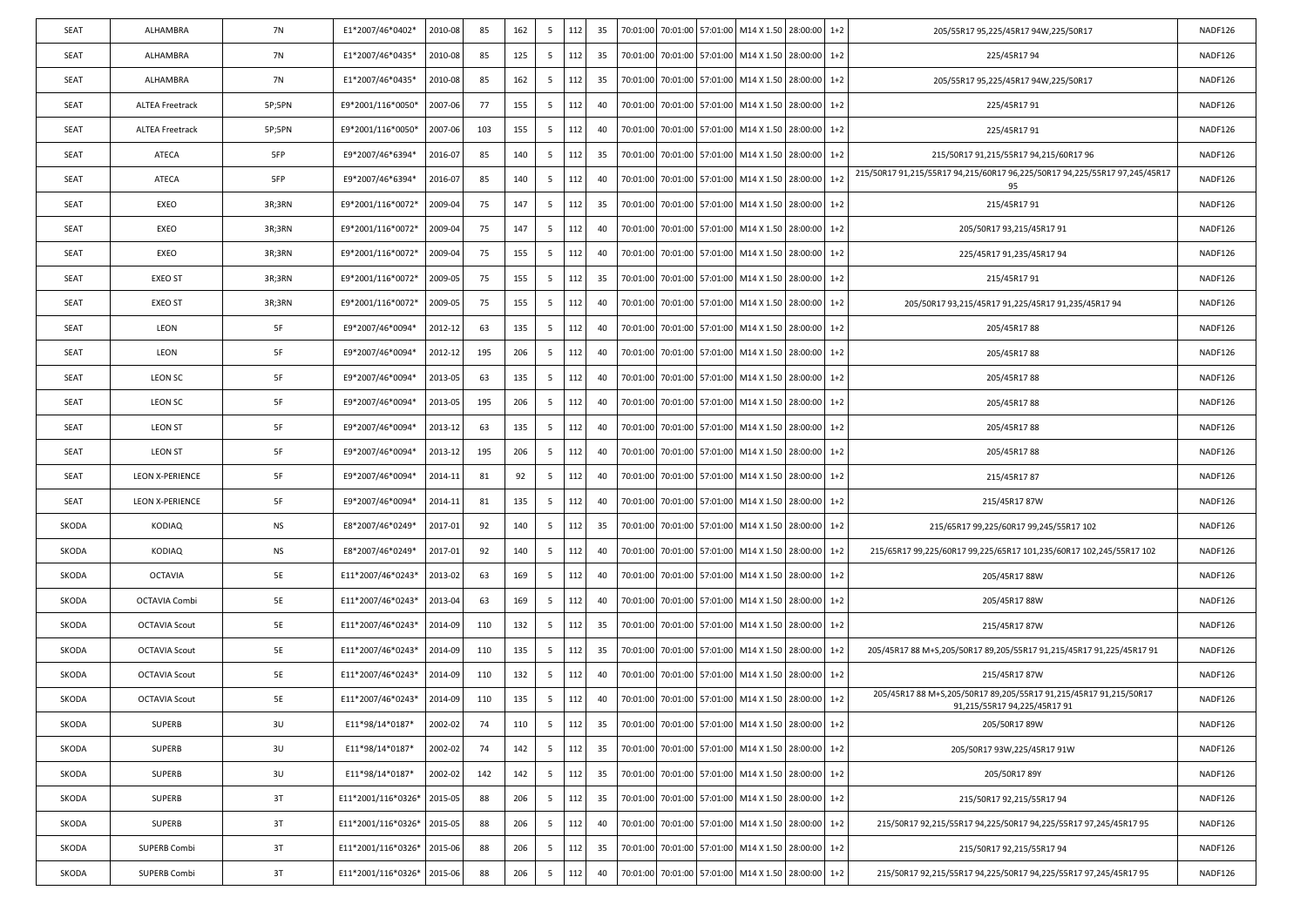| SEAT  | ALHAMBRA               | 7N        | E1*2007/46*0402*   | 2010-08 | 85  | 162 | 5   | 112 | 35 |          |                   | 70:01:00 70:01:00 57:01:00 M14 X 1.50 28:00:00     |          | $1+2$ | 205/55R17 95,225/45R17 94W,225/50R17                                                              | NADF126 |
|-------|------------------------|-----------|--------------------|---------|-----|-----|-----|-----|----|----------|-------------------|----------------------------------------------------|----------|-------|---------------------------------------------------------------------------------------------------|---------|
| SEAT  | ALHAMBRA               | 7N        | E1*2007/46*0435*   | 2010-08 | 85  | 125 | 5   | 112 | 35 | 70:01:00 |                   | 70:01:00 57:01:00 M14 X 1.50                       | 28:00:00 | $1+2$ | 225/45R1794                                                                                       | NADF126 |
| SEAT  | ALHAMBRA               | 7N        | E1*2007/46*0435*   | 2010-08 | 85  | 162 | 5   | 112 | 35 | 70:01:00 |                   | 70:01:00 57:01:00 M14 X 1.50                       | 28:00:00 | $1+2$ | 205/55R17 95,225/45R17 94W,225/50R17                                                              | NADF126 |
| SEAT  | ALTEA Freetrack        | 5P;5PN    | E9*2001/116*0050*  | 2007-06 | -77 | 155 | 5   | 112 | 40 | 70:01:00 | 70:01:00 57:01:00 | M14 X 1.50                                         | 28:00:00 | $1+2$ | 225/45R1791                                                                                       | NADF126 |
| SEAT  | <b>ALTEA Freetrack</b> | 5P;5PN    | E9*2001/116*0050*  | 2007-06 | 103 | 155 | 5   | 112 | 40 | 70:01:00 |                   | 70:01:00 57:01:00 M14 X 1.50                       | 28:00:00 | $1+2$ | 225/45R1791                                                                                       | NADF126 |
| SEAT  | ATECA                  | 5FP       | E9*2007/46*6394*   | 2016-07 | 85  | 140 | 5   | 112 | 35 | 70:01:00 |                   | 70:01:00 57:01:00 M14 X 1.50                       | 28:00:00 | $1+2$ | 215/50R17 91,215/55R17 94,215/60R17 96                                                            | NADF126 |
| SEAT  | ATECA                  | 5FP       | E9*2007/46*6394*   | 2016-07 | 85  | 140 | 5   | 112 | 40 | 70:01:00 | 70:01:00 57:01:00 | M14 X 1.50                                         | 28:00:00 | $1+2$ | 215/50R17 91,215/55R17 94,215/60R17 96,225/50R17 94,225/55R17 97,245/45R17<br>95                  | NADF126 |
| SEAT  | EXEO                   | 3R;3RN    | E9*2001/116*0072*  | 2009-04 | 75  | 147 | 5   | 112 | 35 | 70:01:00 |                   | 70:01:00 57:01:00 M14 X 1.50                       | 28:00:00 | $1+2$ | 215/45R1791                                                                                       | NADF126 |
| SEAT  | EXEO                   | 3R;3RN    | E9*2001/116*0072*  | 2009-04 | 75  | 147 | 5   | 112 | 40 | 70:01:00 |                   | 70:01:00 57:01:00 M14 X 1.50                       | 28:00:00 | $1+2$ | 205/50R17 93,215/45R17 91                                                                         | NADF126 |
| SEAT  | EXEO                   | 3R;3RN    | E9*2001/116*0072*  | 2009-04 | 75  | 155 | 5   | 112 | 40 | 70:01:00 | 70:01:00 57:01:00 | M14 X 1.50                                         | 28:00:00 | $1+2$ | 225/45R17 91,235/45R17 94                                                                         | NADF126 |
| SEAT  | <b>EXEO ST</b>         | 3R;3RN    | E9*2001/116*0072*  | 2009-05 | 75  | 155 | 5   | 112 | 35 | 70:01:00 | 70:01:00 57:01:00 | M14 X 1.50                                         | 28:00:00 | $1+2$ | 215/45R1791                                                                                       | NADF126 |
| SEAT  | <b>EXEO ST</b>         | 3R;3RN    | E9*2001/116*0072*  | 2009-05 | 75  | 155 | 5   | 112 | 40 | 70:01:00 |                   | 70:01:00 57:01:00 M14 X 1.50                       | 28:00:00 | $1+2$ | 205/50R17 93,215/45R17 91,225/45R17 91,235/45R17 94                                               | NADF126 |
| SEAT  | LEON                   | 5F        | E9*2007/46*0094*   | 2012-12 | 63  | 135 | 5   | 112 | 40 | 70:01:00 | 70:01:00 57:01:00 | M14 X 1.50                                         | 28:00:00 | $1+2$ | 205/45R1788                                                                                       | NADF126 |
| SEAT  | LEON                   | 5F        | E9*2007/46*0094*   | 2012-12 | 195 | 206 | 5   | 112 | 40 | 70:01:00 | 70:01:00 57:01:00 | M14 X 1.50                                         | 28:00:00 | $1+2$ | 205/45R1788                                                                                       | NADF126 |
| SEAT  | <b>LEON SC</b>         | 5F        | E9*2007/46*0094*   | 2013-05 | 63  | 135 | - 5 | 112 | 40 | 70:01:00 | 70:01:00 57:01:00 | M14 X 1.50                                         | 28:00:00 | $1+2$ | 205/45R1788                                                                                       | NADF126 |
| SEAT  | <b>LEON SC</b>         | 5F        | E9*2007/46*0094*   | 2013-05 | 195 | 206 | 5   | 112 | 40 | 70:01:00 | 70:01:00 57:01:00 | M14 X 1.50                                         | 28:00:00 | $1+2$ | 205/45R1788                                                                                       | NADF126 |
| SEAT  | <b>LEON ST</b>         | 5F        | E9*2007/46*0094*   | 2013-12 | 63  | 135 | -5  | 112 | 40 | 70:01:00 | 70:01:00 57:01:00 | M14 X 1.50                                         | 28:00:00 | $1+2$ | 205/45R1788                                                                                       | NADF126 |
| SEAT  | <b>LEON ST</b>         | 5F        | E9*2007/46*0094*   | 2013-12 | 195 | 206 | 5   | 112 | 40 | 70:01:00 |                   | 70:01:00 57:01:00 M14 X 1.50 28:00:00              |          | $1+2$ | 205/45R1788                                                                                       | NADF126 |
| SEAT  | LEON X-PERIENCE        | 5F        | E9*2007/46*0094*   | 2014-11 | 81  | 92  | 5   | 112 | 40 | 70:01:00 | 70:01:00 57:01:00 | M14 X 1.50                                         | 28:00:00 | $1+2$ | 215/45R1787                                                                                       | NADF126 |
| SEAT  | <b>LEON X-PERIENCE</b> | 5F        | E9*2007/46*0094*   | 2014-11 | 81  | 135 | 5   | 112 | 40 | 70:01:00 | 70:01:00 57:01:00 | M14 X 1.50                                         | 28:00:00 | $1+2$ | 215/45R1787W                                                                                      | NADF126 |
| SKODA | <b>KODIAQ</b>          | <b>NS</b> | E8*2007/46*0249*   | 2017-01 | 92  | 140 | 5   | 112 | 35 | 70:01:00 |                   | 70:01:00 57:01:00 M14 X 1.50 28:00:00              |          | $1+2$ | 215/65R17 99,225/60R17 99,245/55R17 102                                                           | NADF126 |
| SKODA | <b>KODIAQ</b>          | NS        | E8*2007/46*0249*   | 2017-01 | 92  | 140 | 5   | 112 | 40 | 70:01:00 | 70:01:00 57:01:00 | M14 X 1.50                                         | 28:00:00 | $1+2$ | 215/65R17 99,225/60R17 99,225/65R17 101,235/60R17 102,245/55R17 102                               | NADF126 |
| SKODA | <b>OCTAVIA</b>         | <b>5E</b> | E11*2007/46*0243*  | 2013-02 | 63  | 169 | 5   | 112 | 40 | 70:01:00 | 70:01:00 57:01:00 | M14 X 1.50                                         | 28:00:00 | $1+2$ | 205/45R1788W                                                                                      | NADF126 |
| SKODA | OCTAVIA Combi          | 5E        | E11*2007/46*0243*  | 2013-04 | 63  | 169 | - 5 | 112 | 40 | 70:01:00 |                   | 70:01:00 57:01:00 M14 X 1.50 28:00:00              |          | $1+2$ | 205/45R1788W                                                                                      | NADF126 |
| SKODA | <b>OCTAVIA Scout</b>   | 5E        | E11*2007/46*0243*  | 2014-09 | 110 | 132 | 5   | 112 | 35 | 70:01:00 | 70:01:00 57:01:00 | M14 X 1.50                                         | 28:00:00 | $1+2$ | 215/45R1787W                                                                                      | NADF126 |
| SKODA | <b>OCTAVIA Scout</b>   | <b>5E</b> | E11*2007/46*0243*  | 2014-09 | 110 | 135 | 5   | 112 | 35 | 70:01:00 | 70:01:00 57:01:00 | M14 X 1.50                                         | 28:00:00 | $1+2$ | 205/45R17 88 M+S,205/50R17 89,205/55R17 91,215/45R17 91,225/45R17 91                              | NADF126 |
| SKODA | <b>OCTAVIA Scout</b>   | 5E        | E11*2007/46*0243*  | 2014-09 | 110 | 132 | 5   | 112 | 40 | 70:01:00 | 70:01:00 57:01:00 | M14 X 1.50 28:00:00                                |          | $1+2$ | 215/45R1787W                                                                                      | NADF126 |
| SKODA | <b>OCTAVIA Scout</b>   | 5E        | E11*2007/46*0243*  | 2014-09 | 110 | 135 | 5   | 112 | 40 | 70:01:00 |                   | 70:01:00 57:01:00 M14 X 1.50                       | 28:00:00 | $1+2$ | 205/45R17 88 M+S,205/50R17 89,205/55R17 91,215/45R17 91,215/50R17<br>91,215/55R17 94,225/45R17 91 | NADF126 |
| SKODA | <b>SUPERB</b>          | 3U        | E11*98/14*0187*    | 2002-02 | 74  | 110 | 5   | 112 | 35 |          |                   | 70:01:00 70:01:00 57:01:00 M14 X 1.50 28:00:00 1+2 |          |       | 205/50R1789W                                                                                      | NADF126 |
| SKODA | <b>SUPERB</b>          | 3U        | E11*98/14*0187*    | 2002-02 | 74  | 142 | 5   | 112 | 35 | 70:01:00 |                   | 70:01:00 57:01:00 M14 X 1.50                       | 28:00:00 | $1+2$ | 205/50R17 93W,225/45R17 91W                                                                       | NADF126 |
| SKODA | <b>SUPERB</b>          | 3U        | E11*98/14*0187*    | 2002-02 | 142 | 142 | 5   | 112 | 35 | 70:01:00 | 70:01:00 57:01:00 | M14 X 1.50                                         | 28:00:00 | $1+2$ | 205/50R1789Y                                                                                      | NADF126 |
| SKODA | <b>SUPERB</b>          | 3T        | E11*2001/116*0326* | 2015-05 | 88  | 206 | 5   | 112 | 35 | 70:01:00 |                   | 70:01:00 57:01:00 M14 X 1.50                       | 28:00:00 | $1+2$ | 215/50R17 92,215/55R17 94                                                                         | NADF126 |
| SKODA | <b>SUPERB</b>          | 3T        | E11*2001/116*0326* | 2015-05 | 88  | 206 | 5   | 112 | 40 | 70:01:00 | 70:01:00 57:01:00 | M14 X 1.50                                         | 28:00:00 | $1+2$ | 215/50R17 92,215/55R17 94,225/50R17 94,225/55R17 97,245/45R17 95                                  | NADF126 |
| SKODA | SUPERB Combi           | 3T        | E11*2001/116*0326* | 2015-06 | 88  | 206 | 5   | 112 | 35 | 70:01:00 | 70:01:00 57:01:00 | M14 X 1.50                                         | 28:00:00 | $1+2$ | 215/50R17 92,215/55R17 94                                                                         | NADF126 |
| SKODA | SUPERB Combi           | 3T        | E11*2001/116*0326* | 2015-06 | 88  | 206 | 5   | 112 | 40 | 70:01:00 |                   | 70:01:00 57:01:00 M14 X 1.50                       | 28:00:00 | $1+2$ | 215/50R17 92,215/55R17 94,225/50R17 94,225/55R17 97,245/45R17 95                                  | NADF126 |
|       |                        |           |                    |         |     |     |     |     |    |          |                   |                                                    |          |       |                                                                                                   |         |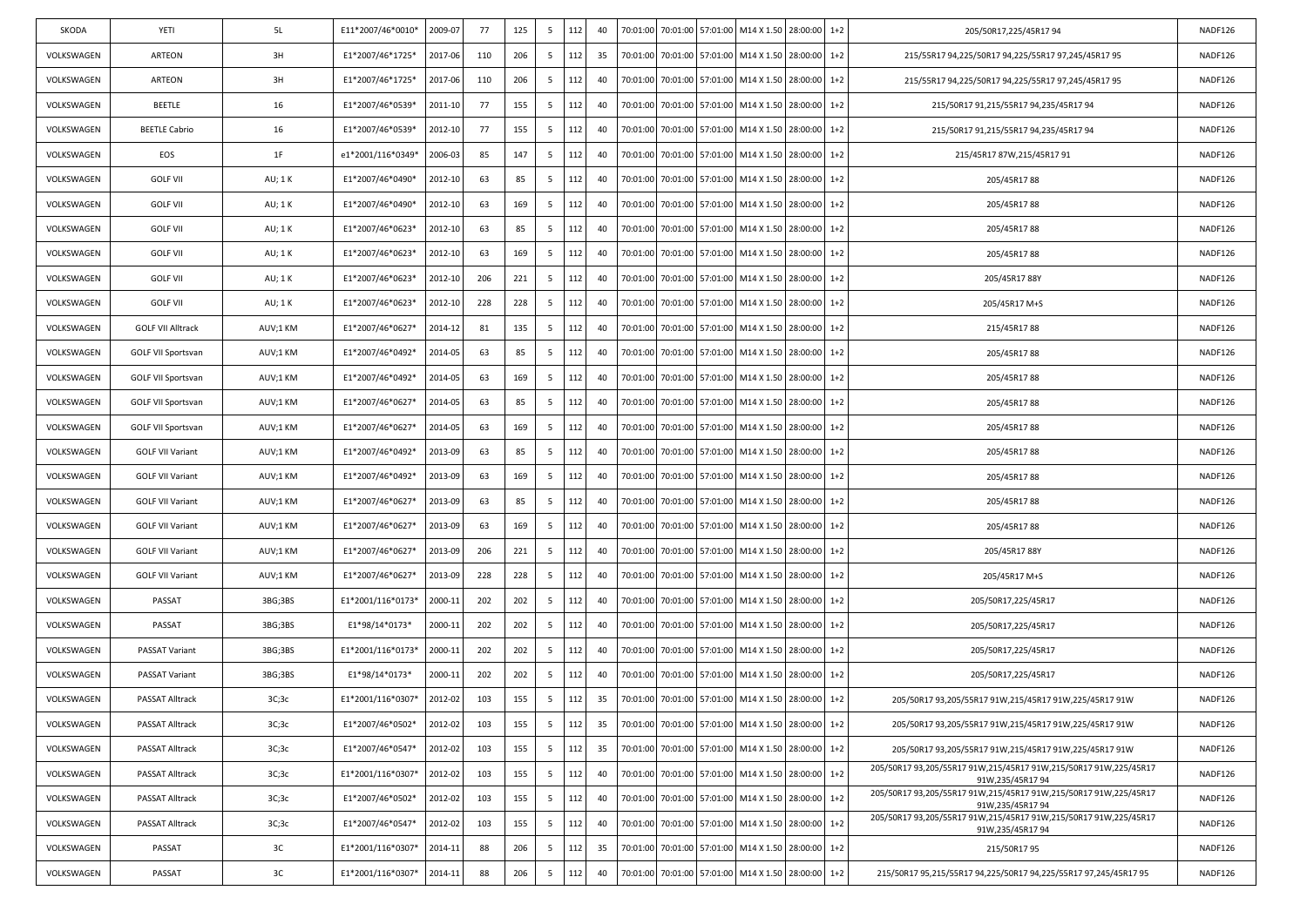| SKODA      | YETI                      | 5L       | E11*2007/46*0010* | 2009-07 | 77  | 125 | -5              | 112 | 40 | 70:01:00 | 70:01:00 57:01:00 |                   | M14 X 1.50 28:00:00                                |          | $1+2$   | 205/50R17,225/45R1794                                                               | NADF126 |
|------------|---------------------------|----------|-------------------|---------|-----|-----|-----------------|-----|----|----------|-------------------|-------------------|----------------------------------------------------|----------|---------|-------------------------------------------------------------------------------------|---------|
| VOLKSWAGEN | ARTEON                    | 3H       | E1*2007/46*1725*  | 2017-06 | 110 | 206 | 5               | 112 | 35 | 70:01:00 |                   | 70:01:00 57:01:00 | M14 X 1.50                                         | 28:00:00 | $1+2$   | 215/55R17 94,225/50R17 94,225/55R17 97,245/45R17 95                                 | NADF126 |
| VOLKSWAGEN | ARTEON                    | 3H       | E1*2007/46*1725*  | 2017-06 | 110 | 206 | 5               | 112 | 40 | 70:01:00 |                   | 70:01:00 57:01:00 | M14 X 1.50                                         | 28:00:00 | $1+2$   | 215/55R17 94,225/50R17 94,225/55R17 97,245/45R17 95                                 | NADF126 |
| VOLKSWAGEN | BEETLE                    | 16       | E1*2007/46*0539*  | 2011-10 | 77  | 155 | -5              | 112 | 40 | 70:01:00 |                   | 70:01:00 57:01:00 | M14 X 1.50                                         | 28:00:00 | $1+2$   | 215/50R17 91,215/55R17 94,235/45R17 94                                              | NADF126 |
| VOLKSWAGEN | <b>BEETLE Cabrio</b>      | 16       | E1*2007/46*0539*  | 2012-10 | 77  | 155 | -5              | 112 | 40 | 70:01:00 | 70:01:00          | 57:01:00          | M14 X 1.50                                         | 28:00:00 | $1+2$   | 215/50R17 91,215/55R17 94,235/45R17 94                                              | NADF126 |
| VOLKSWAGEN | EOS                       | 1F       | e1*2001/116*0349* | 2006-03 | 85  | 147 | 5               | 112 | 40 | 70:01:00 |                   | 70:01:00 57:01:00 | M14 X 1.50                                         | 28:00:00 | $1+2$   | 215/45R17 87W,215/45R17 91                                                          | NADF126 |
| VOLKSWAGEN | <b>GOLF VII</b>           | AU; 1K   | E1*2007/46*0490*  | 2012-10 | 63  | 85  | -5              | 112 | 40 | 70:01:00 |                   | 70:01:00 57:01:00 | M14 X 1.50                                         | 28:00:00 | $1+2$   | 205/45R1788                                                                         | NADF126 |
| VOLKSWAGEN | <b>GOLF VII</b>           | AU; 1K   | E1*2007/46*0490*  | 2012-10 | 63  | 169 | -5              | 112 | 40 | 70:01:00 |                   | 70:01:00 57:01:00 | M14 X 1.50 28:00:00                                |          | $1+2$   | 205/45R1788                                                                         | NADF126 |
| VOLKSWAGEN | <b>GOLF VII</b>           | AU; 1K   | E1*2007/46*0623*  | 2012-10 | 63  | 85  | 5               | 112 | 40 | 70:01:00 | 70:01:00          | 57:01:00          | M14 X 1.50                                         | 28:00:00 | $1+2$   | 205/45R1788                                                                         | NADF126 |
| VOLKSWAGEN | <b>GOLF VII</b>           | AU; 1 K  | E1*2007/46*0623*  | 2012-10 | 63  | 169 | 5               | 112 | 40 | 70:01:00 |                   | 70:01:00 57:01:00 | M14 X 1.50                                         | 28:00:00 | $1+2$   | 205/45R1788                                                                         | NADF126 |
| VOLKSWAGEN | <b>GOLF VII</b>           | AU; 1 K  | E1*2007/46*0623*  | 2012-10 | 206 | 221 | 5               | 112 | 40 | 70:01:00 |                   | 70:01:00 57:01:00 | M14 X 1.50 28:00:00                                |          | $1+2$   | 205/45R1788Y                                                                        | NADF126 |
| VOLKSWAGEN | <b>GOLF VII</b>           | AU; 1K   | E1*2007/46*0623*  | 2012-10 | 228 | 228 | -5              | 112 | 40 | 70:01:00 | 70:01:00          | 57:01:00          | M14 X 1.50                                         | 28:00:00 | $1+2$   | 205/45R17 M+S                                                                       | NADF126 |
| VOLKSWAGEN | <b>GOLF VII Alltrack</b>  | AUV;1 KM | E1*2007/46*0627*  | 2014-12 | 81  | 135 | -5              | 112 | 40 | 70:01:00 |                   | 70:01:00 57:01:00 | M14 X 1.50                                         | 28:00:00 | $1+2$   | 215/45R1788                                                                         | NADF126 |
| VOLKSWAGEN | GOLF VII Sportsvan        | AUV;1 KM | E1*2007/46*0492*  | 2014-05 | 63  | 85  | -5              | 112 | 40 | 70:01:00 |                   | 70:01:00 57:01:00 | M14 X 1.50 28:00:00                                |          | $1+2$   | 205/45R1788                                                                         | NADF126 |
| VOLKSWAGEN | GOLF VII Sportsvan        | AUV;1 KM | E1*2007/46*0492*  | 2014-05 | 63  | 169 | -5              | 112 | 40 | 70:01:00 | 70:01:00          | 57:01:00          | M14 X 1.50                                         | 28:00:00 | $1+2$   | 205/45R1788                                                                         | NADF126 |
| VOLKSWAGEN | <b>GOLF VII Sportsvan</b> | AUV;1 KM | E1*2007/46*0627*  | 2014-05 | 63  | 85  | 5               | 112 | 40 | 70:01:00 |                   | 70:01:00 57:01:00 | M14 X 1.50                                         | 28:00:00 | $1+2$   | 205/45R1788                                                                         | NADF126 |
| VOLKSWAGEN | <b>GOLF VII Sportsvan</b> | AUV;1 KM | E1*2007/46*0627*  | 2014-05 | 63  | 169 | -5              | 112 | 40 | 70:01:00 |                   | 70:01:00 57:01:00 | M14 X 1.50 28:00:00                                |          | $1+2$   | 205/45R1788                                                                         | NADF126 |
| VOLKSWAGEN | <b>GOLF VII Variant</b>   | AUV;1 KM | E1*2007/46*0492*  | 2013-09 | 63  | 85  | 5               | 112 | 40 | 70:01:00 |                   | 70:01:00 57:01:00 | M14 X 1.50                                         | 28:00:00 | $1+2$   | 205/45R1788                                                                         | NADF126 |
| VOLKSWAGEN | <b>GOLF VII Variant</b>   | AUV;1 KM | E1*2007/46*0492*  | 2013-09 | 63  | 169 | 5               | 112 | 40 | 70:01:00 |                   | 70:01:00 57:01:00 | M14 X 1.50                                         | 28:00:00 | $1+2$   | 205/45R1788                                                                         | NADF126 |
| VOLKSWAGEN | <b>GOLF VII Variant</b>   | AUV;1 KM | E1*2007/46*0627*  | 2013-09 | 63  | 85  | -5              | 112 | 40 | 70:01:00 |                   | 70:01:00 57:01:00 | M14 X 1.50 28:00:00                                |          | $1+2$   | 205/45R1788                                                                         | NADF126 |
| VOLKSWAGEN | <b>GOLF VII Variant</b>   | AUV;1 KM | E1*2007/46*0627*  | 2013-09 | 63  | 169 | -5              | 112 | 40 | 70:01:00 |                   | 70:01:00 57:01:00 | M14 X 1.50                                         | 28:00:00 | $1+2$   | 205/45R1788                                                                         | NADF126 |
| VOLKSWAGEN | <b>GOLF VII Variant</b>   | AUV;1 KM | E1*2007/46*0627*  | 2013-09 | 206 | 221 | 5               | 112 | 40 | 70:01:00 |                   | 70:01:00 57:01:00 | M14 X 1.50                                         | 28:00:00 | $1+2$   | 205/45R1788Y                                                                        | NADF126 |
| VOLKSWAGEN | <b>GOLF VII Variant</b>   | AUV;1 KM | E1*2007/46*0627*  | 2013-09 | 228 | 228 | 5               | 112 | 40 | 70:01:00 |                   | 70:01:00 57:01:00 | M14 X 1.50                                         | 28:00:00 | $1+2$   | 205/45R17 M+S                                                                       | NADF126 |
| VOLKSWAGEN | PASSAT                    | 3BG;3BS  | E1*2001/116*0173* | 2000-11 | 202 | 202 | -5              | 112 | 40 | 70:01:00 | 70:01:00          | 57:01:00          | M14 X 1.50                                         | 28:00:00 | $1+2$   | 205/50R17,225/45R17                                                                 | NADF126 |
| VOLKSWAGEN | PASSAT                    | 3BG;3BS  | E1*98/14*0173*    | 2000-11 | 202 | 202 | 5               | 112 | 40 | 70:01:00 |                   | 70:01:00 57:01:00 | M14 X 1.50                                         | 28:00:00 | $1+2$   | 205/50R17,225/45R17                                                                 | NADF126 |
| VOLKSWAGEN | PASSAT Variant            | 3BG;3BS  | E1*2001/116*0173* | 2000-11 | 202 | 202 | -5              | 112 | 40 | 70:01:00 |                   | 70:01:00 57:01:00 | M14 X 1.50 28:00:00                                |          | $1+2$   | 205/50R17,225/45R17                                                                 | NADF126 |
| VOLKSWAGEN | PASSAT Variant            | 3BG;3BS  | E1*98/14*0173*    | 2000-11 | 202 | 202 | 5               | 112 | 40 | 70:01:00 | 70:01:00          | 57:01:00          | M14 X 1.50                                         | 28:00:00 | $1+2$   | 205/50R17,225/45R17                                                                 | NADF126 |
| VOLKSWAGEN | PASSAT Alltrack           | 3C;3C    | E1*2001/116*0307* | 2012-02 | 103 | 155 | 5               | 112 | 35 | 70:01:00 |                   | 70:01:00 57:01:00 | M14 X 1.50 28:00:00                                |          | $1+2$   | 205/50R17 93,205/55R17 91W,215/45R17 91W,225/45R17 91W                              | NADF126 |
| VOLKSWAGEN | PASSAT Alltrack           | 3C;3C    | E1*2007/46*0502*  | 2012-02 | 103 | 155 | $5\overline{)}$ | 112 | 35 |          |                   |                   | 70:01:00 70:01:00 57:01:00 M14 X 1.50 28:00:00 1+2 |          |         | 205/50R17 93,205/55R17 91W,215/45R17 91W,225/45R17 91W                              | NADF126 |
| VOLKSWAGEN | PASSAT Alltrack           | 3C;3C    | E1*2007/46*0547*  | 2012-02 | 103 | 155 | 5               | 112 | 35 | 70:01:00 |                   | 70:01:00 57:01:00 | M14 X 1.50 28:00:00 1+2                            |          |         | 205/50R17 93,205/55R17 91W,215/45R17 91W,225/45R17 91W                              | NADF126 |
| VOLKSWAGEN | <b>PASSAT Alltrack</b>    | 3C;3C    | E1*2001/116*0307* | 2012-02 | 103 | 155 | 5               | 112 | 40 | 70:01:00 |                   | 70:01:00 57:01:00 | M14 X 1.50 28:00:00                                |          | $1+2$   | 205/50R17 93,205/55R17 91W,215/45R17 91W,215/50R17 91W,225/45R17<br>91W,235/45R1794 | NADF126 |
| VOLKSWAGEN | PASSAT Alltrack           | 3C;3C    | E1*2007/46*0502*  | 2012-02 | 103 | 155 | 5               | 112 | 40 | 70:01:00 |                   | 70:01:00 57:01:00 | M14 X 1.50 28:00:00 1+2                            |          |         | 205/50R17 93,205/55R17 91W,215/45R17 91W,215/50R17 91W,225/45R17<br>91W,235/45R1794 | NADF126 |
| VOLKSWAGEN | PASSAT Alltrack           | 3C;3C    | E1*2007/46*0547*  | 2012-02 | 103 | 155 | 5               | 112 | 40 | 70:01:00 |                   | 70:01:00 57:01:00 | M14 X 1.50 28:00:00 1+2                            |          |         | 205/50R17 93,205/55R17 91W,215/45R17 91W,215/50R17 91W,225/45R17<br>91W,235/45R1794 | NADF126 |
| VOLKSWAGEN | PASSAT                    | 3C       | E1*2001/116*0307* | 2014-11 | 88  | 206 | 5               | 112 | 35 | 70:01:00 |                   | 70:01:00 57:01:00 | M14 X 1.50 28:00:00                                |          | $1+2$   | 215/50R1795                                                                         | NADF126 |
| VOLKSWAGEN | PASSAT                    | 3C       | E1*2001/116*0307* | 2014-11 | 88  | 206 | 5               | 112 | 40 | 70:01:00 |                   | 70:01:00 57:01:00 | M14 X 1.50 28:00:00                                |          | $1 + 2$ | 215/50R17 95,215/55R17 94,225/50R17 94,225/55R17 97,245/45R17 95                    | NADF126 |
|            |                           |          |                   |         |     |     |                 |     |    |          |                   |                   |                                                    |          |         |                                                                                     |         |